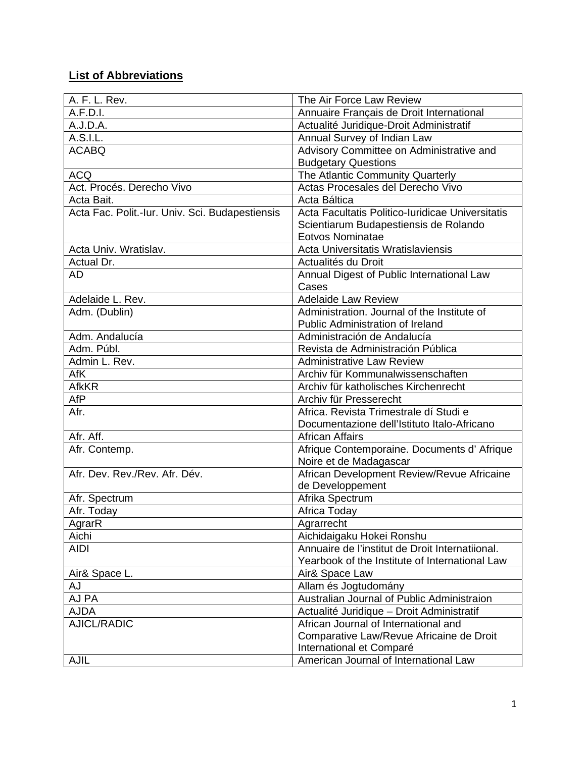## **List of Abbreviations**

| A. F. L. Rev.                                   | The Air Force Law Review                         |
|-------------------------------------------------|--------------------------------------------------|
| A.F.D.I.                                        | Annuaire Français de Droit International         |
| A.J.D.A.                                        | Actualité Juridique-Droit Administratif          |
| A.S.I.L.                                        | Annual Survey of Indian Law                      |
| <b>ACABQ</b>                                    | Advisory Committee on Administrative and         |
|                                                 | <b>Budgetary Questions</b>                       |
| <b>ACQ</b>                                      | The Atlantic Community Quarterly                 |
| Act. Procés. Derecho Vivo                       | Actas Procesales del Derecho Vivo                |
| Acta Bait.                                      | Acta Báltica                                     |
| Acta Fac. Polit.-Iur. Univ. Sci. Budapestiensis | Acta Facultatis Politico-Iuridicae Universitatis |
|                                                 | Scientiarum Budapestiensis de Rolando            |
|                                                 | Eotvos Nominatae                                 |
| Acta Univ. Wratislav.                           | Acta Universitatis Wratislaviensis               |
| Actual Dr.                                      | Actualités du Droit                              |
| AD                                              | Annual Digest of Public International Law        |
|                                                 | Cases                                            |
| Adelaide L. Rev.                                | <b>Adelaide Law Review</b>                       |
| Adm. (Dublin)                                   | Administration, Journal of the Institute of      |
|                                                 | <b>Public Administration of Ireland</b>          |
| Adm. Andalucía                                  | Administración de Andalucía                      |
| Adm. Públ.                                      | Revista de Administración Pública                |
| Admin L. Rev.                                   | <b>Administrative Law Review</b>                 |
| AfK                                             | Archiv für Kommunalwissenschaften                |
| <b>AfkKR</b>                                    | Archiv für katholisches Kirchenrecht             |
| AfP                                             | Archiv für Presserecht                           |
| Afr.                                            | Africa. Revista Trimestrale dí Studi e           |
|                                                 | Documentazione dell'Istituto Italo-Africano      |
| Afr. Aff.                                       | <b>African Affairs</b>                           |
| Afr. Contemp.                                   | Afrique Contemporaine. Documents d'Afrique       |
|                                                 | Noire et de Madagascar                           |
| Afr. Dev. Rev./Rev. Afr. Dév.                   | African Development Review/Revue Africaine       |
|                                                 | de Developpement                                 |
| Afr. Spectrum                                   | Afrika Spectrum                                  |
| Afr. Today                                      | Africa Today                                     |
| AgrarR                                          | Agrarrecht                                       |
| Aichi                                           | Aichidaigaku Hokei Ronshu                        |
| <b>AIDI</b>                                     | Annuaire de l'institut de Droit Internatiional.  |
|                                                 | Yearbook of the Institute of International Law   |
| Air& Space L.                                   | Air& Space Law                                   |
| AJ                                              | Allam és Jogtudomány                             |
| AJ PA                                           | Australian Journal of Public Administraion       |
| <b>AJDA</b>                                     | Actualité Juridique - Droit Administratif        |
| AJICL/RADIC                                     | African Journal of International and             |
|                                                 | Comparative Law/Revue Africaine de Droit         |
|                                                 | International et Comparé                         |
| <b>AJIL</b>                                     | American Journal of International Law            |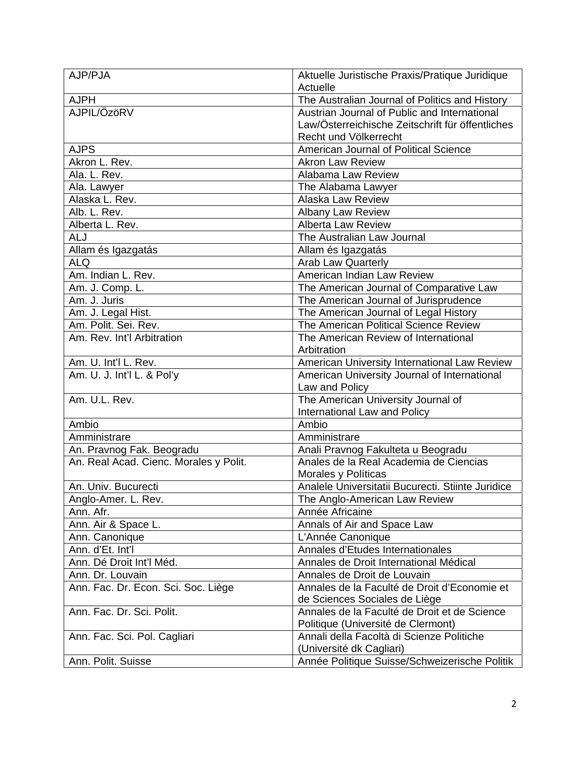| AJP/PJA                                | Aktuelle Juristische Praxis/Pratique Juridique    |
|----------------------------------------|---------------------------------------------------|
|                                        | Actuelle                                          |
| <b>AJPH</b>                            | The Australian Journal of Politics and History    |
| AJPIL/ÖzöRV                            | Austrian Journal of Public and International      |
|                                        | Law/Österreichische Zeitschrift für öffentliches  |
|                                        | Recht und Völkerrecht                             |
| <b>AJPS</b>                            | American Journal of Political Science             |
| Akron L. Rev.                          | <b>Akron Law Review</b>                           |
| Ala. L. Rev.                           | Alabama Law Review                                |
| Ala. Lawyer                            | The Alabama Lawyer                                |
| Alaska L. Rev.                         | <b>Alaska Law Review</b>                          |
| Alb. L. Rev.                           | <b>Albany Law Review</b>                          |
| Alberta L. Rev.                        | <b>Alberta Law Review</b>                         |
| <b>ALJ</b>                             | The Australian Law Journal                        |
| Allam és Igazgatás                     | Allam és Igazgatás                                |
| <b>ALQ</b>                             | <b>Arab Law Quarterly</b>                         |
| Am. Indian L. Rev.                     | American Indian Law Review                        |
| Am. J. Comp. L.                        | The American Journal of Comparative Law           |
| Am. J. Juris                           | The American Journal of Jurisprudence             |
| Am. J. Legal Hist.                     | The American Journal of Legal History             |
| Am. Polit. Sei. Rev.                   | The American Political Science Review             |
| Am. Rev. Int'l Arbitration             | The American Review of International              |
|                                        | Arbitration                                       |
| Am. U. Int'l L. Rev.                   | American University International Law Review      |
| Am. U. J. Int'l L. & Pol'y             | American University Journal of International      |
|                                        | Law and Policy                                    |
| Am. U.L. Rev.                          | The American University Journal of                |
|                                        | International Law and Policy                      |
| Ambio                                  | Ambio                                             |
| Amministrare                           | Amministrare                                      |
| An. Pravnog Fak. Beogradu              | Anali Pravnog Fakulteta u Beogradu                |
| An. Real Acad. Cienc. Morales y Polit. | Anales de la Real Academia de Ciencias            |
|                                        | Morales y Políticas                               |
| An. Univ. Bucurecti                    | Analele Universitatii Bucurecti. Stiinte Juridice |
| Anglo-Amer. L. Rev.                    | The Anglo-American Law Review                     |
| Ann. Afr.                              | Année Africaine                                   |
| Ann. Air & Space L.                    | Annals of Air and Space Law                       |
| Ann. Canonique                         | L'Année Canonique                                 |
| Ann. d'Et. Int'l                       | Annales d'Etudes Internationales                  |
| Ann. Dé Droit Int'l Méd.               | Annales de Droit International Médical            |
| Ann. Dr. Louvain                       | Annales de Droit de Louvain                       |
| Ann. Fac. Dr. Econ. Sci. Soc. Liège    | Annales de la Faculté de Droit d'Economie et      |
|                                        | de Sciences Sociales de Liège                     |
| Ann. Fac. Dr. Sci. Polit.              | Annales de la Faculté de Droit et de Science      |
|                                        | Politique (Université de Clermont)                |
| Ann. Fac. Sci. Pol. Cagliari           | Annali della Facoltà di Scienze Politiche         |
|                                        | (Université dk Cagliari)                          |
| Ann. Polit. Suisse                     | Année Politique Suisse/Schweizerische Politik     |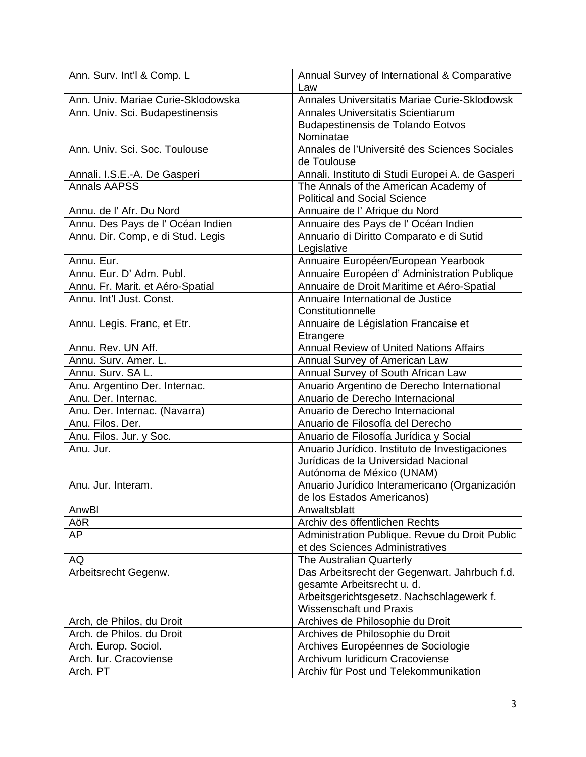| Ann. Surv. Int'l & Comp. L         | Annual Survey of International & Comparative     |
|------------------------------------|--------------------------------------------------|
|                                    | Law                                              |
| Ann. Univ. Mariae Curie-Sklodowska | Annales Universitatis Mariae Curie-Sklodowsk     |
| Ann. Univ. Sci. Budapestinensis    | Annales Universitatis Scientiarum                |
|                                    | Budapestinensis de Tolando Eotvos                |
|                                    | Nominatae                                        |
| Ann. Univ. Sci. Soc. Toulouse      | Annales de l'Université des Sciences Sociales    |
|                                    | de Toulouse                                      |
| Annali. I.S.E.-A. De Gasperi       | Annali. Instituto di Studi Europei A. de Gasperi |
| <b>Annals AAPSS</b>                | The Annals of the American Academy of            |
|                                    | <b>Political and Social Science</b>              |
| Annu. de l' Afr. Du Nord           | Annuaire de l' Afrique du Nord                   |
| Annu. Des Pays de l' Océan Indien  | Annuaire des Pays de l'Océan Indien              |
| Annu. Dir. Comp, e di Stud. Legis  | Annuario di Diritto Comparato e di Sutid         |
|                                    | Legislative                                      |
| Annu. Eur.                         | Annuaire Européen/European Yearbook              |
| Annu. Eur. D' Adm. Publ.           | Annuaire Européen d' Administration Publique     |
| Annu. Fr. Marit. et Aéro-Spatial   | Annuaire de Droit Maritime et Aéro-Spatial       |
| Annu. Int'l Just. Const.           | Annuaire International de Justice                |
|                                    | Constitutionnelle                                |
| Annu. Legis. Franc, et Etr.        | Annuaire de Législation Francaise et             |
|                                    | Etrangere                                        |
| Annu. Rev. UN Aff.                 | <b>Annual Review of United Nations Affairs</b>   |
| Annu. Surv. Amer. L.               | Annual Survey of American Law                    |
| Annu. Surv. SA L.                  | Annual Survey of South African Law               |
| Anu. Argentino Der. Internac.      | Anuario Argentino de Derecho International       |
| Anu. Der. Internac.                | Anuario de Derecho Internacional                 |
| Anu. Der. Internac. (Navarra)      | Anuario de Derecho Internacional                 |
| Anu. Filos. Der.                   | Anuario de Filosofía del Derecho                 |
| Anu. Filos. Jur. y Soc.            | Anuario de Filosofía Jurídica y Social           |
| Anu. Jur.                          | Anuario Jurídico. Instituto de Investigaciones   |
|                                    | Jurídicas de la Universidad Nacional             |
|                                    | Autónoma de México (UNAM)                        |
| Anu. Jur. Interam.                 | Anuario Jurídico Interamericano (Organización    |
|                                    | de los Estados Americanos)                       |
| AnwBl                              | Anwaltsblatt                                     |
| AöR                                | Archiv des öffentlichen Rechts                   |
| AP                                 | Administration Publique. Revue du Droit Public   |
|                                    | et des Sciences Administratives                  |
| AQ                                 | The Australian Quarterly                         |
| Arbeitsrecht Gegenw.               | Das Arbeitsrecht der Gegenwart. Jahrbuch f.d.    |
|                                    | gesamte Arbeitsrecht u. d.                       |
|                                    | Arbeitsgerichtsgesetz. Nachschlagewerk f.        |
|                                    | <b>Wissenschaft und Praxis</b>                   |
| Arch, de Philos, du Droit          | Archives de Philosophie du Droit                 |
| Arch. de Philos. du Droit          | Archives de Philosophie du Droit                 |
| Arch. Europ. Sociol.               | Archives Européennes de Sociologie               |
| Arch. Iur. Cracoviense             | Archivum Iuridicum Cracoviense                   |
|                                    |                                                  |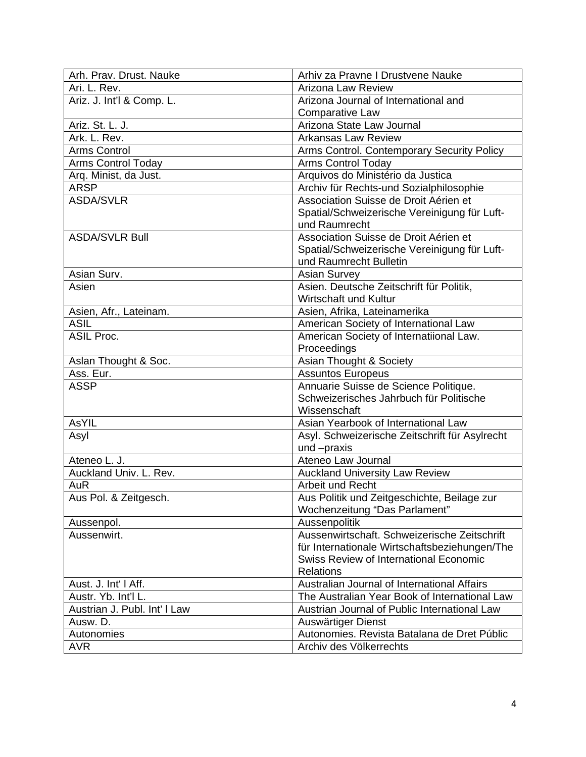| Arh. Prav. Drust. Nauke      | Arhiv za Pravne I Drustvene Nauke              |
|------------------------------|------------------------------------------------|
| Ari. L. Rev.                 | <b>Arizona Law Review</b>                      |
| Ariz. J. Int'l & Comp. L.    | Arizona Journal of International and           |
|                              | Comparative Law                                |
| Ariz. St. L. J.              | Arizona State Law Journal                      |
| Ark. L. Rev.                 | <b>Arkansas Law Review</b>                     |
| <b>Arms Control</b>          | Arms Control. Contemporary Security Policy     |
| <b>Arms Control Today</b>    | <b>Arms Control Today</b>                      |
| Arq. Minist, da Just.        | Arquivos do Ministério da Justica              |
| <b>ARSP</b>                  | Archiv für Rechts-und Sozialphilosophie        |
| <b>ASDA/SVLR</b>             | Association Suisse de Droit Aérien et          |
|                              | Spatial/Schweizerische Vereinigung für Luft-   |
|                              | und Raumrecht                                  |
| <b>ASDA/SVLR Bull</b>        | Association Suisse de Droit Aérien et          |
|                              | Spatial/Schweizerische Vereinigung für Luft-   |
|                              | und Raumrecht Bulletin                         |
| Asian Surv.                  | <b>Asian Survey</b>                            |
| Asien                        | Asien. Deutsche Zeitschrift für Politik,       |
|                              | Wirtschaft und Kultur                          |
| Asien, Afr., Lateinam.       | Asien, Afrika, Lateinamerika                   |
| <b>ASIL</b>                  | American Society of International Law          |
| <b>ASIL Proc.</b>            | American Society of Internatiional Law.        |
|                              | Proceedings                                    |
| Aslan Thought & Soc.         | Asian Thought & Society                        |
| Ass. Eur.                    | <b>Assuntos Europeus</b>                       |
| <b>ASSP</b>                  | Annuarie Suisse de Science Politique.          |
|                              | Schweizerisches Jahrbuch für Politische        |
|                              | Wissenschaft                                   |
| <b>AsYIL</b>                 | Asian Yearbook of International Law            |
| Asyl                         | Asyl. Schweizerische Zeitschrift für Asylrecht |
|                              | und -praxis                                    |
| Ateneo L. J.                 | Ateneo Law Journal                             |
| Auckland Univ. L. Rev.       | <b>Auckland University Law Review</b>          |
| AuR                          | Arbeit und Recht                               |
| Aus Pol. & Zeitgesch.        | Aus Politik und Zeitgeschichte, Beilage zur    |
|                              | Wochenzeitung "Das Parlament"                  |
| Aussenpol.                   | Aussenpolitik                                  |
| Aussenwirt.                  | Aussenwirtschaft, Schweizerische Zeitschrift   |
|                              | für Internationale Wirtschaftsbeziehungen/The  |
|                              | Swiss Review of International Economic         |
|                              | <b>Relations</b>                               |
| Aust. J. Int' I Aff.         | Australian Journal of International Affairs    |
| Austr. Yb. Int'l L.          | The Australian Year Book of International Law  |
| Austrian J. Publ. Int' I Law | Austrian Journal of Public International Law   |
| Ausw. D.                     | Auswärtiger Dienst                             |
| Autonomies                   | Autonomies. Revista Batalana de Dret Públic    |
| <b>AVR</b>                   | Archiv des Völkerrechts                        |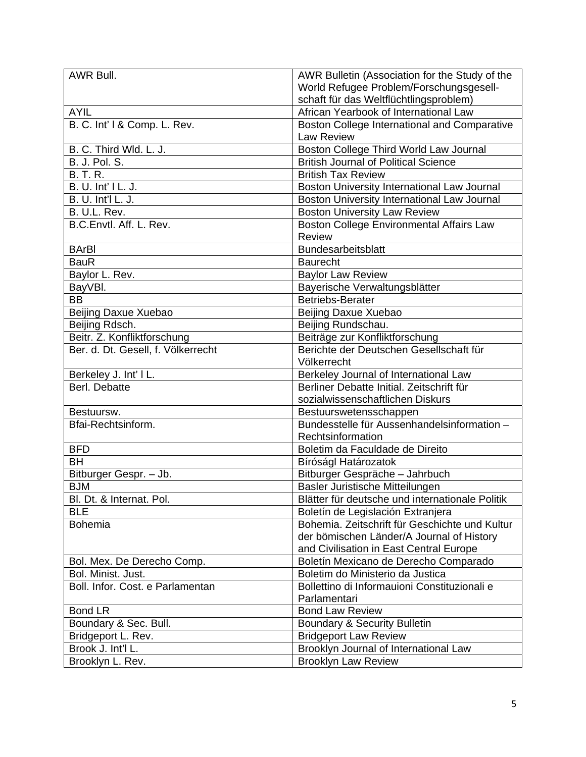| AWR Bull.                          | AWR Bulletin (Association for the Study of the  |
|------------------------------------|-------------------------------------------------|
|                                    | World Refugee Problem/Forschungsgesell-         |
|                                    | schaft für das Weltflüchtlingsproblem)          |
| <b>AYIL</b>                        | African Yearbook of International Law           |
| B. C. Int' I & Comp. L. Rev.       | Boston College International and Comparative    |
|                                    | <b>Law Review</b>                               |
| B. C. Third Wld. L. J.             | Boston College Third World Law Journal          |
| <b>B. J. Pol. S.</b>               | <b>British Journal of Political Science</b>     |
| <b>B. T. R.</b>                    | <b>British Tax Review</b>                       |
| B. U. Int' I L. J.                 | Boston University International Law Journal     |
| B. U. Int'l L. J.                  | Boston University International Law Journal     |
| B. U.L. Rev.                       | <b>Boston University Law Review</b>             |
| B.C.Envtl. Aff. L. Rev.            | <b>Boston College Environmental Affairs Law</b> |
|                                    | <b>Review</b>                                   |
| <b>BArBI</b>                       | Bundesarbeitsblatt                              |
| <b>BauR</b>                        | <b>Baurecht</b>                                 |
| Baylor L. Rev.                     | <b>Baylor Law Review</b>                        |
| BayVBI.                            | Bayerische Verwaltungsblätter                   |
| <b>BB</b>                          | <b>Betriebs-Berater</b>                         |
| Beijing Daxue Xuebao               | Beijing Daxue Xuebao                            |
| Beijing Rdsch.                     | Beijing Rundschau.                              |
| Beitr. Z. Konfliktforschung        | Beiträge zur Konfliktforschung                  |
| Ber. d. Dt. Gesell, f. Völkerrecht | Berichte der Deutschen Gesellschaft für         |
|                                    | Völkerrecht                                     |
| Berkeley J. Int' I L.              | Berkeley Journal of International Law           |
| Berl. Debatte                      | Berliner Debatte Initial, Zeitschrift für       |
|                                    | sozialwissenschaftlichen Diskurs                |
| Bestuursw.                         | Bestuurswetensschappen                          |
| Bfai-Rechtsinform.                 | Bundesstelle für Aussenhandelsinformation -     |
|                                    | Rechtsinformation                               |
| <b>BFD</b>                         | Boletim da Faculdade de Direito                 |
| <b>BH</b>                          | Bíróságl Határozatok                            |
| Bitburger Gespr. - Jb.             | Bitburger Gespräche - Jahrbuch                  |
| <b>BJM</b>                         | Basler Juristische Mitteilungen                 |
| Bl. Dt. & Internat. Pol.           | Blätter für deutsche und internationale Politik |
| <b>BLE</b>                         | Boletín de Legislación Extranjera               |
| <b>Bohemia</b>                     | Bohemia. Zeitschrift für Geschichte und Kultur  |
|                                    | der bömischen Länder/A Journal of History       |
|                                    | and Civilisation in East Central Europe         |
| Bol. Mex. De Derecho Comp.         | Boletín Mexicano de Derecho Comparado           |
| Bol. Minist. Just.                 | Boletim do Ministerio da Justica                |
| Boll. Infor. Cost. e Parlamentan   | Bollettino di Informauioni Constituzionali e    |
|                                    | Parlamentari                                    |
| <b>Bond LR</b>                     | <b>Bond Law Review</b>                          |
| Boundary & Sec. Bull.              | <b>Boundary &amp; Security Bulletin</b>         |
| Bridgeport L. Rev.                 | <b>Bridgeport Law Review</b>                    |
| Brook J. Int'l L.                  | Brooklyn Journal of International Law           |
| Brooklyn L. Rev.                   | <b>Brooklyn Law Review</b>                      |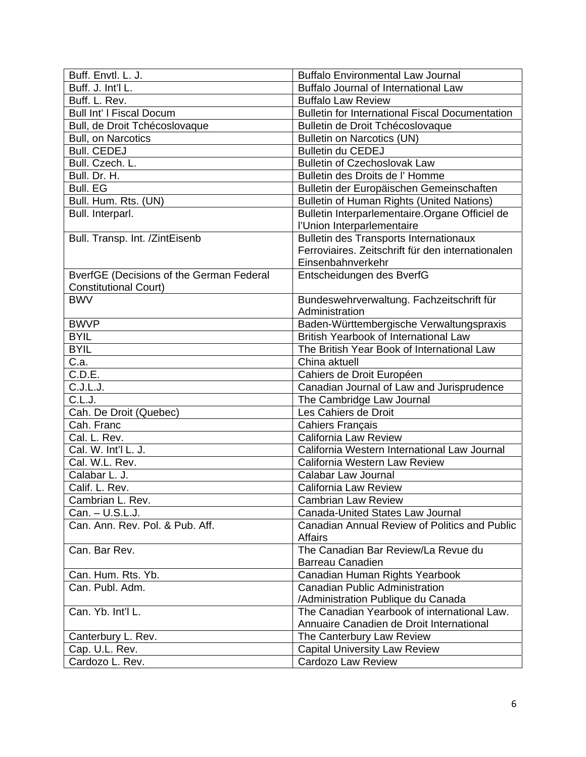| Buff. Envtl. L. J.                       | <b>Buffalo Environmental Law Journal</b>               |
|------------------------------------------|--------------------------------------------------------|
| Buff. J. Int'l L.                        | <b>Buffalo Journal of International Law</b>            |
| Buff. L. Rev.                            | <b>Buffalo Law Review</b>                              |
| <b>Bull Int' I Fiscal Docum</b>          | <b>Bulletin for International Fiscal Documentation</b> |
| Bull, de Droit Tchécoslovaque            | Bulletin de Droit Tchécoslovaque                       |
| <b>Bull, on Narcotics</b>                | <b>Bulletin on Narcotics (UN)</b>                      |
| <b>Bull. CEDEJ</b>                       | <b>Bulletin du CEDEJ</b>                               |
| Bull. Czech. L.                          | <b>Bulletin of Czechoslovak Law</b>                    |
| Bull. Dr. H.                             | Bulletin des Droits de l'Homme                         |
| <b>Bull. EG</b>                          | Bulletin der Europäischen Gemeinschaften               |
| Bull. Hum. Rts. (UN)                     | Bulletin of Human Rights (United Nations)              |
| Bull. Interparl.                         | Bulletin Interparlementaire. Organe Officiel de        |
|                                          | l'Union Interparlementaire                             |
| Bull. Transp. Int. /ZintEisenb           | Bulletin des Transports Internationaux                 |
|                                          | Ferroviaires. Zeitschrift für den internationalen      |
|                                          | Einsenbahnverkehr                                      |
| BverfGE (Decisions of the German Federal | Entscheidungen des BverfG                              |
| <b>Constitutional Court)</b>             |                                                        |
| <b>BWV</b>                               | Bundeswehrverwaltung. Fachzeitschrift für              |
|                                          | Administration                                         |
| <b>BWVP</b>                              | Baden-Württembergische Verwaltungspraxis               |
| <b>BYIL</b>                              | British Yearbook of International Law                  |
| <b>BYIL</b>                              | The British Year Book of International Law             |
| C.a.                                     | China aktuell                                          |
| $\overline{C}$ .D.E.                     | Cahiers de Droit Européen                              |
| C.J.L.J.                                 | Canadian Journal of Law and Jurisprudence              |
| C.L.J.                                   | The Cambridge Law Journal                              |
| Cah. De Droit (Quebec)                   | Les Cahiers de Droit                                   |
| Cah. Franc                               | <b>Cahiers Français</b>                                |
| Cal. L. Rev.                             | California Law Review                                  |
| Cal. W. Int'l L. J.                      | California Western International Law Journal           |
| Cal. W.L. Rev.                           | California Western Law Review                          |
| Calabar L. J.                            | Calabar Law Journal                                    |
| Calif. L. Rev.                           | <b>California Law Review</b>                           |
| Cambrian L. Rev.                         | <b>Cambrian Law Review</b>                             |
| Can. - U.S.L.J.                          | <b>Canada-United States Law Journal</b>                |
| Can. Ann. Rev. Pol. & Pub. Aff.          | Canadian Annual Review of Politics and Public          |
|                                          | <b>Affairs</b>                                         |
| Can. Bar Rev.                            | The Canadian Bar Review/La Revue du                    |
|                                          | <b>Barreau Canadien</b>                                |
| Can. Hum. Rts. Yb.                       | Canadian Human Rights Yearbook                         |
| Can. Publ. Adm.                          | Canadian Public Administration                         |
|                                          | /Administration Publique du Canada                     |
| Can. Yb. Int'l L.                        | The Canadian Yearbook of international Law.            |
|                                          | Annuaire Canadien de Droit International               |
| Canterbury L. Rev.                       | The Canterbury Law Review                              |
| Cap. U.L. Rev.                           | <b>Capital University Law Review</b>                   |
| Cardozo L. Rev.                          | Cardozo Law Review                                     |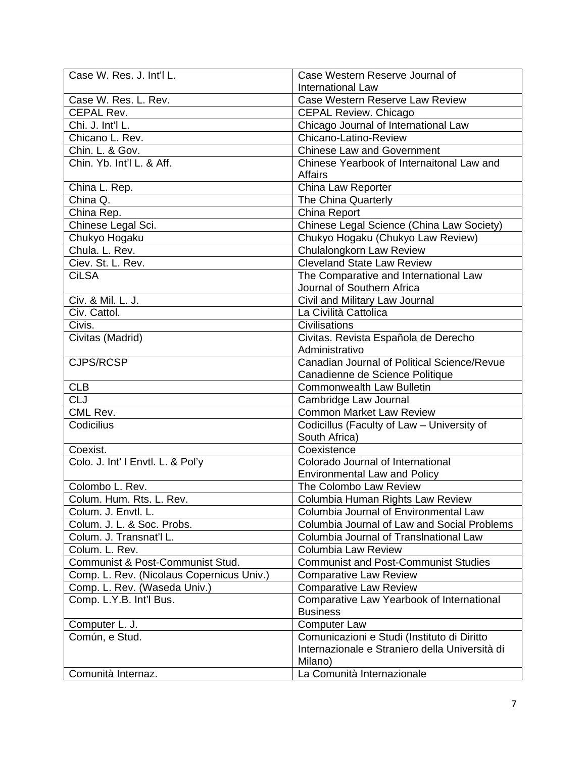| Case W. Res. J. Int'l L.                  | Case Western Reserve Journal of                |
|-------------------------------------------|------------------------------------------------|
|                                           | International Law                              |
| Case W. Res. L. Rev.                      | Case Western Reserve Law Review                |
| CEPAL Rev.                                | <b>CEPAL Review. Chicago</b>                   |
| Chi. J. Int'l L.                          | Chicago Journal of International Law           |
| Chicano L. Rev.                           | Chicano-Latino-Review                          |
| Chin. L. & Gov.                           | <b>Chinese Law and Government</b>              |
| Chin. Yb. Int'l L. & Aff.                 | Chinese Yearbook of Internaitonal Law and      |
|                                           | <b>Affairs</b>                                 |
| China L. Rep.                             | China Law Reporter                             |
| China Q.                                  | The China Quarterly                            |
| China Rep.                                | China Report                                   |
| Chinese Legal Sci.                        | Chinese Legal Science (China Law Society)      |
| Chukyo Hogaku                             | Chukyo Hogaku (Chukyo Law Review)              |
| Chula. L. Rev.                            | Chulalongkorn Law Review                       |
| Ciev. St. L. Rev.                         | <b>Cleveland State Law Review</b>              |
| <b>CiLSA</b>                              | The Comparative and International Law          |
|                                           | Journal of Southern Africa                     |
| Civ. & Mil. L. J.                         | Civil and Military Law Journal                 |
| Civ. Cattol.                              | La Civilità Cattolica                          |
| Civis.                                    | <b>Civilisations</b>                           |
| Civitas (Madrid)                          | Civitas. Revista Española de Derecho           |
|                                           | Administrativo                                 |
| <b>CJPS/RCSP</b>                          | Canadian Journal of Political Science/Revue    |
|                                           | Canadienne de Science Politique                |
| <b>CLB</b>                                | <b>Commonwealth Law Bulletin</b>               |
| <b>CLJ</b>                                | Cambridge Law Journal                          |
| CML Rev.                                  | <b>Common Market Law Review</b>                |
| Codicilius                                | Codicillus (Faculty of Law - University of     |
|                                           | South Africa)                                  |
| Coexist.                                  | Coexistence                                    |
| Colo. J. Int' I Envtl. L. & Pol'y         | Colorado Journal of International              |
|                                           | <b>Environmental Law and Policy</b>            |
| Colombo L. Rev.                           | The Colombo Law Review                         |
| Colum. Hum. Rts. L. Rev.                  | Columbia Human Rights Law Review               |
| Colum. J. Envtl. L.                       | Columbia Journal of Environmental Law          |
| Colum. J. L. & Soc. Probs.                | Columbia Journal of Law and Social Problems    |
| Colum. J. Transnat'l L.                   | Columbia Journal of Translnational Law         |
| Colum. L. Rev.                            | <b>Columbia Law Review</b>                     |
| Communist & Post-Communist Stud.          | <b>Communist and Post-Communist Studies</b>    |
| Comp. L. Rev. (Nicolaus Copernicus Univ.) | <b>Comparative Law Review</b>                  |
| Comp. L. Rev. (Waseda Univ.)              | <b>Comparative Law Review</b>                  |
| Comp. L.Y.B. Int'l Bus.                   | Comparative Law Yearbook of International      |
|                                           | <b>Business</b>                                |
| Computer L. J.                            | <b>Computer Law</b>                            |
| Común, e Stud.                            | Comunicazioni e Studi (Instituto di Diritto    |
|                                           | Internazionale e Straniero della Università di |
|                                           | Milano)                                        |
| Comunità Internaz.                        | La Comunità Internazionale                     |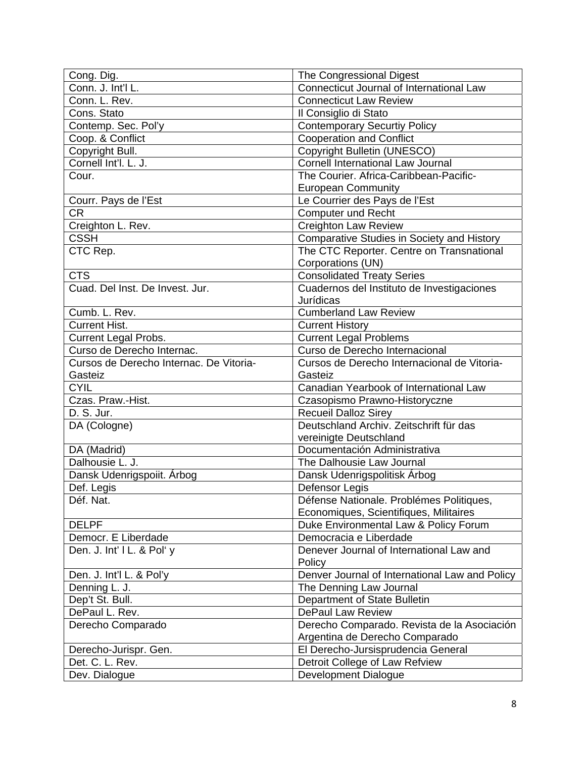| Cong. Dig.                              | The Congressional Digest                       |
|-----------------------------------------|------------------------------------------------|
| Conn. J. Int'l L.                       | Connecticut Journal of International Law       |
| Conn. L. Rev.                           | <b>Connecticut Law Review</b>                  |
| Cons. Stato                             | Il Consiglio di Stato                          |
| Contemp. Sec. Pol'y                     | <b>Contemporary Securtiy Policy</b>            |
| Coop. & Conflict                        | <b>Cooperation and Conflict</b>                |
| Copyright Bull.                         | Copyright Bulletin (UNESCO)                    |
| Cornell Int'l. L. J.                    | <b>Cornell International Law Journal</b>       |
| Cour.                                   | The Courier. Africa-Caribbean-Pacific-         |
|                                         | <b>European Community</b>                      |
| Courr. Pays de l'Est                    | Le Courrier des Pays de l'Est                  |
| <b>CR</b>                               | <b>Computer und Recht</b>                      |
| Creighton L. Rev.                       | <b>Creighton Law Review</b>                    |
| <b>CSSH</b>                             | Comparative Studies in Society and History     |
| CTC Rep.                                | The CTC Reporter. Centre on Transnational      |
|                                         | Corporations (UN)                              |
| <b>CTS</b>                              | <b>Consolidated Treaty Series</b>              |
| Cuad. Del Inst. De Invest. Jur.         | Cuadernos del Instituto de Investigaciones     |
|                                         | Jurídicas                                      |
| Cumb. L. Rev.                           | <b>Cumberland Law Review</b>                   |
| <b>Current Hist.</b>                    | <b>Current History</b>                         |
| <b>Current Legal Probs.</b>             | <b>Current Legal Problems</b>                  |
| Curso de Derecho Internac.              | Curso de Derecho Internacional                 |
| Cursos de Derecho Internac. De Vitoria- | Cursos de Derecho Internacional de Vitoria-    |
| Gasteiz                                 | Gasteiz                                        |
| <b>CYIL</b>                             | Canadian Yearbook of International Law         |
| Czas. Praw.-Hist.                       | Czasopismo Prawno-Historyczne                  |
| D. S. Jur.                              | <b>Recueil Dalloz Sirey</b>                    |
| DA (Cologne)                            | Deutschland Archiv. Zeitschrift für das        |
|                                         | vereinigte Deutschland                         |
| DA (Madrid)                             | Documentación Administrativa                   |
| Dalhousie L. J.                         | The Dalhousie Law Journal                      |
| Dansk Udenrigspoiit. Árbog              | Dansk Udenrigspolitisk Arbog                   |
| Def. Legis                              | Defensor Legis                                 |
| Déf. Nat.                               | Défense Nationale. Problémes Politiques,       |
|                                         | Economiques, Scientifiques, Militaires         |
| <b>DELPF</b>                            | Duke Environmental Law & Policy Forum          |
| Democr. E Liberdade                     | Democracia e Liberdade                         |
| Den. J. Int' I L. & Pol'y               | Denever Journal of International Law and       |
|                                         | Policy                                         |
| Den. J. Int'l L. & Pol'y                | Denver Journal of International Law and Policy |
| Denning L. J.                           | The Denning Law Journal                        |
| Dep't St. Bull.                         | Department of State Bulletin                   |
| DePaul L. Rev.                          | <b>DePaul Law Review</b>                       |
| Derecho Comparado                       | Derecho Comparado. Revista de la Asociación    |
|                                         | Argentina de Derecho Comparado                 |
| Derecho-Jurispr. Gen.                   | El Derecho-Jursisprudencia General             |
| Det. C. L. Rev.                         | Detroit College of Law Refview                 |
| Dev. Dialogue                           | Development Dialogue                           |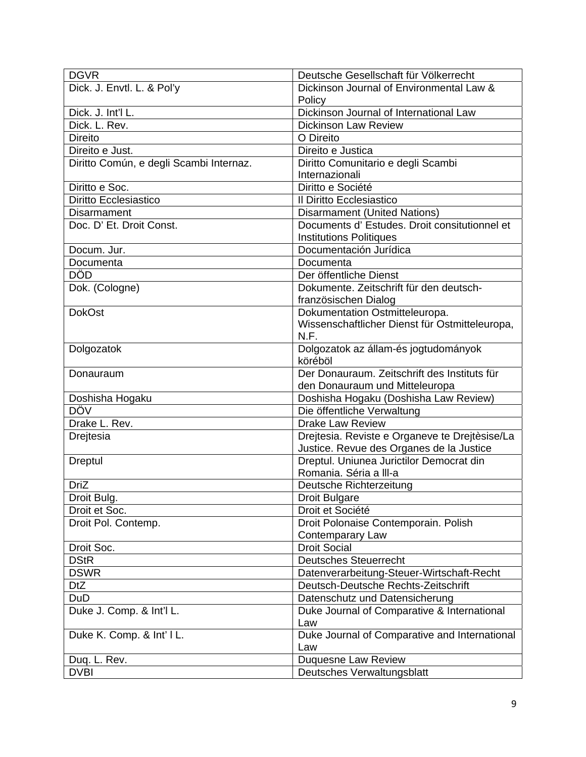| <b>DGVR</b>                             | Deutsche Gesellschaft für Völkerrecht          |
|-----------------------------------------|------------------------------------------------|
| Dick. J. Envtl. L. & Pol'y              | Dickinson Journal of Environmental Law &       |
|                                         | Policy                                         |
| Dick. J. Int'l L.                       | Dickinson Journal of International Law         |
| Dick. L. Rev.                           | <b>Dickinson Law Review</b>                    |
| <b>Direito</b>                          | O Direito                                      |
| Direito e Just.                         | Direito e Justica                              |
| Diritto Común, e degli Scambi Internaz. | Diritto Comunitario e degli Scambi             |
|                                         | Internazionali                                 |
| Diritto e Soc.                          | Diritto e Société                              |
| Diritto Ecclesiastico                   | Il Diritto Ecclesiastico                       |
| Disarmament                             | <b>Disarmament (United Nations)</b>            |
| Doc. D' Et. Droit Const.                | Documents d' Estudes. Droit consitutionnel et  |
|                                         | <b>Institutions Politiques</b>                 |
| Docum. Jur.                             | Documentación Jurídica                         |
| Documenta                               | Documenta                                      |
| DÖD                                     | Der öffentliche Dienst                         |
| Dok. (Cologne)                          | Dokumente. Zeitschrift für den deutsch-        |
|                                         | französischen Dialog                           |
| <b>DokOst</b>                           | Dokumentation Ostmitteleuropa.                 |
|                                         | Wissenschaftlicher Dienst für Ostmitteleuropa, |
|                                         | N.F.                                           |
| Dolgozatok                              | Dolgozatok az állam-és jogtudományok           |
|                                         | köréböl                                        |
| Donauraum                               | Der Donauraum. Zeitschrift des Instituts für   |
|                                         | den Donauraum und Mitteleuropa                 |
| Doshisha Hogaku                         | Doshisha Hogaku (Doshisha Law Review)          |
| <b>DÖV</b>                              | Die öffentliche Verwaltung                     |
| Drake L. Rev.                           | <b>Drake Law Review</b>                        |
| Drejtesia                               | Drejtesia. Reviste e Organeve te Drejtèsise/La |
|                                         | Justice. Revue des Organes de la Justice       |
| <b>Dreptul</b>                          | Dreptul. Uniunea Jurictilor Democrat din       |
|                                         | Romania. Séria a III-a                         |
| DriZ                                    | Deutsche Richterzeitung                        |
| Droit Bulg.                             | <b>Droit Bulgare</b>                           |
| Droit et Soc.                           | Droit et Société                               |
| Droit Pol. Contemp.                     | Droit Polonaise Contemporain. Polish           |
|                                         | Contemparary Law                               |
| Droit Soc.                              | <b>Droit Social</b>                            |
| <b>DStR</b>                             | <b>Deutsches Steuerrecht</b>                   |
| <b>DSWR</b>                             | Datenverarbeitung-Steuer-Wirtschaft-Recht      |
| DtZ                                     | Deutsch-Deutsche Rechts-Zeitschrift            |
| <b>DuD</b>                              | Datenschutz und Datensicherung                 |
| Duke J. Comp. & Int'l L.                | Duke Journal of Comparative & International    |
|                                         | Law                                            |
| Duke K. Comp. & Int' I L.               | Duke Journal of Comparative and International  |
|                                         | Law                                            |
| Duq. L. Rev.                            | Duquesne Law Review                            |
| <b>DVBI</b>                             | Deutsches Verwaltungsblatt                     |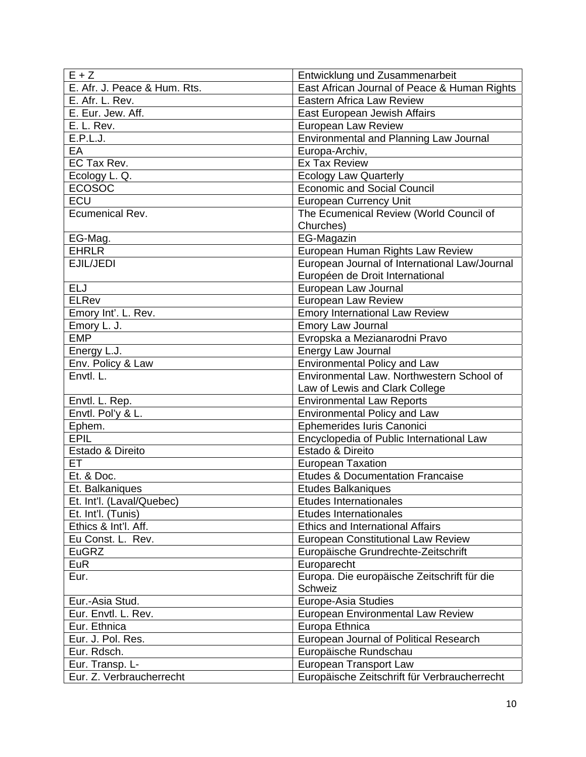| $E + Z$                      | Entwicklung und Zusammenarbeit                |
|------------------------------|-----------------------------------------------|
| E. Afr. J. Peace & Hum. Rts. | East African Journal of Peace & Human Rights  |
| E. Afr. L. Rev.              | <b>Eastern Africa Law Review</b>              |
| E. Eur. Jew. Aff.            | East European Jewish Affairs                  |
| E. L. Rev.                   | European Law Review                           |
| E.P.L.J.                     | Environmental and Planning Law Journal        |
| EA                           | Europa-Archiv,                                |
| EC Tax Rev.                  | <b>Ex Tax Review</b>                          |
| Ecology L. Q.                | <b>Ecology Law Quarterly</b>                  |
| ECOSOC                       | <b>Economic and Social Council</b>            |
| <b>ECU</b>                   | <b>European Currency Unit</b>                 |
| Ecumenical Rev.              | The Ecumenical Review (World Council of       |
|                              | Churches)                                     |
| EG-Mag.                      | EG-Magazin                                    |
| <b>EHRLR</b>                 | European Human Rights Law Review              |
| EJIL/JEDI                    | European Journal of International Law/Journal |
|                              | Européen de Droit International               |
| <b>ELJ</b>                   | European Law Journal                          |
| <b>ELRev</b>                 | European Law Review                           |
| Emory Int'. L. Rev.          | <b>Emory International Law Review</b>         |
| Emory L. J.                  | Emory Law Journal                             |
| <b>EMP</b>                   | Evropska a Mezianarodni Pravo                 |
| Energy L.J.                  | Energy Law Journal                            |
| Env. Policy & Law            | <b>Environmental Policy and Law</b>           |
| Envtl. L.                    | Environmental Law. Northwestern School of     |
|                              | Law of Lewis and Clark College                |
| Envtl. L. Rep.               | <b>Environmental Law Reports</b>              |
| Envtl. Pol'y & L.            | <b>Environmental Policy and Law</b>           |
| Ephem.                       | Ephemerides Iuris Canonici                    |
| <b>EPIL</b>                  | Encyclopedia of Public International Law      |
| Estado & Direito             | Estado & Direito                              |
| <b>ET</b>                    | <b>European Taxation</b>                      |
| Et. & Doc.                   | <b>Etudes &amp; Documentation Francaise</b>   |
| Et. Balkaniques              | <b>Etudes Balkaniques</b>                     |
| Et. Int'l. (Laval/Quebec)    | <b>Etudes Internationales</b>                 |
| Et. Int'l. (Tunis)           | <b>Etudes Internationales</b>                 |
| Ethics & Int'l. Aff.         | <b>Ethics and International Affairs</b>       |
| Eu Const. L. Rev.            | <b>European Constitutional Law Review</b>     |
| <b>EuGRZ</b>                 | Europäische Grundrechte-Zeitschrift           |
| EuR                          | Europarecht                                   |
| Eur.                         | Europa. Die europäische Zeitschrift für die   |
|                              | <b>Schweiz</b>                                |
| Eur.-Asia Stud.              | Europe-Asia Studies                           |
| Eur. Envtl. L. Rev.          | European Environmental Law Review             |
| Eur. Ethnica                 | Europa Ethnica                                |
| Eur. J. Pol. Res.            | European Journal of Political Research        |
| Eur. Rdsch.                  | Europäische Rundschau                         |
| Eur. Transp. L-              | European Transport Law                        |
| Eur. Z. Verbraucherrecht     | Europäische Zeitschrift für Verbraucherrecht  |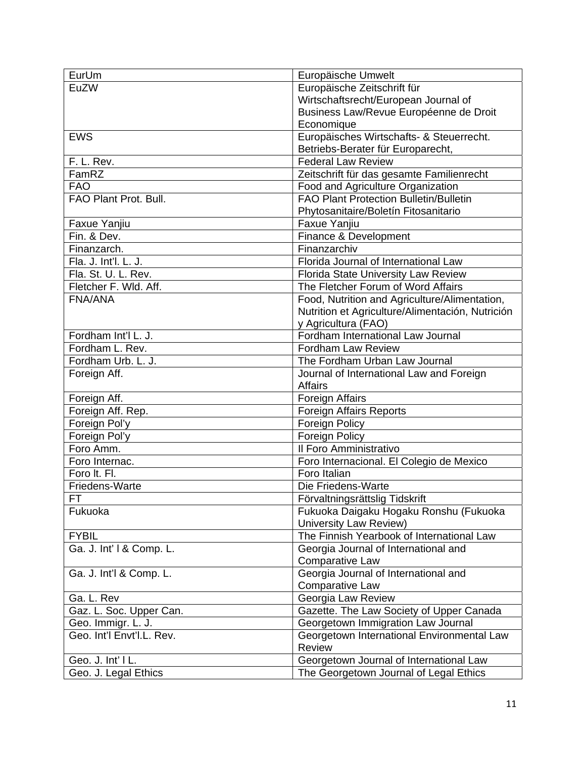| EurUm                     | Europäische Umwelt                               |
|---------------------------|--------------------------------------------------|
| EuZW                      | Europäische Zeitschrift für                      |
|                           | Wirtschaftsrecht/European Journal of             |
|                           | Business Law/Revue Européenne de Droit           |
|                           | Economique                                       |
| <b>EWS</b>                | Europäisches Wirtschafts- & Steuerrecht.         |
|                           | Betriebs-Berater für Europarecht,                |
| F. L. Rev.                | Federal Law Review                               |
| FamRZ                     | Zeitschrift für das gesamte Familienrecht        |
| <b>FAO</b>                | Food and Agriculture Organization                |
| FAO Plant Prot. Bull.     | <b>FAO Plant Protection Bulletin/Bulletin</b>    |
|                           | Phytosanitaire/Boletín Fitosanitario             |
| Faxue Yanjiu              | Faxue Yanjiu                                     |
| Fin. & Dev.               | Finance & Development                            |
| Finanzarch.               | Finanzarchiv                                     |
| Fla. J. Int'l. L. J.      | Florida Journal of International Law             |
| Fla. St. U. L. Rev.       | Florida State University Law Review              |
| Fletcher F. Wld. Aff.     | The Fletcher Forum of Word Affairs               |
| <b>FNA/ANA</b>            | Food, Nutrition and Agriculture/Alimentation,    |
|                           | Nutrition et Agriculture/Alimentación, Nutrición |
|                           | y Agricultura (FAO)                              |
| Fordham Int'l L. J.       | Fordham International Law Journal                |
| Fordham L. Rev.           | Fordham Law Review                               |
| Fordham Urb. L. J.        | The Fordham Urban Law Journal                    |
| Foreign Aff.              | Journal of International Law and Foreign         |
|                           | <b>Affairs</b>                                   |
| Foreign Aff.              | <b>Foreign Affairs</b>                           |
| Foreign Aff. Rep.         | <b>Foreign Affairs Reports</b>                   |
| Foreign Pol'y             | Foreign Policy                                   |
| Foreign Pol'y             | <b>Foreign Policy</b>                            |
| Foro Amm.                 | Il Foro Amministrativo                           |
| Foro Internac.            | Foro Internacional. El Colegio de Mexico         |
| Foro It. Fl.              | Foro Italian                                     |
| Friedens-Warte            | Die Friedens-Warte                               |
| FТ                        | Förvaltningsrättslig Tidskrift                   |
| Fukuoka                   | Fukuoka Daigaku Hogaku Ronshu (Fukuoka           |
|                           | University Law Review)                           |
| <b>FYBIL</b>              | The Finnish Yearbook of International Law        |
| Ga. J. Int' I & Comp. L.  | Georgia Journal of International and             |
|                           | Comparative Law                                  |
| Ga. J. Int'l & Comp. L.   | Georgia Journal of International and             |
|                           | Comparative Law                                  |
| Ga. L. Rev                | Georgia Law Review                               |
| Gaz. L. Soc. Upper Can.   | Gazette. The Law Society of Upper Canada         |
| Geo. Immigr. L. J.        | Georgetown Immigration Law Journal               |
| Geo. Int'l Envt'l.L. Rev. | Georgetown International Environmental Law       |
|                           | <b>Review</b>                                    |
| Geo. J. Int' I L.         | Georgetown Journal of International Law          |
| Geo. J. Legal Ethics      | The Georgetown Journal of Legal Ethics           |
|                           |                                                  |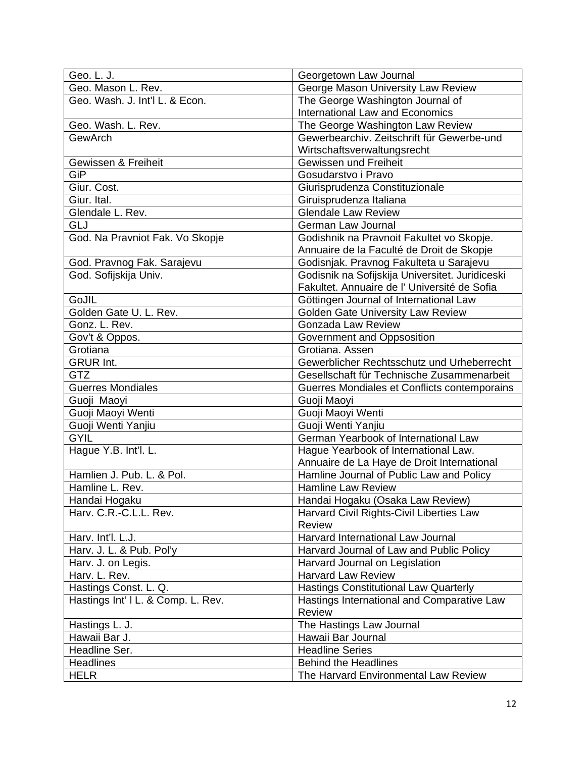| Geo. L. J.                         | Georgetown Law Journal                                                                          |
|------------------------------------|-------------------------------------------------------------------------------------------------|
| Geo. Mason L. Rev.                 | George Mason University Law Review                                                              |
| Geo. Wash. J. Int'l L. & Econ.     | The George Washington Journal of                                                                |
|                                    | <b>International Law and Economics</b>                                                          |
| Geo. Wash. L. Rev.                 | The George Washington Law Review                                                                |
| GewArch                            | Gewerbearchiv. Zeitschrift für Gewerbe-und                                                      |
|                                    | Wirtschaftsverwaltungsrecht                                                                     |
| Gewissen & Freiheit                | Gewissen und Freiheit                                                                           |
| GiP                                | Gosudarstvo i Pravo                                                                             |
| Giur. Cost.                        | Giurisprudenza Constituzionale                                                                  |
| Giur. Ital.                        | Giruisprudenza Italiana                                                                         |
| Glendale L. Rev.                   | <b>Glendale Law Review</b>                                                                      |
| GLJ                                | German Law Journal                                                                              |
| God. Na Pravniot Fak. Vo Skopje    | Godishnik na Pravnoit Fakultet vo Skopje.<br>Annuaire de la Faculté de Droit de Skopje          |
| God. Pravnog Fak. Sarajevu         | Godisnjak. Pravnog Fakulteta u Sarajevu                                                         |
| God. Sofijskija Univ.              | Godisnik na Sofijskija Universitet. Juridiceski<br>Fakultet. Annuaire de l' Université de Sofia |
| GoJIL                              | Göttingen Journal of International Law                                                          |
| Golden Gate U. L. Rev.             | <b>Golden Gate University Law Review</b>                                                        |
| Gonz. L. Rev.                      | Gonzada Law Review                                                                              |
| Gov't & Oppos.                     | Government and Oppsosition                                                                      |
| Grotiana                           | Grotiana, Assen                                                                                 |
| <b>GRUR Int.</b>                   | Gewerblicher Rechtsschutz und Urheberrecht                                                      |
| <b>GTZ</b>                         | Gesellschaft für Technische Zusammenarbeit                                                      |
| <b>Guerres Mondiales</b>           | Guerres Mondiales et Conflicts contemporains                                                    |
| Guoji Maoyi                        | Guoji Maoyi                                                                                     |
| Guoji Maoyi Wenti                  | Guoji Maoyi Wenti                                                                               |
| Guoji Wenti Yanjiu                 | Guoji Wenti Yanjiu                                                                              |
| <b>GYIL</b>                        | German Yearbook of International Law                                                            |
| Hague Y.B. Int'l. L.               | Hague Yearbook of International Law.                                                            |
|                                    | Annuaire de La Haye de Droit International                                                      |
| Hamlien J. Pub. L. & Pol.          | Hamline Journal of Public Law and Policy                                                        |
| Hamline L. Rev.                    | <b>Hamline Law Review</b>                                                                       |
| Handai Hogaku                      | Handai Hogaku (Osaka Law Review)                                                                |
| Harv. C.R.-C.L.L. Rev.             | Harvard Civil Rights-Civil Liberties Law                                                        |
|                                    | Review                                                                                          |
| Harv. Int'l. L.J.                  | Harvard International Law Journal                                                               |
| Harv. J. L. & Pub. Pol'y           | Harvard Journal of Law and Public Policy                                                        |
| Harv. J. on Legis.                 | Harvard Journal on Legislation                                                                  |
| Harv. L. Rev.                      | <b>Harvard Law Review</b>                                                                       |
| Hastings Const. L. Q.              | <b>Hastings Constitutional Law Quarterly</b>                                                    |
| Hastings Int' I L. & Comp. L. Rev. | Hastings International and Comparative Law<br><b>Review</b>                                     |
| Hastings L. J.                     | The Hastings Law Journal                                                                        |
| Hawaii Bar J.                      | Hawaii Bar Journal                                                                              |
| Headline Ser.                      | <b>Headline Series</b>                                                                          |
| Headlines                          | <b>Behind the Headlines</b>                                                                     |
| <b>HELR</b>                        | The Harvard Environmental Law Review                                                            |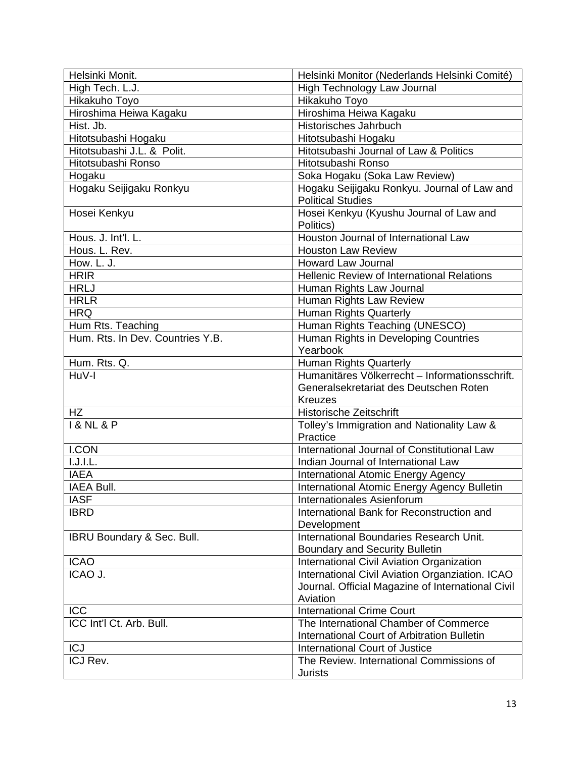| Helsinki Monit.                       | Helsinki Monitor (Nederlands Helsinki Comité)      |
|---------------------------------------|----------------------------------------------------|
| High Tech. L.J.                       | High Technology Law Journal                        |
| Hikakuho Toyo                         | Hikakuho Toyo                                      |
| Hiroshima Heiwa Kagaku                | Hiroshima Heiwa Kagaku                             |
| Hist. Jb.                             | Historisches Jahrbuch                              |
| Hitotsubashi Hogaku                   | Hitotsubashi Hogaku                                |
| Hitotsubashi J.L. & Polit.            | Hitotsubashi Journal of Law & Politics             |
| Hitotsubashi Ronso                    | Hitotsubashi Ronso                                 |
| Hogaku                                | Soka Hogaku (Soka Law Review)                      |
| Hogaku Seijigaku Ronkyu               | Hogaku Seijigaku Ronkyu. Journal of Law and        |
|                                       | <b>Political Studies</b>                           |
| Hosei Kenkyu                          | Hosei Kenkyu (Kyushu Journal of Law and            |
|                                       | Politics)                                          |
| Hous. J. Int'l. L.                    | Houston Journal of International Law               |
| Hous. L. Rev.                         | <b>Houston Law Review</b>                          |
| How. L. J.                            | <b>Howard Law Journal</b>                          |
| <b>HRIR</b>                           | <b>Hellenic Review of International Relations</b>  |
| <b>HRLJ</b>                           | Human Rights Law Journal                           |
| <b>HRLR</b>                           | Human Rights Law Review                            |
| <b>HRQ</b>                            | <b>Human Rights Quarterly</b>                      |
| Hum Rts. Teaching                     | Human Rights Teaching (UNESCO)                     |
| Hum. Rts. In Dev. Countries Y.B.      | Human Rights in Developing Countries               |
|                                       | Yearbook                                           |
| Hum. Rts. Q.                          | <b>Human Rights Quarterly</b>                      |
| HuV-I                                 | Humanitäres Völkerrecht - Informationsschrift.     |
|                                       | Generalsekretariat des Deutschen Roten             |
|                                       | <b>Kreuzes</b>                                     |
| HZ                                    | Historische Zeitschrift                            |
| <b>1&amp; NL &amp; P</b>              | Tolley's Immigration and Nationality Law &         |
|                                       | Practice                                           |
| I.CON                                 | International Journal of Constitutional Law        |
| I.J.I.L.                              | Indian Journal of International Law                |
| <b>IAEA</b>                           | <b>International Atomic Energy Agency</b>          |
| <b>IAEA Bull.</b>                     | International Atomic Energy Agency Bulletin        |
| <b>IASF</b>                           | Internationales Asienforum                         |
| <b>IBRD</b>                           | International Bank for Reconstruction and          |
|                                       | Development                                        |
| <b>IBRU Boundary &amp; Sec. Bull.</b> | International Boundaries Research Unit.            |
|                                       | <b>Boundary and Security Bulletin</b>              |
| <b>ICAO</b>                           | International Civil Aviation Organization          |
| ICAO J.                               | International Civil Aviation Organziation. ICAO    |
|                                       | Journal. Official Magazine of International Civil  |
|                                       | Aviation                                           |
| ICC                                   | <b>International Crime Court</b>                   |
| ICC Int'l Ct. Arb. Bull.              | The International Chamber of Commerce              |
|                                       | <b>International Court of Arbitration Bulletin</b> |
| <b>ICJ</b>                            | <b>International Court of Justice</b>              |
| ICJ Rev.                              | The Review. International Commissions of           |
|                                       | <b>Jurists</b>                                     |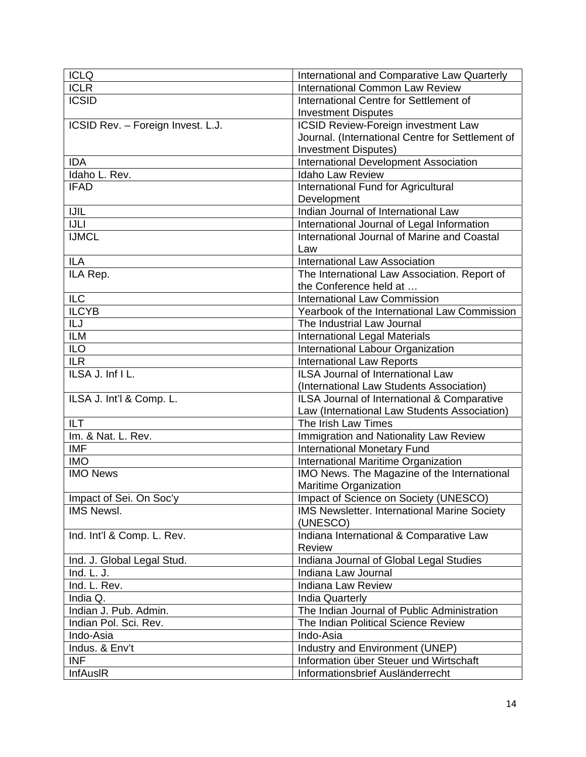| <b>ICLQ</b><br>International and Comparative Law Quarterly                           |  |
|--------------------------------------------------------------------------------------|--|
| <b>ICLR</b><br><b>International Common Law Review</b>                                |  |
| <b>ICSID</b><br>International Centre for Settlement of                               |  |
| <b>Investment Disputes</b>                                                           |  |
| <b>ICSID Review-Foreign investment Law</b><br>ICSID Rev. - Foreign Invest. L.J.      |  |
| Journal. (International Centre for Settlement of                                     |  |
| <b>Investment Disputes)</b>                                                          |  |
| <b>International Development Association</b><br><b>IDA</b>                           |  |
| Idaho L. Rev.<br><b>Idaho Law Review</b>                                             |  |
| International Fund for Agricultural<br><b>IFAD</b>                                   |  |
| Development                                                                          |  |
| Indian Journal of International Law<br><b>IJIL</b>                                   |  |
| <b>IJLI</b><br>International Journal of Legal Information                            |  |
| <b>IJMCL</b><br>International Journal of Marine and Coastal                          |  |
| Law                                                                                  |  |
| <b>ILA</b><br><b>International Law Association</b>                                   |  |
| ILA Rep.<br>The International Law Association. Report of                             |  |
| the Conference held at                                                               |  |
| <b>International Law Commission</b><br><b>ILC</b>                                    |  |
| <b>ILCYB</b><br>Yearbook of the International Law Commission                         |  |
| ILJ<br>The Industrial Law Journal                                                    |  |
| <b>ILM</b><br><b>International Legal Materials</b>                                   |  |
| <b>ILO</b><br>International Labour Organization                                      |  |
| <b>ILR</b><br><b>International Law Reports</b>                                       |  |
| ILSA J. Inf I L.<br><b>ILSA Journal of International Law</b>                         |  |
| (International Law Students Association)                                             |  |
| ILSA Journal of International & Comparative<br>ILSA J. Int'l & Comp. L.              |  |
| Law (International Law Students Association)                                         |  |
| <b>ILT</b><br>The Irish Law Times                                                    |  |
| Im. & Nat. L. Rev.<br>Immigration and Nationality Law Review                         |  |
| <b>IMF</b><br><b>International Monetary Fund</b>                                     |  |
| <b>IMO</b><br><b>International Maritime Organization</b>                             |  |
| <b>IMO News</b><br>IMO News. The Magazine of the International                       |  |
| <b>Maritime Organization</b>                                                         |  |
| Impact of Science on Society (UNESCO)<br>Impact of Sei. On Soc'y                     |  |
| <b>IMS Newsl.</b><br><b>IMS Newsletter. International Marine Society</b><br>(UNESCO) |  |
| Indiana International & Comparative Law<br>Ind. Int'l & Comp. L. Rev.                |  |
| Review                                                                               |  |
| Indiana Journal of Global Legal Studies<br>Ind. J. Global Legal Stud.                |  |
| Ind. L. J.<br>Indiana Law Journal                                                    |  |
| Ind. L. Rev.<br>Indiana Law Review                                                   |  |
| India Q.<br><b>India Quarterly</b>                                                   |  |
| The Indian Journal of Public Administration<br>Indian J. Pub. Admin.                 |  |
| Indian Pol. Sci. Rev.<br>The Indian Political Science Review                         |  |
| Indo-Asia<br>Indo-Asia                                                               |  |
| Indus. & Env't<br>Industry and Environment (UNEP)                                    |  |
| Information über Steuer und Wirtschaft<br><b>INF</b>                                 |  |
|                                                                                      |  |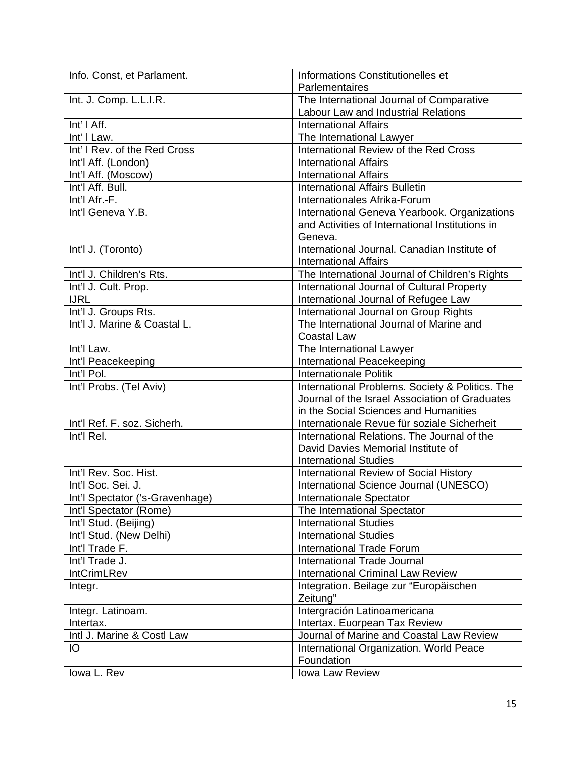| The International Journal of Comparative<br>Int. J. Comp. L.L.I.R.<br>Labour Law and Industrial Relations<br><b>International Affairs</b><br>Int' I Aff.<br>Int' I Law.<br>The International Lawyer<br>International Review of the Red Cross<br>Int' I Rev. of the Red Cross<br><b>International Affairs</b><br>Int'l Aff. (London)<br>Int'l Aff. (Moscow)<br><b>International Affairs</b><br>Int'l Aff. Bull.<br><b>International Affairs Bulletin</b><br>Int'l Afr.-F.<br>Internationales Afrika-Forum<br>Int'l Geneva Y.B.<br>International Geneva Yearbook. Organizations<br>and Activities of International Institutions in<br>Geneva.<br>International Journal. Canadian Institute of<br>Int'l J. (Toronto)<br><b>International Affairs</b><br>Int'l J. Children's Rts.<br>The International Journal of Children's Rights<br>International Journal of Cultural Property<br>Int'l J. Cult. Prop.<br><b>IJRL</b><br>International Journal of Refugee Law<br>International Journal on Group Rights<br>Int'l J. Groups Rts.<br>Int'l J. Marine & Coastal L.<br>The International Journal of Marine and<br><b>Coastal Law</b><br>Int'l Law.<br>The International Lawyer<br>International Peacekeeping<br>Int'l Peacekeeping<br><b>Internationale Politik</b><br>Int'l Pol.<br>Int'l Probs. (Tel Aviv)<br>International Problems. Society & Politics. The<br>Journal of the Israel Association of Graduates<br>in the Social Sciences and Humanities<br>Internationale Revue für soziale Sicherheit<br>Int'l Ref. F. soz. Sicherh.<br>Int'l Rel.<br>International Relations. The Journal of the<br>David Davies Memorial Institute of<br><b>International Studies</b><br>Int'l Rev. Soc. Hist.<br>International Review of Social History<br>Int'l Soc. Sei. J.<br>International Science Journal (UNESCO)<br>Int'l Spectator ('s-Gravenhage)<br>Internationale Spectator<br>The International Spectator<br>Int'l Spectator (Rome)<br>Int'l Stud. (Beijing)<br><b>International Studies</b><br>Int'l Stud. (New Delhi)<br><b>International Studies</b><br>Int'l Trade F.<br><b>International Trade Forum</b><br>Int'l Trade J.<br><b>International Trade Journal</b><br><b>IntCrimLRev</b><br><b>International Criminal Law Review</b><br>Integration. Beilage zur "Europäischen<br>Integr.<br>Zeitung"<br>Integr. Latinoam.<br>Intergración Latinoamericana<br>Intertax. Euorpean Tax Review<br>Intertax.<br>Journal of Marine and Coastal Law Review<br>Intl J. Marine & Costl Law | Info. Const, et Parlament. | Informations Constitutionelles et       |
|------------------------------------------------------------------------------------------------------------------------------------------------------------------------------------------------------------------------------------------------------------------------------------------------------------------------------------------------------------------------------------------------------------------------------------------------------------------------------------------------------------------------------------------------------------------------------------------------------------------------------------------------------------------------------------------------------------------------------------------------------------------------------------------------------------------------------------------------------------------------------------------------------------------------------------------------------------------------------------------------------------------------------------------------------------------------------------------------------------------------------------------------------------------------------------------------------------------------------------------------------------------------------------------------------------------------------------------------------------------------------------------------------------------------------------------------------------------------------------------------------------------------------------------------------------------------------------------------------------------------------------------------------------------------------------------------------------------------------------------------------------------------------------------------------------------------------------------------------------------------------------------------------------------------------------------------------------------------------------------------------------------------------------------------------------------------------------------------------------------------------------------------------------------------------------------------------------------------------------------------------------------------------------------------------------------------------------------------------------------------------------------------------------------------------------------------------------------------------------|----------------------------|-----------------------------------------|
|                                                                                                                                                                                                                                                                                                                                                                                                                                                                                                                                                                                                                                                                                                                                                                                                                                                                                                                                                                                                                                                                                                                                                                                                                                                                                                                                                                                                                                                                                                                                                                                                                                                                                                                                                                                                                                                                                                                                                                                                                                                                                                                                                                                                                                                                                                                                                                                                                                                                                    |                            | Parlementaires                          |
|                                                                                                                                                                                                                                                                                                                                                                                                                                                                                                                                                                                                                                                                                                                                                                                                                                                                                                                                                                                                                                                                                                                                                                                                                                                                                                                                                                                                                                                                                                                                                                                                                                                                                                                                                                                                                                                                                                                                                                                                                                                                                                                                                                                                                                                                                                                                                                                                                                                                                    |                            |                                         |
|                                                                                                                                                                                                                                                                                                                                                                                                                                                                                                                                                                                                                                                                                                                                                                                                                                                                                                                                                                                                                                                                                                                                                                                                                                                                                                                                                                                                                                                                                                                                                                                                                                                                                                                                                                                                                                                                                                                                                                                                                                                                                                                                                                                                                                                                                                                                                                                                                                                                                    |                            |                                         |
|                                                                                                                                                                                                                                                                                                                                                                                                                                                                                                                                                                                                                                                                                                                                                                                                                                                                                                                                                                                                                                                                                                                                                                                                                                                                                                                                                                                                                                                                                                                                                                                                                                                                                                                                                                                                                                                                                                                                                                                                                                                                                                                                                                                                                                                                                                                                                                                                                                                                                    |                            |                                         |
|                                                                                                                                                                                                                                                                                                                                                                                                                                                                                                                                                                                                                                                                                                                                                                                                                                                                                                                                                                                                                                                                                                                                                                                                                                                                                                                                                                                                                                                                                                                                                                                                                                                                                                                                                                                                                                                                                                                                                                                                                                                                                                                                                                                                                                                                                                                                                                                                                                                                                    |                            |                                         |
|                                                                                                                                                                                                                                                                                                                                                                                                                                                                                                                                                                                                                                                                                                                                                                                                                                                                                                                                                                                                                                                                                                                                                                                                                                                                                                                                                                                                                                                                                                                                                                                                                                                                                                                                                                                                                                                                                                                                                                                                                                                                                                                                                                                                                                                                                                                                                                                                                                                                                    |                            |                                         |
|                                                                                                                                                                                                                                                                                                                                                                                                                                                                                                                                                                                                                                                                                                                                                                                                                                                                                                                                                                                                                                                                                                                                                                                                                                                                                                                                                                                                                                                                                                                                                                                                                                                                                                                                                                                                                                                                                                                                                                                                                                                                                                                                                                                                                                                                                                                                                                                                                                                                                    |                            |                                         |
|                                                                                                                                                                                                                                                                                                                                                                                                                                                                                                                                                                                                                                                                                                                                                                                                                                                                                                                                                                                                                                                                                                                                                                                                                                                                                                                                                                                                                                                                                                                                                                                                                                                                                                                                                                                                                                                                                                                                                                                                                                                                                                                                                                                                                                                                                                                                                                                                                                                                                    |                            |                                         |
|                                                                                                                                                                                                                                                                                                                                                                                                                                                                                                                                                                                                                                                                                                                                                                                                                                                                                                                                                                                                                                                                                                                                                                                                                                                                                                                                                                                                                                                                                                                                                                                                                                                                                                                                                                                                                                                                                                                                                                                                                                                                                                                                                                                                                                                                                                                                                                                                                                                                                    |                            |                                         |
|                                                                                                                                                                                                                                                                                                                                                                                                                                                                                                                                                                                                                                                                                                                                                                                                                                                                                                                                                                                                                                                                                                                                                                                                                                                                                                                                                                                                                                                                                                                                                                                                                                                                                                                                                                                                                                                                                                                                                                                                                                                                                                                                                                                                                                                                                                                                                                                                                                                                                    |                            |                                         |
|                                                                                                                                                                                                                                                                                                                                                                                                                                                                                                                                                                                                                                                                                                                                                                                                                                                                                                                                                                                                                                                                                                                                                                                                                                                                                                                                                                                                                                                                                                                                                                                                                                                                                                                                                                                                                                                                                                                                                                                                                                                                                                                                                                                                                                                                                                                                                                                                                                                                                    |                            |                                         |
|                                                                                                                                                                                                                                                                                                                                                                                                                                                                                                                                                                                                                                                                                                                                                                                                                                                                                                                                                                                                                                                                                                                                                                                                                                                                                                                                                                                                                                                                                                                                                                                                                                                                                                                                                                                                                                                                                                                                                                                                                                                                                                                                                                                                                                                                                                                                                                                                                                                                                    |                            |                                         |
|                                                                                                                                                                                                                                                                                                                                                                                                                                                                                                                                                                                                                                                                                                                                                                                                                                                                                                                                                                                                                                                                                                                                                                                                                                                                                                                                                                                                                                                                                                                                                                                                                                                                                                                                                                                                                                                                                                                                                                                                                                                                                                                                                                                                                                                                                                                                                                                                                                                                                    |                            |                                         |
|                                                                                                                                                                                                                                                                                                                                                                                                                                                                                                                                                                                                                                                                                                                                                                                                                                                                                                                                                                                                                                                                                                                                                                                                                                                                                                                                                                                                                                                                                                                                                                                                                                                                                                                                                                                                                                                                                                                                                                                                                                                                                                                                                                                                                                                                                                                                                                                                                                                                                    |                            |                                         |
|                                                                                                                                                                                                                                                                                                                                                                                                                                                                                                                                                                                                                                                                                                                                                                                                                                                                                                                                                                                                                                                                                                                                                                                                                                                                                                                                                                                                                                                                                                                                                                                                                                                                                                                                                                                                                                                                                                                                                                                                                                                                                                                                                                                                                                                                                                                                                                                                                                                                                    |                            |                                         |
|                                                                                                                                                                                                                                                                                                                                                                                                                                                                                                                                                                                                                                                                                                                                                                                                                                                                                                                                                                                                                                                                                                                                                                                                                                                                                                                                                                                                                                                                                                                                                                                                                                                                                                                                                                                                                                                                                                                                                                                                                                                                                                                                                                                                                                                                                                                                                                                                                                                                                    |                            |                                         |
|                                                                                                                                                                                                                                                                                                                                                                                                                                                                                                                                                                                                                                                                                                                                                                                                                                                                                                                                                                                                                                                                                                                                                                                                                                                                                                                                                                                                                                                                                                                                                                                                                                                                                                                                                                                                                                                                                                                                                                                                                                                                                                                                                                                                                                                                                                                                                                                                                                                                                    |                            |                                         |
|                                                                                                                                                                                                                                                                                                                                                                                                                                                                                                                                                                                                                                                                                                                                                                                                                                                                                                                                                                                                                                                                                                                                                                                                                                                                                                                                                                                                                                                                                                                                                                                                                                                                                                                                                                                                                                                                                                                                                                                                                                                                                                                                                                                                                                                                                                                                                                                                                                                                                    |                            |                                         |
|                                                                                                                                                                                                                                                                                                                                                                                                                                                                                                                                                                                                                                                                                                                                                                                                                                                                                                                                                                                                                                                                                                                                                                                                                                                                                                                                                                                                                                                                                                                                                                                                                                                                                                                                                                                                                                                                                                                                                                                                                                                                                                                                                                                                                                                                                                                                                                                                                                                                                    |                            |                                         |
|                                                                                                                                                                                                                                                                                                                                                                                                                                                                                                                                                                                                                                                                                                                                                                                                                                                                                                                                                                                                                                                                                                                                                                                                                                                                                                                                                                                                                                                                                                                                                                                                                                                                                                                                                                                                                                                                                                                                                                                                                                                                                                                                                                                                                                                                                                                                                                                                                                                                                    |                            |                                         |
|                                                                                                                                                                                                                                                                                                                                                                                                                                                                                                                                                                                                                                                                                                                                                                                                                                                                                                                                                                                                                                                                                                                                                                                                                                                                                                                                                                                                                                                                                                                                                                                                                                                                                                                                                                                                                                                                                                                                                                                                                                                                                                                                                                                                                                                                                                                                                                                                                                                                                    |                            |                                         |
|                                                                                                                                                                                                                                                                                                                                                                                                                                                                                                                                                                                                                                                                                                                                                                                                                                                                                                                                                                                                                                                                                                                                                                                                                                                                                                                                                                                                                                                                                                                                                                                                                                                                                                                                                                                                                                                                                                                                                                                                                                                                                                                                                                                                                                                                                                                                                                                                                                                                                    |                            |                                         |
|                                                                                                                                                                                                                                                                                                                                                                                                                                                                                                                                                                                                                                                                                                                                                                                                                                                                                                                                                                                                                                                                                                                                                                                                                                                                                                                                                                                                                                                                                                                                                                                                                                                                                                                                                                                                                                                                                                                                                                                                                                                                                                                                                                                                                                                                                                                                                                                                                                                                                    |                            |                                         |
|                                                                                                                                                                                                                                                                                                                                                                                                                                                                                                                                                                                                                                                                                                                                                                                                                                                                                                                                                                                                                                                                                                                                                                                                                                                                                                                                                                                                                                                                                                                                                                                                                                                                                                                                                                                                                                                                                                                                                                                                                                                                                                                                                                                                                                                                                                                                                                                                                                                                                    |                            |                                         |
|                                                                                                                                                                                                                                                                                                                                                                                                                                                                                                                                                                                                                                                                                                                                                                                                                                                                                                                                                                                                                                                                                                                                                                                                                                                                                                                                                                                                                                                                                                                                                                                                                                                                                                                                                                                                                                                                                                                                                                                                                                                                                                                                                                                                                                                                                                                                                                                                                                                                                    |                            |                                         |
|                                                                                                                                                                                                                                                                                                                                                                                                                                                                                                                                                                                                                                                                                                                                                                                                                                                                                                                                                                                                                                                                                                                                                                                                                                                                                                                                                                                                                                                                                                                                                                                                                                                                                                                                                                                                                                                                                                                                                                                                                                                                                                                                                                                                                                                                                                                                                                                                                                                                                    |                            |                                         |
|                                                                                                                                                                                                                                                                                                                                                                                                                                                                                                                                                                                                                                                                                                                                                                                                                                                                                                                                                                                                                                                                                                                                                                                                                                                                                                                                                                                                                                                                                                                                                                                                                                                                                                                                                                                                                                                                                                                                                                                                                                                                                                                                                                                                                                                                                                                                                                                                                                                                                    |                            |                                         |
|                                                                                                                                                                                                                                                                                                                                                                                                                                                                                                                                                                                                                                                                                                                                                                                                                                                                                                                                                                                                                                                                                                                                                                                                                                                                                                                                                                                                                                                                                                                                                                                                                                                                                                                                                                                                                                                                                                                                                                                                                                                                                                                                                                                                                                                                                                                                                                                                                                                                                    |                            |                                         |
|                                                                                                                                                                                                                                                                                                                                                                                                                                                                                                                                                                                                                                                                                                                                                                                                                                                                                                                                                                                                                                                                                                                                                                                                                                                                                                                                                                                                                                                                                                                                                                                                                                                                                                                                                                                                                                                                                                                                                                                                                                                                                                                                                                                                                                                                                                                                                                                                                                                                                    |                            |                                         |
|                                                                                                                                                                                                                                                                                                                                                                                                                                                                                                                                                                                                                                                                                                                                                                                                                                                                                                                                                                                                                                                                                                                                                                                                                                                                                                                                                                                                                                                                                                                                                                                                                                                                                                                                                                                                                                                                                                                                                                                                                                                                                                                                                                                                                                                                                                                                                                                                                                                                                    |                            |                                         |
|                                                                                                                                                                                                                                                                                                                                                                                                                                                                                                                                                                                                                                                                                                                                                                                                                                                                                                                                                                                                                                                                                                                                                                                                                                                                                                                                                                                                                                                                                                                                                                                                                                                                                                                                                                                                                                                                                                                                                                                                                                                                                                                                                                                                                                                                                                                                                                                                                                                                                    |                            |                                         |
|                                                                                                                                                                                                                                                                                                                                                                                                                                                                                                                                                                                                                                                                                                                                                                                                                                                                                                                                                                                                                                                                                                                                                                                                                                                                                                                                                                                                                                                                                                                                                                                                                                                                                                                                                                                                                                                                                                                                                                                                                                                                                                                                                                                                                                                                                                                                                                                                                                                                                    |                            |                                         |
|                                                                                                                                                                                                                                                                                                                                                                                                                                                                                                                                                                                                                                                                                                                                                                                                                                                                                                                                                                                                                                                                                                                                                                                                                                                                                                                                                                                                                                                                                                                                                                                                                                                                                                                                                                                                                                                                                                                                                                                                                                                                                                                                                                                                                                                                                                                                                                                                                                                                                    |                            |                                         |
|                                                                                                                                                                                                                                                                                                                                                                                                                                                                                                                                                                                                                                                                                                                                                                                                                                                                                                                                                                                                                                                                                                                                                                                                                                                                                                                                                                                                                                                                                                                                                                                                                                                                                                                                                                                                                                                                                                                                                                                                                                                                                                                                                                                                                                                                                                                                                                                                                                                                                    |                            |                                         |
|                                                                                                                                                                                                                                                                                                                                                                                                                                                                                                                                                                                                                                                                                                                                                                                                                                                                                                                                                                                                                                                                                                                                                                                                                                                                                                                                                                                                                                                                                                                                                                                                                                                                                                                                                                                                                                                                                                                                                                                                                                                                                                                                                                                                                                                                                                                                                                                                                                                                                    |                            |                                         |
|                                                                                                                                                                                                                                                                                                                                                                                                                                                                                                                                                                                                                                                                                                                                                                                                                                                                                                                                                                                                                                                                                                                                                                                                                                                                                                                                                                                                                                                                                                                                                                                                                                                                                                                                                                                                                                                                                                                                                                                                                                                                                                                                                                                                                                                                                                                                                                                                                                                                                    |                            |                                         |
|                                                                                                                                                                                                                                                                                                                                                                                                                                                                                                                                                                                                                                                                                                                                                                                                                                                                                                                                                                                                                                                                                                                                                                                                                                                                                                                                                                                                                                                                                                                                                                                                                                                                                                                                                                                                                                                                                                                                                                                                                                                                                                                                                                                                                                                                                                                                                                                                                                                                                    |                            |                                         |
|                                                                                                                                                                                                                                                                                                                                                                                                                                                                                                                                                                                                                                                                                                                                                                                                                                                                                                                                                                                                                                                                                                                                                                                                                                                                                                                                                                                                                                                                                                                                                                                                                                                                                                                                                                                                                                                                                                                                                                                                                                                                                                                                                                                                                                                                                                                                                                                                                                                                                    |                            |                                         |
|                                                                                                                                                                                                                                                                                                                                                                                                                                                                                                                                                                                                                                                                                                                                                                                                                                                                                                                                                                                                                                                                                                                                                                                                                                                                                                                                                                                                                                                                                                                                                                                                                                                                                                                                                                                                                                                                                                                                                                                                                                                                                                                                                                                                                                                                                                                                                                                                                                                                                    |                            |                                         |
|                                                                                                                                                                                                                                                                                                                                                                                                                                                                                                                                                                                                                                                                                                                                                                                                                                                                                                                                                                                                                                                                                                                                                                                                                                                                                                                                                                                                                                                                                                                                                                                                                                                                                                                                                                                                                                                                                                                                                                                                                                                                                                                                                                                                                                                                                                                                                                                                                                                                                    |                            |                                         |
|                                                                                                                                                                                                                                                                                                                                                                                                                                                                                                                                                                                                                                                                                                                                                                                                                                                                                                                                                                                                                                                                                                                                                                                                                                                                                                                                                                                                                                                                                                                                                                                                                                                                                                                                                                                                                                                                                                                                                                                                                                                                                                                                                                                                                                                                                                                                                                                                                                                                                    |                            |                                         |
|                                                                                                                                                                                                                                                                                                                                                                                                                                                                                                                                                                                                                                                                                                                                                                                                                                                                                                                                                                                                                                                                                                                                                                                                                                                                                                                                                                                                                                                                                                                                                                                                                                                                                                                                                                                                                                                                                                                                                                                                                                                                                                                                                                                                                                                                                                                                                                                                                                                                                    |                            |                                         |
|                                                                                                                                                                                                                                                                                                                                                                                                                                                                                                                                                                                                                                                                                                                                                                                                                                                                                                                                                                                                                                                                                                                                                                                                                                                                                                                                                                                                                                                                                                                                                                                                                                                                                                                                                                                                                                                                                                                                                                                                                                                                                                                                                                                                                                                                                                                                                                                                                                                                                    |                            |                                         |
|                                                                                                                                                                                                                                                                                                                                                                                                                                                                                                                                                                                                                                                                                                                                                                                                                                                                                                                                                                                                                                                                                                                                                                                                                                                                                                                                                                                                                                                                                                                                                                                                                                                                                                                                                                                                                                                                                                                                                                                                                                                                                                                                                                                                                                                                                                                                                                                                                                                                                    |                            |                                         |
|                                                                                                                                                                                                                                                                                                                                                                                                                                                                                                                                                                                                                                                                                                                                                                                                                                                                                                                                                                                                                                                                                                                                                                                                                                                                                                                                                                                                                                                                                                                                                                                                                                                                                                                                                                                                                                                                                                                                                                                                                                                                                                                                                                                                                                                                                                                                                                                                                                                                                    | IO                         | International Organization. World Peace |
| Foundation                                                                                                                                                                                                                                                                                                                                                                                                                                                                                                                                                                                                                                                                                                                                                                                                                                                                                                                                                                                                                                                                                                                                                                                                                                                                                                                                                                                                                                                                                                                                                                                                                                                                                                                                                                                                                                                                                                                                                                                                                                                                                                                                                                                                                                                                                                                                                                                                                                                                         |                            |                                         |
| lowa L. Rev<br>Iowa Law Review                                                                                                                                                                                                                                                                                                                                                                                                                                                                                                                                                                                                                                                                                                                                                                                                                                                                                                                                                                                                                                                                                                                                                                                                                                                                                                                                                                                                                                                                                                                                                                                                                                                                                                                                                                                                                                                                                                                                                                                                                                                                                                                                                                                                                                                                                                                                                                                                                                                     |                            |                                         |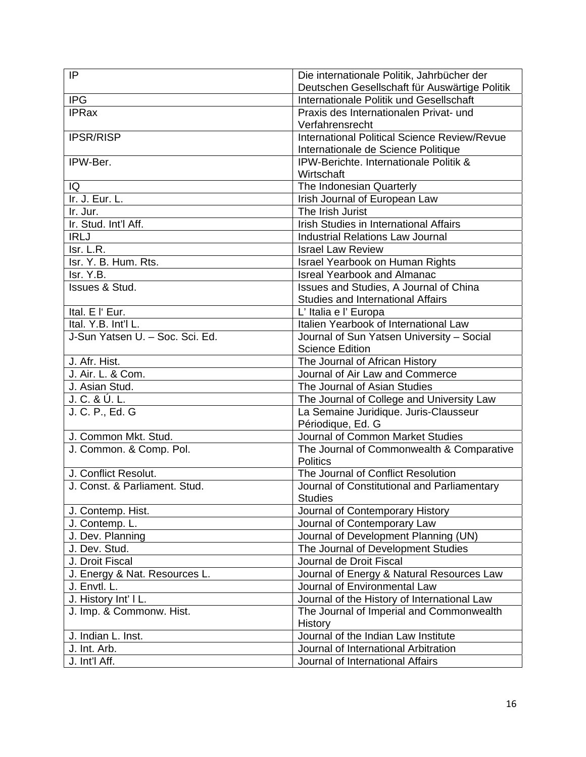| Deutschen Gesellschaft für Auswärtige Politik<br>Internationale Politik und Gesellschaft<br><b>IPG</b><br><b>IPRax</b><br>Praxis des Internationalen Privat- und<br>Verfahrensrecht<br>International Political Science Review/Revue<br><b>IPSR/RISP</b><br>Internationale de Science Politique<br>IPW-Berichte. Internationale Politik &<br>IPW-Ber.<br>Wirtschaft<br>The Indonesian Quarterly<br>IQ<br>Ir. J. Eur. L.<br>Irish Journal of European Law<br>The Irish Jurist<br>Ir. Jur.<br>Ir. Stud. Int'l Aff.<br>Irish Studies in International Affairs<br><b>IRLJ</b><br><b>Industrial Relations Law Journal</b><br>Isr. L.R.<br><b>Israel Law Review</b><br>Isr. Y. B. Hum. Rts.<br>Israel Yearbook on Human Rights<br><b>Isreal Yearbook and Almanac</b><br>Isr. Y.B.<br><b>Issues &amp; Stud.</b><br>Issues and Studies, A Journal of China<br><b>Studies and International Affairs</b><br>Ital. E I' Eur.<br>L' Italia e l' Europa<br>Ital. Y.B. Int'l L.<br>Italien Yearbook of International Law<br>J-Sun Yatsen U. - Soc. Sci. Ed.<br>Journal of Sun Yatsen University - Social<br><b>Science Edition</b><br>J. Afr. Hist.<br>The Journal of African History<br>J. Air. L. & Com.<br>Journal of Air Law and Commerce<br>The Journal of Asian Studies<br>J. Asian Stud.<br>J. C. & Ú. L.<br>The Journal of College and University Law<br>J. C. P., Ed. G<br>La Semaine Juridique. Juris-Clausseur<br>Périodique, Ed. G<br>Journal of Common Market Studies<br>J. Common Mkt. Stud.<br>J. Common. & Comp. Pol.<br>The Journal of Commonwealth & Comparative<br><b>Politics</b><br>J. Conflict Resolut.<br>The Journal of Conflict Resolution<br>J. Const. & Parliament. Stud.<br>Journal of Constitutional and Parliamentary<br><b>Studies</b><br>Journal of Contemporary History<br>J. Contemp. Hist.<br>J. Contemp. L.<br>Journal of Contemporary Law<br>J. Dev. Planning<br>Journal of Development Planning (UN)<br>J. Dev. Stud.<br>The Journal of Development Studies<br>J. Droit Fiscal<br>Journal de Droit Fiscal<br>Journal of Energy & Natural Resources Law<br>J. Energy & Nat. Resources L.<br>J. Envtl. L.<br>Journal of Environmental Law<br>J. History Int' I L.<br>Journal of the History of International Law<br>J. Imp. & Commonw. Hist.<br>The Journal of Imperial and Commonwealth<br>History<br>Journal of the Indian Law Institute<br>J. Indian L. Inst.<br>Journal of International Arbitration<br>J. Int. Arb. | IP            | Die internationale Politik, Jahrbücher der |
|-----------------------------------------------------------------------------------------------------------------------------------------------------------------------------------------------------------------------------------------------------------------------------------------------------------------------------------------------------------------------------------------------------------------------------------------------------------------------------------------------------------------------------------------------------------------------------------------------------------------------------------------------------------------------------------------------------------------------------------------------------------------------------------------------------------------------------------------------------------------------------------------------------------------------------------------------------------------------------------------------------------------------------------------------------------------------------------------------------------------------------------------------------------------------------------------------------------------------------------------------------------------------------------------------------------------------------------------------------------------------------------------------------------------------------------------------------------------------------------------------------------------------------------------------------------------------------------------------------------------------------------------------------------------------------------------------------------------------------------------------------------------------------------------------------------------------------------------------------------------------------------------------------------------------------------------------------------------------------------------------------------------------------------------------------------------------------------------------------------------------------------------------------------------------------------------------------------------------------------------------------------------------------------------------------------------------------------------------------------------------------------------------------------------------------------------------|---------------|--------------------------------------------|
|                                                                                                                                                                                                                                                                                                                                                                                                                                                                                                                                                                                                                                                                                                                                                                                                                                                                                                                                                                                                                                                                                                                                                                                                                                                                                                                                                                                                                                                                                                                                                                                                                                                                                                                                                                                                                                                                                                                                                                                                                                                                                                                                                                                                                                                                                                                                                                                                                                               |               |                                            |
|                                                                                                                                                                                                                                                                                                                                                                                                                                                                                                                                                                                                                                                                                                                                                                                                                                                                                                                                                                                                                                                                                                                                                                                                                                                                                                                                                                                                                                                                                                                                                                                                                                                                                                                                                                                                                                                                                                                                                                                                                                                                                                                                                                                                                                                                                                                                                                                                                                               |               |                                            |
|                                                                                                                                                                                                                                                                                                                                                                                                                                                                                                                                                                                                                                                                                                                                                                                                                                                                                                                                                                                                                                                                                                                                                                                                                                                                                                                                                                                                                                                                                                                                                                                                                                                                                                                                                                                                                                                                                                                                                                                                                                                                                                                                                                                                                                                                                                                                                                                                                                               |               |                                            |
|                                                                                                                                                                                                                                                                                                                                                                                                                                                                                                                                                                                                                                                                                                                                                                                                                                                                                                                                                                                                                                                                                                                                                                                                                                                                                                                                                                                                                                                                                                                                                                                                                                                                                                                                                                                                                                                                                                                                                                                                                                                                                                                                                                                                                                                                                                                                                                                                                                               |               |                                            |
|                                                                                                                                                                                                                                                                                                                                                                                                                                                                                                                                                                                                                                                                                                                                                                                                                                                                                                                                                                                                                                                                                                                                                                                                                                                                                                                                                                                                                                                                                                                                                                                                                                                                                                                                                                                                                                                                                                                                                                                                                                                                                                                                                                                                                                                                                                                                                                                                                                               |               |                                            |
|                                                                                                                                                                                                                                                                                                                                                                                                                                                                                                                                                                                                                                                                                                                                                                                                                                                                                                                                                                                                                                                                                                                                                                                                                                                                                                                                                                                                                                                                                                                                                                                                                                                                                                                                                                                                                                                                                                                                                                                                                                                                                                                                                                                                                                                                                                                                                                                                                                               |               |                                            |
|                                                                                                                                                                                                                                                                                                                                                                                                                                                                                                                                                                                                                                                                                                                                                                                                                                                                                                                                                                                                                                                                                                                                                                                                                                                                                                                                                                                                                                                                                                                                                                                                                                                                                                                                                                                                                                                                                                                                                                                                                                                                                                                                                                                                                                                                                                                                                                                                                                               |               |                                            |
|                                                                                                                                                                                                                                                                                                                                                                                                                                                                                                                                                                                                                                                                                                                                                                                                                                                                                                                                                                                                                                                                                                                                                                                                                                                                                                                                                                                                                                                                                                                                                                                                                                                                                                                                                                                                                                                                                                                                                                                                                                                                                                                                                                                                                                                                                                                                                                                                                                               |               |                                            |
|                                                                                                                                                                                                                                                                                                                                                                                                                                                                                                                                                                                                                                                                                                                                                                                                                                                                                                                                                                                                                                                                                                                                                                                                                                                                                                                                                                                                                                                                                                                                                                                                                                                                                                                                                                                                                                                                                                                                                                                                                                                                                                                                                                                                                                                                                                                                                                                                                                               |               |                                            |
|                                                                                                                                                                                                                                                                                                                                                                                                                                                                                                                                                                                                                                                                                                                                                                                                                                                                                                                                                                                                                                                                                                                                                                                                                                                                                                                                                                                                                                                                                                                                                                                                                                                                                                                                                                                                                                                                                                                                                                                                                                                                                                                                                                                                                                                                                                                                                                                                                                               |               |                                            |
|                                                                                                                                                                                                                                                                                                                                                                                                                                                                                                                                                                                                                                                                                                                                                                                                                                                                                                                                                                                                                                                                                                                                                                                                                                                                                                                                                                                                                                                                                                                                                                                                                                                                                                                                                                                                                                                                                                                                                                                                                                                                                                                                                                                                                                                                                                                                                                                                                                               |               |                                            |
|                                                                                                                                                                                                                                                                                                                                                                                                                                                                                                                                                                                                                                                                                                                                                                                                                                                                                                                                                                                                                                                                                                                                                                                                                                                                                                                                                                                                                                                                                                                                                                                                                                                                                                                                                                                                                                                                                                                                                                                                                                                                                                                                                                                                                                                                                                                                                                                                                                               |               |                                            |
|                                                                                                                                                                                                                                                                                                                                                                                                                                                                                                                                                                                                                                                                                                                                                                                                                                                                                                                                                                                                                                                                                                                                                                                                                                                                                                                                                                                                                                                                                                                                                                                                                                                                                                                                                                                                                                                                                                                                                                                                                                                                                                                                                                                                                                                                                                                                                                                                                                               |               |                                            |
|                                                                                                                                                                                                                                                                                                                                                                                                                                                                                                                                                                                                                                                                                                                                                                                                                                                                                                                                                                                                                                                                                                                                                                                                                                                                                                                                                                                                                                                                                                                                                                                                                                                                                                                                                                                                                                                                                                                                                                                                                                                                                                                                                                                                                                                                                                                                                                                                                                               |               |                                            |
|                                                                                                                                                                                                                                                                                                                                                                                                                                                                                                                                                                                                                                                                                                                                                                                                                                                                                                                                                                                                                                                                                                                                                                                                                                                                                                                                                                                                                                                                                                                                                                                                                                                                                                                                                                                                                                                                                                                                                                                                                                                                                                                                                                                                                                                                                                                                                                                                                                               |               |                                            |
|                                                                                                                                                                                                                                                                                                                                                                                                                                                                                                                                                                                                                                                                                                                                                                                                                                                                                                                                                                                                                                                                                                                                                                                                                                                                                                                                                                                                                                                                                                                                                                                                                                                                                                                                                                                                                                                                                                                                                                                                                                                                                                                                                                                                                                                                                                                                                                                                                                               |               |                                            |
|                                                                                                                                                                                                                                                                                                                                                                                                                                                                                                                                                                                                                                                                                                                                                                                                                                                                                                                                                                                                                                                                                                                                                                                                                                                                                                                                                                                                                                                                                                                                                                                                                                                                                                                                                                                                                                                                                                                                                                                                                                                                                                                                                                                                                                                                                                                                                                                                                                               |               |                                            |
|                                                                                                                                                                                                                                                                                                                                                                                                                                                                                                                                                                                                                                                                                                                                                                                                                                                                                                                                                                                                                                                                                                                                                                                                                                                                                                                                                                                                                                                                                                                                                                                                                                                                                                                                                                                                                                                                                                                                                                                                                                                                                                                                                                                                                                                                                                                                                                                                                                               |               |                                            |
|                                                                                                                                                                                                                                                                                                                                                                                                                                                                                                                                                                                                                                                                                                                                                                                                                                                                                                                                                                                                                                                                                                                                                                                                                                                                                                                                                                                                                                                                                                                                                                                                                                                                                                                                                                                                                                                                                                                                                                                                                                                                                                                                                                                                                                                                                                                                                                                                                                               |               |                                            |
|                                                                                                                                                                                                                                                                                                                                                                                                                                                                                                                                                                                                                                                                                                                                                                                                                                                                                                                                                                                                                                                                                                                                                                                                                                                                                                                                                                                                                                                                                                                                                                                                                                                                                                                                                                                                                                                                                                                                                                                                                                                                                                                                                                                                                                                                                                                                                                                                                                               |               |                                            |
|                                                                                                                                                                                                                                                                                                                                                                                                                                                                                                                                                                                                                                                                                                                                                                                                                                                                                                                                                                                                                                                                                                                                                                                                                                                                                                                                                                                                                                                                                                                                                                                                                                                                                                                                                                                                                                                                                                                                                                                                                                                                                                                                                                                                                                                                                                                                                                                                                                               |               |                                            |
|                                                                                                                                                                                                                                                                                                                                                                                                                                                                                                                                                                                                                                                                                                                                                                                                                                                                                                                                                                                                                                                                                                                                                                                                                                                                                                                                                                                                                                                                                                                                                                                                                                                                                                                                                                                                                                                                                                                                                                                                                                                                                                                                                                                                                                                                                                                                                                                                                                               |               |                                            |
|                                                                                                                                                                                                                                                                                                                                                                                                                                                                                                                                                                                                                                                                                                                                                                                                                                                                                                                                                                                                                                                                                                                                                                                                                                                                                                                                                                                                                                                                                                                                                                                                                                                                                                                                                                                                                                                                                                                                                                                                                                                                                                                                                                                                                                                                                                                                                                                                                                               |               |                                            |
|                                                                                                                                                                                                                                                                                                                                                                                                                                                                                                                                                                                                                                                                                                                                                                                                                                                                                                                                                                                                                                                                                                                                                                                                                                                                                                                                                                                                                                                                                                                                                                                                                                                                                                                                                                                                                                                                                                                                                                                                                                                                                                                                                                                                                                                                                                                                                                                                                                               |               |                                            |
|                                                                                                                                                                                                                                                                                                                                                                                                                                                                                                                                                                                                                                                                                                                                                                                                                                                                                                                                                                                                                                                                                                                                                                                                                                                                                                                                                                                                                                                                                                                                                                                                                                                                                                                                                                                                                                                                                                                                                                                                                                                                                                                                                                                                                                                                                                                                                                                                                                               |               |                                            |
|                                                                                                                                                                                                                                                                                                                                                                                                                                                                                                                                                                                                                                                                                                                                                                                                                                                                                                                                                                                                                                                                                                                                                                                                                                                                                                                                                                                                                                                                                                                                                                                                                                                                                                                                                                                                                                                                                                                                                                                                                                                                                                                                                                                                                                                                                                                                                                                                                                               |               |                                            |
|                                                                                                                                                                                                                                                                                                                                                                                                                                                                                                                                                                                                                                                                                                                                                                                                                                                                                                                                                                                                                                                                                                                                                                                                                                                                                                                                                                                                                                                                                                                                                                                                                                                                                                                                                                                                                                                                                                                                                                                                                                                                                                                                                                                                                                                                                                                                                                                                                                               |               |                                            |
|                                                                                                                                                                                                                                                                                                                                                                                                                                                                                                                                                                                                                                                                                                                                                                                                                                                                                                                                                                                                                                                                                                                                                                                                                                                                                                                                                                                                                                                                                                                                                                                                                                                                                                                                                                                                                                                                                                                                                                                                                                                                                                                                                                                                                                                                                                                                                                                                                                               |               |                                            |
|                                                                                                                                                                                                                                                                                                                                                                                                                                                                                                                                                                                                                                                                                                                                                                                                                                                                                                                                                                                                                                                                                                                                                                                                                                                                                                                                                                                                                                                                                                                                                                                                                                                                                                                                                                                                                                                                                                                                                                                                                                                                                                                                                                                                                                                                                                                                                                                                                                               |               |                                            |
|                                                                                                                                                                                                                                                                                                                                                                                                                                                                                                                                                                                                                                                                                                                                                                                                                                                                                                                                                                                                                                                                                                                                                                                                                                                                                                                                                                                                                                                                                                                                                                                                                                                                                                                                                                                                                                                                                                                                                                                                                                                                                                                                                                                                                                                                                                                                                                                                                                               |               |                                            |
|                                                                                                                                                                                                                                                                                                                                                                                                                                                                                                                                                                                                                                                                                                                                                                                                                                                                                                                                                                                                                                                                                                                                                                                                                                                                                                                                                                                                                                                                                                                                                                                                                                                                                                                                                                                                                                                                                                                                                                                                                                                                                                                                                                                                                                                                                                                                                                                                                                               |               |                                            |
|                                                                                                                                                                                                                                                                                                                                                                                                                                                                                                                                                                                                                                                                                                                                                                                                                                                                                                                                                                                                                                                                                                                                                                                                                                                                                                                                                                                                                                                                                                                                                                                                                                                                                                                                                                                                                                                                                                                                                                                                                                                                                                                                                                                                                                                                                                                                                                                                                                               |               |                                            |
|                                                                                                                                                                                                                                                                                                                                                                                                                                                                                                                                                                                                                                                                                                                                                                                                                                                                                                                                                                                                                                                                                                                                                                                                                                                                                                                                                                                                                                                                                                                                                                                                                                                                                                                                                                                                                                                                                                                                                                                                                                                                                                                                                                                                                                                                                                                                                                                                                                               |               |                                            |
|                                                                                                                                                                                                                                                                                                                                                                                                                                                                                                                                                                                                                                                                                                                                                                                                                                                                                                                                                                                                                                                                                                                                                                                                                                                                                                                                                                                                                                                                                                                                                                                                                                                                                                                                                                                                                                                                                                                                                                                                                                                                                                                                                                                                                                                                                                                                                                                                                                               |               |                                            |
|                                                                                                                                                                                                                                                                                                                                                                                                                                                                                                                                                                                                                                                                                                                                                                                                                                                                                                                                                                                                                                                                                                                                                                                                                                                                                                                                                                                                                                                                                                                                                                                                                                                                                                                                                                                                                                                                                                                                                                                                                                                                                                                                                                                                                                                                                                                                                                                                                                               |               |                                            |
|                                                                                                                                                                                                                                                                                                                                                                                                                                                                                                                                                                                                                                                                                                                                                                                                                                                                                                                                                                                                                                                                                                                                                                                                                                                                                                                                                                                                                                                                                                                                                                                                                                                                                                                                                                                                                                                                                                                                                                                                                                                                                                                                                                                                                                                                                                                                                                                                                                               |               |                                            |
|                                                                                                                                                                                                                                                                                                                                                                                                                                                                                                                                                                                                                                                                                                                                                                                                                                                                                                                                                                                                                                                                                                                                                                                                                                                                                                                                                                                                                                                                                                                                                                                                                                                                                                                                                                                                                                                                                                                                                                                                                                                                                                                                                                                                                                                                                                                                                                                                                                               |               |                                            |
|                                                                                                                                                                                                                                                                                                                                                                                                                                                                                                                                                                                                                                                                                                                                                                                                                                                                                                                                                                                                                                                                                                                                                                                                                                                                                                                                                                                                                                                                                                                                                                                                                                                                                                                                                                                                                                                                                                                                                                                                                                                                                                                                                                                                                                                                                                                                                                                                                                               |               |                                            |
|                                                                                                                                                                                                                                                                                                                                                                                                                                                                                                                                                                                                                                                                                                                                                                                                                                                                                                                                                                                                                                                                                                                                                                                                                                                                                                                                                                                                                                                                                                                                                                                                                                                                                                                                                                                                                                                                                                                                                                                                                                                                                                                                                                                                                                                                                                                                                                                                                                               |               |                                            |
|                                                                                                                                                                                                                                                                                                                                                                                                                                                                                                                                                                                                                                                                                                                                                                                                                                                                                                                                                                                                                                                                                                                                                                                                                                                                                                                                                                                                                                                                                                                                                                                                                                                                                                                                                                                                                                                                                                                                                                                                                                                                                                                                                                                                                                                                                                                                                                                                                                               |               |                                            |
|                                                                                                                                                                                                                                                                                                                                                                                                                                                                                                                                                                                                                                                                                                                                                                                                                                                                                                                                                                                                                                                                                                                                                                                                                                                                                                                                                                                                                                                                                                                                                                                                                                                                                                                                                                                                                                                                                                                                                                                                                                                                                                                                                                                                                                                                                                                                                                                                                                               |               |                                            |
|                                                                                                                                                                                                                                                                                                                                                                                                                                                                                                                                                                                                                                                                                                                                                                                                                                                                                                                                                                                                                                                                                                                                                                                                                                                                                                                                                                                                                                                                                                                                                                                                                                                                                                                                                                                                                                                                                                                                                                                                                                                                                                                                                                                                                                                                                                                                                                                                                                               |               |                                            |
|                                                                                                                                                                                                                                                                                                                                                                                                                                                                                                                                                                                                                                                                                                                                                                                                                                                                                                                                                                                                                                                                                                                                                                                                                                                                                                                                                                                                                                                                                                                                                                                                                                                                                                                                                                                                                                                                                                                                                                                                                                                                                                                                                                                                                                                                                                                                                                                                                                               |               |                                            |
|                                                                                                                                                                                                                                                                                                                                                                                                                                                                                                                                                                                                                                                                                                                                                                                                                                                                                                                                                                                                                                                                                                                                                                                                                                                                                                                                                                                                                                                                                                                                                                                                                                                                                                                                                                                                                                                                                                                                                                                                                                                                                                                                                                                                                                                                                                                                                                                                                                               |               |                                            |
|                                                                                                                                                                                                                                                                                                                                                                                                                                                                                                                                                                                                                                                                                                                                                                                                                                                                                                                                                                                                                                                                                                                                                                                                                                                                                                                                                                                                                                                                                                                                                                                                                                                                                                                                                                                                                                                                                                                                                                                                                                                                                                                                                                                                                                                                                                                                                                                                                                               |               |                                            |
|                                                                                                                                                                                                                                                                                                                                                                                                                                                                                                                                                                                                                                                                                                                                                                                                                                                                                                                                                                                                                                                                                                                                                                                                                                                                                                                                                                                                                                                                                                                                                                                                                                                                                                                                                                                                                                                                                                                                                                                                                                                                                                                                                                                                                                                                                                                                                                                                                                               | J. Int'l Aff. | Journal of International Affairs           |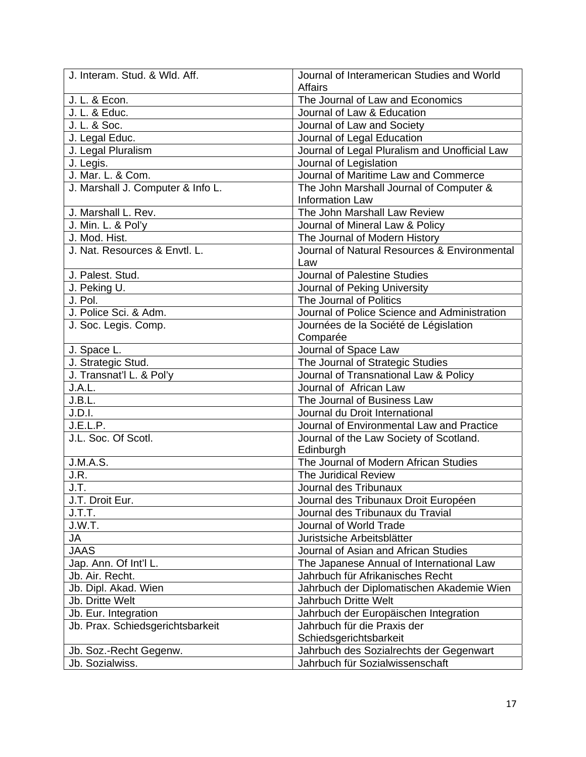| J. Interam. Stud. & Wld. Aff.     | Journal of Interamerican Studies and World    |
|-----------------------------------|-----------------------------------------------|
|                                   | <b>Affairs</b>                                |
| J. L. & Econ.                     | The Journal of Law and Economics              |
| J. L. & Educ.                     | Journal of Law & Education                    |
| J. L. & Soc.                      | Journal of Law and Society                    |
| J. Legal Educ.                    | Journal of Legal Education                    |
| J. Legal Pluralism                | Journal of Legal Pluralism and Unofficial Law |
| J. Legis.                         | Journal of Legislation                        |
| J. Mar. L. & Com.                 | Journal of Maritime Law and Commerce          |
| J. Marshall J. Computer & Info L. | The John Marshall Journal of Computer &       |
|                                   | <b>Information Law</b>                        |
| J. Marshall L. Rev.               | The John Marshall Law Review                  |
| J. Min. L. & Pol'y                | Journal of Mineral Law & Policy               |
| J. Mod. Hist.                     | The Journal of Modern History                 |
| J. Nat. Resources & Envtl. L.     | Journal of Natural Resources & Environmental  |
|                                   | Law                                           |
| J. Palest. Stud.                  | <b>Journal of Palestine Studies</b>           |
| J. Peking U.                      | Journal of Peking University                  |
| J. Pol.                           | The Journal of Politics                       |
| J. Police Sci. & Adm.             | Journal of Police Science and Administration  |
| J. Soc. Legis. Comp.              | Journées de la Société de Législation         |
|                                   | Comparée                                      |
| J. Space L.                       | Journal of Space Law                          |
| J. Strategic Stud.                | The Journal of Strategic Studies              |
| J. Transnat'l L. & Pol'y          | Journal of Transnational Law & Policy         |
| J.A.L.                            | Journal of African Law                        |
| J.B.L.                            | The Journal of Business Law                   |
| J.D.I.                            | Journal du Droit International                |
| J.E.L.P.                          | Journal of Environmental Law and Practice     |
| J.L. Soc. Of Scotl.               | Journal of the Law Society of Scotland.       |
|                                   | Edinburgh                                     |
| J.M.A.S.                          | The Journal of Modern African Studies         |
| J.R.                              | The Juridical Review                          |
| J.T.                              | Journal des Tribunaux                         |
| J.T. Droit Eur.                   | Journal des Tribunaux Droit Européen          |
| J.T.T.                            | Journal des Tribunaux du Travial              |
| J.W.T.                            | Journal of World Trade                        |
| JA                                | Juristsiche Arbeitsblätter                    |
| <b>JAAS</b>                       | Journal of Asian and African Studies          |
| Jap. Ann. Of Int'l L.             | The Japanese Annual of International Law      |
| Jb. Air. Recht.                   | Jahrbuch für Afrikanisches Recht              |
| Jb. Dipl. Akad. Wien              | Jahrbuch der Diplomatischen Akademie Wien     |
| Jb. Dritte Welt                   | <b>Jahrbuch Dritte Welt</b>                   |
| Jb. Eur. Integration              | Jahrbuch der Europäischen Integration         |
| Jb. Prax. Schiedsgerichtsbarkeit  | Jahrbuch für die Praxis der                   |
|                                   | Schiedsgerichtsbarkeit                        |
| Jb. Soz.-Recht Gegenw.            | Jahrbuch des Sozialrechts der Gegenwart       |
| Jb. Sozialwiss.                   | Jahrbuch für Sozialwissenschaft               |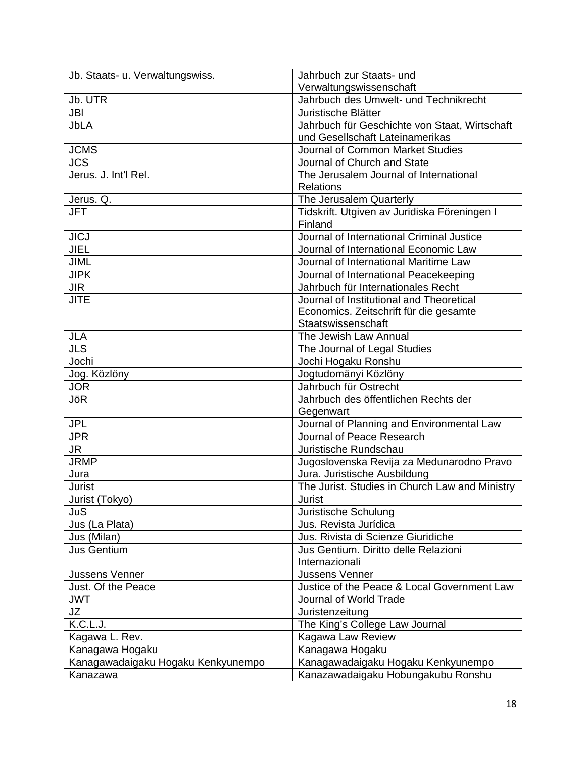| Jb. Staats- u. Verwaltungswiss.    | Jahrbuch zur Staats- und                       |
|------------------------------------|------------------------------------------------|
|                                    | Verwaltungswissenschaft                        |
| Jb. UTR                            | Jahrbuch des Umwelt- und Technikrecht          |
| <b>JBI</b>                         | Juristische Blätter                            |
| <b>JbLA</b>                        | Jahrbuch für Geschichte von Staat, Wirtschaft  |
|                                    | und Gesellschaft Lateinamerikas                |
| <b>JCMS</b>                        | Journal of Common Market Studies               |
| <b>JCS</b>                         | Journal of Church and State                    |
| Jerus. J. Int'l Rel.               | The Jerusalem Journal of International         |
|                                    | <b>Relations</b>                               |
| Jerus. Q.                          | The Jerusalem Quarterly                        |
| <b>JFT</b>                         | Tidskrift. Utgiven av Juridiska Föreningen I   |
|                                    | Finland                                        |
| <b>JICJ</b>                        | Journal of International Criminal Justice      |
| <b>JIEL</b>                        | Journal of International Economic Law          |
| <b>JIML</b>                        | Journal of International Maritime Law          |
| <b>JIPK</b>                        | Journal of International Peacekeeping          |
| <b>JIR</b>                         | Jahrbuch für Internationales Recht             |
| <b>JITE</b>                        | Journal of Institutional and Theoretical       |
|                                    | Economics. Zeitschrift für die gesamte         |
|                                    | Staatswissenschaft                             |
| <b>JLA</b>                         | The Jewish Law Annual                          |
| <b>JLS</b>                         | The Journal of Legal Studies                   |
| Jochi                              | Jochi Hogaku Ronshu                            |
| Jog. Közlöny                       | Jogtudomänyi Közlöny                           |
| <b>JOR</b>                         | Jahrbuch für Ostrecht                          |
| JöR                                | Jahrbuch des öffentlichen Rechts der           |
|                                    | Gegenwart                                      |
| <b>JPL</b>                         | Journal of Planning and Environmental Law      |
| <b>JPR</b>                         | Journal of Peace Research                      |
| JR.                                | Juristische Rundschau                          |
| <b>JRMP</b>                        | Jugoslovenska Revija za Medunarodno Pravo      |
| Jura                               | Jura. Juristische Ausbildung                   |
| Jurist                             | The Jurist. Studies in Church Law and Ministry |
| Jurist (Tokyo)                     | Jurist                                         |
| JuS                                | Juristische Schulung                           |
| Jus (La Plata)                     | Jus. Revista Jurídica                          |
| Jus (Milan)                        | Jus. Rivista di Scienze Giuridiche             |
| <b>Jus Gentium</b>                 | Jus Gentium. Diritto delle Relazioni           |
|                                    | Internazionali                                 |
| <b>Jussens Venner</b>              | <b>Jussens Venner</b>                          |
| Just. Of the Peace                 | Justice of the Peace & Local Government Law    |
| <b>JWT</b>                         | Journal of World Trade                         |
| JZ                                 | Juristenzeitung                                |
| K.C.L.J.                           | The King's College Law Journal                 |
| Kagawa L. Rev.                     | Kagawa Law Review                              |
| Kanagawa Hogaku                    | Kanagawa Hogaku                                |
| Kanagawadaigaku Hogaku Kenkyunempo | Kanagawadaigaku Hogaku Kenkyunempo             |
| Kanazawa                           | Kanazawadaigaku Hobungakubu Ronshu             |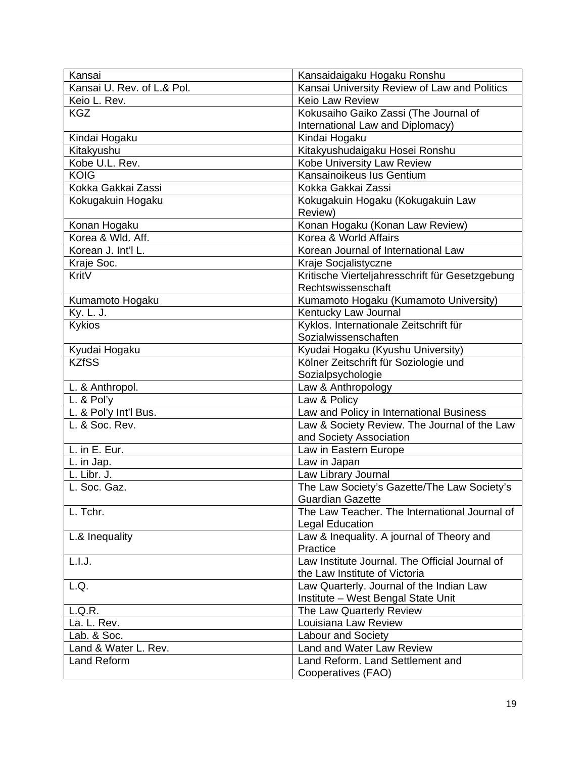| Kansai                     | Kansaidaigaku Hogaku Ronshu                     |
|----------------------------|-------------------------------------------------|
| Kansai U. Rev. of L.& Pol. | Kansai University Review of Law and Politics    |
| Keio L. Rev.               | Keio Law Review                                 |
| <b>KGZ</b>                 | Kokusaiho Gaiko Zassi (The Journal of           |
|                            | International Law and Diplomacy)                |
| Kindai Hogaku              | Kindai Hogaku                                   |
| Kitakyushu                 | Kitakyushudaigaku Hosei Ronshu                  |
| Kobe U.L. Rev.             | Kobe University Law Review                      |
| <b>KOIG</b>                | Kansainoikeus lus Gentium                       |
| Kokka Gakkai Zassi         | Kokka Gakkai Zassi                              |
| Kokugakuin Hogaku          | Kokugakuin Hogaku (Kokugakuin Law               |
|                            | Review)                                         |
| Konan Hogaku               | Konan Hogaku (Konan Law Review)                 |
| Korea & Wld. Aff.          | Korea & World Affairs                           |
| Korean J. Int'l L.         | Korean Journal of International Law             |
| Kraje Soc.                 | Kraje Socjalistyczne                            |
| KritV                      | Kritische Vierteljahresschrift für Gesetzgebung |
|                            | Rechtswissenschaft                              |
| Kumamoto Hogaku            | Kumamoto Hogaku (Kumamoto University)           |
| Ky. L. J.                  | Kentucky Law Journal                            |
| Kykios                     | Kyklos. Internationale Zeitschrift für          |
|                            | Sozialwissenschaften                            |
| Kyudai Hogaku              | Kyudai Hogaku (Kyushu University)               |
| <b>KZfSS</b>               | Kölner Zeitschrift für Soziologie und           |
|                            | Sozialpsychologie                               |
| L. & Anthropol.            | Law & Anthropology                              |
| L. $& Pol'y$               | Law & Policy                                    |
| L. & Pol'y Int'l Bus.      | Law and Policy in International Business        |
| L. & Soc. Rev.             | Law & Society Review. The Journal of the Law    |
|                            | and Society Association                         |
| L. in E. Eur.              | Law in Eastern Europe                           |
| L. in Jap.                 | Law in Japan                                    |
| L. Libr. J.                | Law Library Journal                             |
| L. Soc. Gaz.               | The Law Society's Gazette/The Law Society's     |
|                            | <b>Guardian Gazette</b>                         |
| L. Tchr.                   | The Law Teacher. The International Journal of   |
|                            | <b>Legal Education</b>                          |
| L.& Inequality             | Law & Inequality. A journal of Theory and       |
|                            | Practice                                        |
| L.I.J.                     | Law Institute Journal. The Official Journal of  |
|                            | the Law Institute of Victoria                   |
| L.Q.                       | Law Quarterly. Journal of the Indian Law        |
|                            | Institute - West Bengal State Unit              |
| L.Q.R.                     | The Law Quarterly Review                        |
| La. L. Rev.                | Louisiana Law Review                            |
| Lab. & Soc.                | <b>Labour and Society</b>                       |
| Land & Water L. Rev.       | Land and Water Law Review                       |
| Land Reform                | Land Reform. Land Settlement and                |
|                            | Cooperatives (FAO)                              |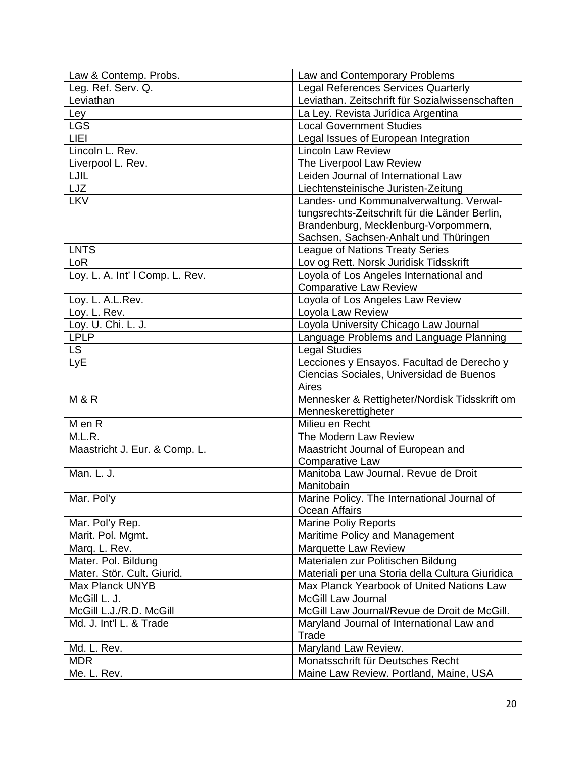| Law & Contemp. Probs.           | Law and Contemporary Problems                    |
|---------------------------------|--------------------------------------------------|
| Leg. Ref. Serv. Q.              | <b>Legal References Services Quarterly</b>       |
| Leviathan                       | Leviathan. Zeitschrift für Sozialwissenschaften  |
| Ley                             | La Ley. Revista Jurídica Argentina               |
| <b>LGS</b>                      | <b>Local Government Studies</b>                  |
| LIEI                            | Legal Issues of European Integration             |
| Lincoln L. Rev.                 | Lincoln Law Review                               |
| Liverpool L. Rev.               | The Liverpool Law Review                         |
| LJIL                            | Leiden Journal of International Law              |
| LJZ                             | Liechtensteinische Juristen-Zeitung              |
| <b>LKV</b>                      | Landes- und Kommunalverwaltung. Verwal-          |
|                                 | tungsrechts-Zeitschrift für die Länder Berlin,   |
|                                 | Brandenburg, Mecklenburg-Vorpommern,             |
|                                 | Sachsen, Sachsen-Anhalt und Thüringen            |
| <b>LNTS</b>                     | League of Nations Treaty Series                  |
| LoR                             | Lov og Rett. Norsk Juridisk Tidsskrift           |
| Loy. L. A. Int' I Comp. L. Rev. | Loyola of Los Angeles International and          |
|                                 | <b>Comparative Law Review</b>                    |
| Loy. L. A.L.Rev.                | Loyola of Los Angeles Law Review                 |
| Loy. L. Rev.                    | Loyola Law Review                                |
| Loy. U. Chi. L. J.              | Loyola University Chicago Law Journal            |
| <b>LPLP</b>                     | Language Problems and Language Planning          |
| <b>LS</b>                       | <b>Legal Studies</b>                             |
| LyE                             | Lecciones y Ensayos. Facultad de Derecho y       |
|                                 | Ciencias Sociales, Universidad de Buenos         |
|                                 | Aires                                            |
| <b>M&amp;R</b>                  | Mennesker & Rettigheter/Nordisk Tidsskrift om    |
|                                 | Menneskerettigheter                              |
| M en R                          | Milieu en Recht                                  |
| M.L.R.                          | The Modern Law Review                            |
| Maastricht J. Eur. & Comp. L.   | Maastricht Journal of European and               |
|                                 | <b>Comparative Law</b>                           |
| Man. L. J.                      | Manitoba Law Journal. Revue de Droit             |
|                                 | Manitobain                                       |
| Mar. Pol'y                      | Marine Policy. The International Journal of      |
|                                 | <b>Ocean Affairs</b>                             |
| Mar. Pol'y Rep.                 | <b>Marine Poliy Reports</b>                      |
| Marit. Pol. Mgmt.               | Maritime Policy and Management                   |
| Marq. L. Rev.                   | Marquette Law Review                             |
| Mater. Pol. Bildung             | Materialen zur Politischen Bildung               |
| Mater. Stör. Cult. Giurid.      | Materiali per una Storia della Cultura Giuridica |
| <b>Max Planck UNYB</b>          | Max Planck Yearbook of United Nations Law        |
| McGill L. J.                    | <b>McGill Law Journal</b>                        |
| McGill L.J./R.D. McGill         | McGill Law Journal/Revue de Droit de McGill.     |
| Md. J. Int'l L. & Trade         | Maryland Journal of International Law and        |
|                                 | Trade                                            |
| Md. L. Rev.                     | Maryland Law Review.                             |
| <b>MDR</b>                      | Monatsschrift für Deutsches Recht                |
| Me. L. Rev.                     | Maine Law Review. Portland, Maine, USA           |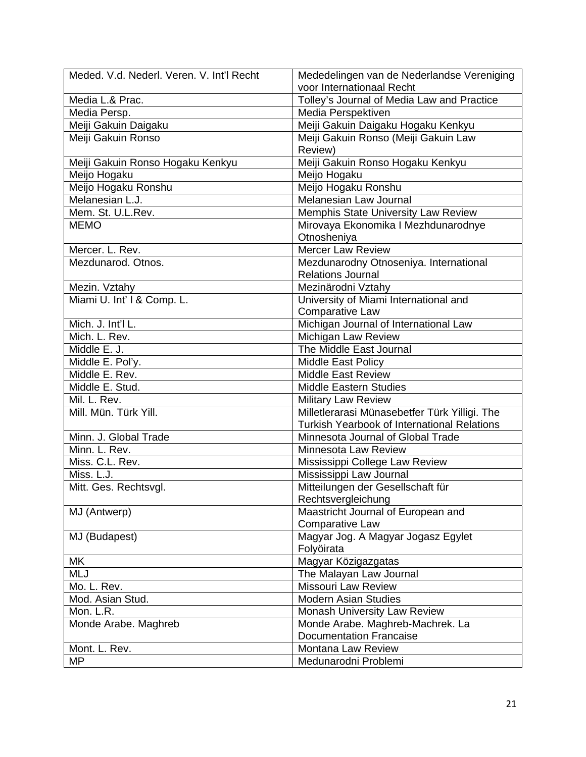| Meded, V.d. Nederl, Veren, V. Int'l Recht | Mededelingen van de Nederlandse Vereniging         |
|-------------------------------------------|----------------------------------------------------|
|                                           | voor Internationaal Recht                          |
| Media L.& Prac.                           | Tolley's Journal of Media Law and Practice         |
| Media Persp.                              | Media Perspektiven                                 |
| Meiji Gakuin Daigaku                      | Meiji Gakuin Daigaku Hogaku Kenkyu                 |
| Meiji Gakuin Ronso                        | Meiji Gakuin Ronso (Meiji Gakuin Law               |
|                                           | Review)                                            |
| Meiji Gakuin Ronso Hogaku Kenkyu          | Meiji Gakuin Ronso Hogaku Kenkyu                   |
| Meijo Hogaku                              | Meijo Hogaku                                       |
| Meijo Hogaku Ronshu                       | Meijo Hogaku Ronshu                                |
| Melanesian L.J.                           | Melanesian Law Journal                             |
| Mem. St. U.L.Rev.                         | Memphis State University Law Review                |
| <b>MEMO</b>                               | Mirovaya Ekonomika I Mezhdunarodnye                |
|                                           | Otnosheniya                                        |
| Mercer. L. Rev.                           | Mercer Law Review                                  |
| Mezdunarod. Otnos.                        | Mezdunarodny Otnoseniya. International             |
|                                           | <b>Relations Journal</b>                           |
| Mezin. Vztahy                             | Mezinärodni Vztahy                                 |
| Miami U. Int' I & Comp. L.                | University of Miami International and              |
|                                           | Comparative Law                                    |
| Mich. J. Int'l L.                         | Michigan Journal of International Law              |
| Mich. L. Rev.                             | Michigan Law Review                                |
| Middle E. J.                              | The Middle East Journal                            |
| Middle E. Pol'y.                          | <b>Middle East Policy</b>                          |
| Middle E. Rev.                            | <b>Middle East Review</b>                          |
| Middle E. Stud.                           | <b>Middle Eastern Studies</b>                      |
| Mil. L. Rev.                              | <b>Military Law Review</b>                         |
| Mill. Mün. Türk Yill.                     | Milletlerarasi Münasebetfer Türk Yilligi. The      |
|                                           | <b>Turkish Yearbook of International Relations</b> |
| Minn. J. Global Trade                     | Minnesota Journal of Global Trade                  |
| Minn. L. Rev.                             | Minnesota Law Review                               |
| Miss. C.L. Rev.                           | Mississippi College Law Review                     |
| Miss. L.J.                                | Mississippi Law Journal                            |
| Mitt. Ges. Rechtsvgl.                     | Mitteilungen der Gesellschaft für                  |
|                                           | Rechtsvergleichung                                 |
| MJ (Antwerp)                              | Maastricht Journal of European and                 |
|                                           | <b>Comparative Law</b>                             |
| MJ (Budapest)                             | Magyar Jog. A Magyar Jogasz Egylet                 |
|                                           | Folyöirata                                         |
| MK                                        | Magyar Közigazgatas                                |
| <b>MLJ</b>                                | The Malayan Law Journal                            |
| Mo. L. Rev.                               | <b>Missouri Law Review</b>                         |
| Mod. Asian Stud.                          | <b>Modern Asian Studies</b>                        |
| Mon. L.R.                                 | Monash University Law Review                       |
| Monde Arabe. Maghreb                      | Monde Arabe. Maghreb-Machrek. La                   |
|                                           | <b>Documentation Francaise</b>                     |
| Mont. L. Rev.                             | Montana Law Review                                 |
| <b>MP</b>                                 | Medunarodni Problemi                               |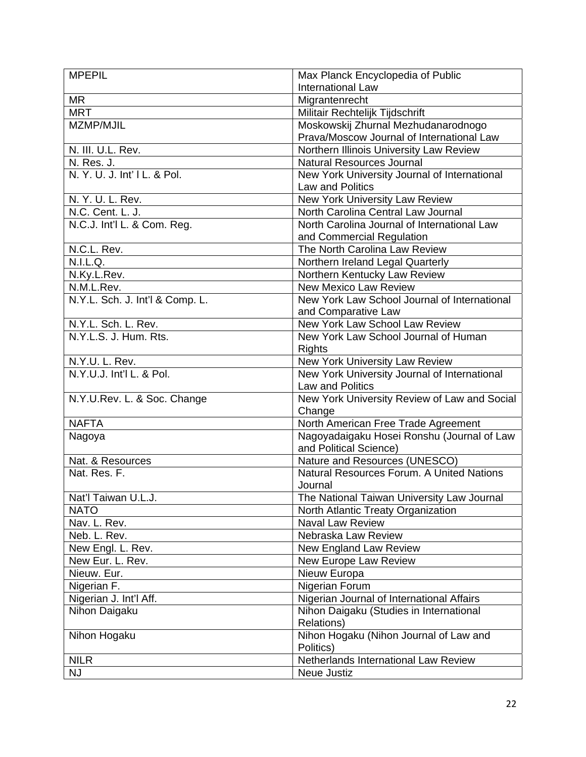| <b>MPEPIL</b>                   | Max Planck Encyclopedia of Public                             |
|---------------------------------|---------------------------------------------------------------|
|                                 | <b>International Law</b>                                      |
| <b>MR</b>                       | Migrantenrecht                                                |
| <b>MRT</b>                      | Militair Rechtelijk Tijdschrift                               |
| MZMP/MJIL                       | Moskowskij Zhurnal Mezhudanarodnogo                           |
|                                 | Prava/Moscow Journal of International Law                     |
| N. III. U.L. Rev.               | Northern Illinois University Law Review                       |
| N. Res. J.                      | <b>Natural Resources Journal</b>                              |
| N. Y. U. J. Int' I L. & Pol.    | New York University Journal of International                  |
|                                 | Law and Politics                                              |
| N. Y. U. L. Rev.                | New York University Law Review                                |
| N.C. Cent. L. J.                | North Carolina Central Law Journal                            |
| N.C.J. Int'l L. & Com. Reg.     | North Carolina Journal of International Law                   |
|                                 | and Commercial Regulation                                     |
| N.C.L. Rev.                     | The North Carolina Law Review                                 |
| N.I.L.Q.                        | Northern Ireland Legal Quarterly                              |
| N.Ky.L.Rev.                     | Northern Kentucky Law Review                                  |
| N.M.L.Rev.                      | <b>New Mexico Law Review</b>                                  |
| N.Y.L. Sch. J. Int'l & Comp. L. | New York Law School Journal of International                  |
|                                 | and Comparative Law                                           |
| N.Y.L. Sch. L. Rev.             | New York Law School Law Review                                |
| N.Y.L.S. J. Hum. Rts.           | New York Law School Journal of Human                          |
|                                 | <b>Rights</b>                                                 |
| N.Y.U. L. Rev.                  | New York University Law Review                                |
| N.Y.U.J. Int'l L. & Pol.        | New York University Journal of International                  |
|                                 | Law and Politics                                              |
| N.Y.U.Rev. L. & Soc. Change     | New York University Review of Law and Social                  |
|                                 | Change                                                        |
| <b>NAFTA</b>                    | North American Free Trade Agreement                           |
| Nagoya                          | Nagoyadaigaku Hosei Ronshu (Journal of Law                    |
|                                 | and Political Science)                                        |
| Nat. & Resources                | Nature and Resources (UNESCO)                                 |
| Nat. Res. F.                    | Natural Resources Forum. A United Nations                     |
|                                 | Journal                                                       |
| Nat'l Taiwan U.L.J.             | The National Taiwan University Law Journal                    |
| <b>NATO</b>                     | North Atlantic Treaty Organization<br><b>Naval Law Review</b> |
| Nav. L. Rev.                    |                                                               |
| Neb. L. Rev.                    | Nebraska Law Review                                           |
| New Engl. L. Rev.               | New England Law Review                                        |
| New Eur. L. Rev.<br>Nieuw. Eur. | New Europe Law Review<br>Nieuw Europa                         |
|                                 |                                                               |
| Nigerian F.                     | Nigerian Forum<br>Nigerian Journal of International Affairs   |
| Nigerian J. Int'l Aff.          |                                                               |
| Nihon Daigaku                   | Nihon Daigaku (Studies in International<br>Relations)         |
|                                 | Nihon Hogaku (Nihon Journal of Law and                        |
| Nihon Hogaku                    | Politics)                                                     |
| <b>NILR</b>                     | Netherlands International Law Review                          |
| <b>NJ</b>                       |                                                               |
|                                 | Neue Justiz                                                   |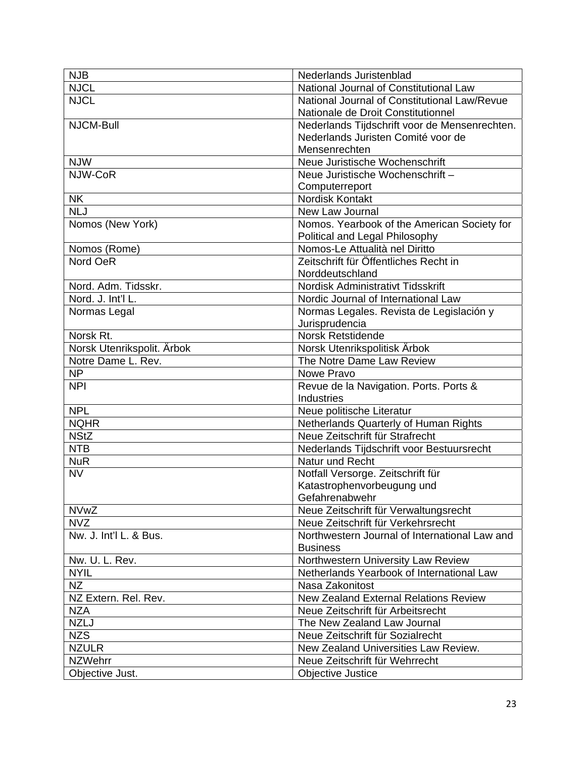| <b>NJB</b>                 | Nederlands Juristenblad                       |
|----------------------------|-----------------------------------------------|
| <b>NJCL</b>                | National Journal of Constitutional Law        |
| <b>NJCL</b>                | National Journal of Constitutional Law/Revue  |
|                            | Nationale de Droit Constitutionnel            |
| NJCM-Bull                  | Nederlands Tijdschrift voor de Mensenrechten. |
|                            | Nederlands Juristen Comité voor de            |
|                            | Mensenrechten                                 |
| <b>NJW</b>                 | Neue Juristische Wochenschrift                |
| NJW-CoR                    | Neue Juristische Wochenschrift-               |
|                            | Computerreport                                |
| <b>NK</b>                  | Nordisk Kontakt                               |
| <b>NLJ</b>                 | New Law Journal                               |
| Nomos (New York)           | Nomos. Yearbook of the American Society for   |
|                            | Political and Legal Philosophy                |
| Nomos (Rome)               | Nomos-Le Attualità nel Diritto                |
| Nord OeR                   | Zeitschrift für Öffentliches Recht in         |
|                            | Norddeutschland                               |
| Nord. Adm. Tidsskr.        | Nordisk Administrativt Tidsskrift             |
| Nord. J. Int'l L.          | Nordic Journal of International Law           |
| Normas Legal               | Normas Legales. Revista de Legislación y      |
|                            | Jurisprudencia                                |
| Norsk Rt.                  | <b>Norsk Retstidende</b>                      |
| Norsk Utenrikspolit. Ärbok | Norsk Utenrikspolitisk Arbok                  |
| Notre Dame L. Rev.         | The Notre Dame Law Review                     |
| <b>NP</b>                  | Nowe Pravo                                    |
| <b>NPI</b>                 | Revue de la Navigation. Ports. Ports &        |
|                            | <b>Industries</b>                             |
| <b>NPL</b>                 | Neue politische Literatur                     |
| <b>NQHR</b>                | Netherlands Quarterly of Human Rights         |
| <b>NStZ</b>                | Neue Zeitschrift für Strafrecht               |
| <b>NTB</b>                 | Nederlands Tijdschrift voor Bestuursrecht     |
| <b>NuR</b>                 | Natur und Recht                               |
| <b>NV</b>                  | Notfall Versorge. Zeitschrift für             |
|                            | Katastrophenvorbeugung und                    |
|                            | Gefahrenabwehr                                |
| <b>NVwZ</b>                | Neue Zeitschrift für Verwaltungsrecht         |
| <b>NVZ</b>                 | Neue Zeitschrift für Verkehrsrecht            |
| Nw. J. Int'l L. & Bus.     | Northwestern Journal of International Law and |
|                            | <b>Business</b>                               |
| Nw. U. L. Rev.             | Northwestern University Law Review            |
| <b>NYIL</b>                | Netherlands Yearbook of International Law     |
| NZ                         | Nasa Zakonitost                               |
| NZ Extern. Rel. Rev.       | <b>New Zealand External Relations Review</b>  |
| <b>NZA</b>                 | Neue Zeitschrift für Arbeitsrecht             |
| <b>NZLJ</b>                | The New Zealand Law Journal                   |
| <b>NZS</b>                 | Neue Zeitschrift für Sozialrecht              |
| <b>NZULR</b>               | New Zealand Universities Law Review.          |
| <b>NZWehrr</b>             | Neue Zeitschrift für Wehrrecht                |
| Objective Just.            | Objective Justice                             |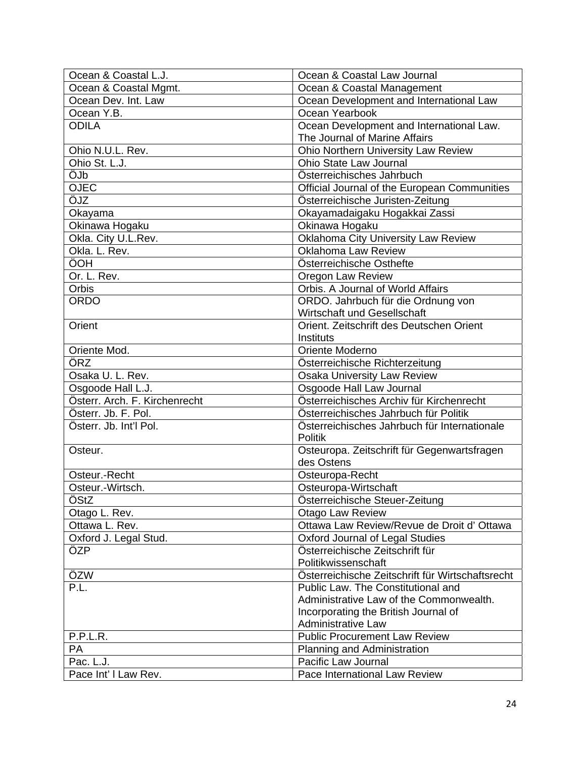| Ocean & Coastal L.J.          | Ocean & Coastal Law Journal                      |
|-------------------------------|--------------------------------------------------|
| Ocean & Coastal Mgmt.         | Ocean & Coastal Management                       |
| Ocean Dev. Int. Law           | Ocean Development and International Law          |
| Ocean Y.B.                    | Ocean Yearbook                                   |
| <b>ODILA</b>                  | Ocean Development and International Law.         |
|                               | The Journal of Marine Affairs                    |
| Ohio N.U.L. Rev.              | Ohio Northern University Law Review              |
| Ohio St. L.J.                 | Ohio State Law Journal                           |
| ÖJb                           | Österreichisches Jahrbuch                        |
| <b>OJEC</b>                   | Official Journal of the European Communities     |
| ÖJZ                           | Österreichische Juristen-Zeitung                 |
| Okayama                       | Okayamadaigaku Hogakkai Zassi                    |
| Okinawa Hogaku                | Okinawa Hogaku                                   |
| Okla. City U.L.Rev.           | Oklahoma City University Law Review              |
| Okla. L. Rev.                 | Oklahoma Law Review                              |
| ÖOH                           | Österreichische Osthefte                         |
| Or. L. Rev.                   | Oregon Law Review                                |
| Orbis                         | Orbis. A Journal of World Affairs                |
| <b>ORDO</b>                   | ORDO. Jahrbuch für die Ordnung von               |
|                               | Wirtschaft und Gesellschaft                      |
| Orient                        | Orient. Zeitschrift des Deutschen Orient         |
|                               | <b>Instituts</b>                                 |
| Oriente Mod.                  | Oriente Moderno                                  |
| ÖRZ                           | Österreichische Richterzeitung                   |
| Osaka U. L. Rev.              | Osaka University Law Review                      |
| Osgoode Hall L.J.             | Osgoode Hall Law Journal                         |
| Österr. Arch. F. Kirchenrecht | Österreichisches Archiv für Kirchenrecht         |
| Österr. Jb. F. Pol.           | Österreichisches Jahrbuch für Politik            |
| Österr. Jb. Int'l Pol.        | Österreichisches Jahrbuch für Internationale     |
|                               | <b>Politik</b>                                   |
| Osteur.                       | Osteuropa. Zeitschrift für Gegenwartsfragen      |
|                               | des Ostens                                       |
| Osteur.-Recht                 | Osteuropa-Recht                                  |
| Osteur.-Wirtsch.              | Osteuropa-Wirtschaft                             |
| OStZ                          | Osterreichische Steuer-Zeitung                   |
| Otago L. Rev.                 | <b>Otago Law Review</b>                          |
| Ottawa L. Rev.                | Ottawa Law Review/Revue de Droit d' Ottawa       |
| Oxford J. Legal Stud.         | <b>Oxford Journal of Legal Studies</b>           |
| ÖZP                           | Österreichische Zeitschrift für                  |
|                               | Politikwissenschaft                              |
| ÖZW                           | Österreichische Zeitschrift für Wirtschaftsrecht |
| P.L.                          | Public Law. The Constitutional and               |
|                               | Administrative Law of the Commonwealth.          |
|                               | Incorporating the British Journal of             |
|                               | <b>Administrative Law</b>                        |
| P.P.L.R.                      | <b>Public Procurement Law Review</b>             |
| <b>PA</b>                     | Planning and Administration                      |
| Pac. L.J.                     | Pacific Law Journal                              |
| Pace Int' I Law Rev.          | Pace International Law Review                    |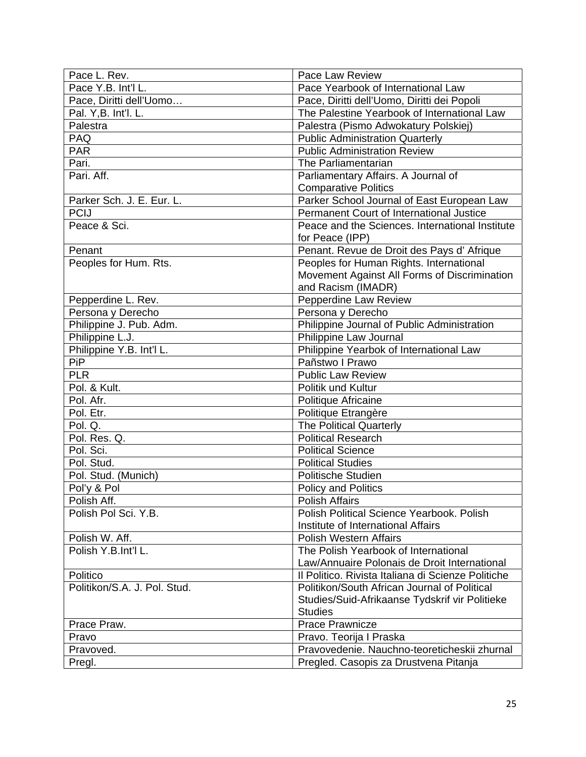| Pace L. Rev.                 | Pace Law Review                                    |
|------------------------------|----------------------------------------------------|
| Pace Y.B. Int'l L.           | Pace Yearbook of International Law                 |
| Pace, Diritti dell'Uomo      | Pace, Diritti dell'Uomo, Diritti dei Popoli        |
| Pal. Y,B. Int'l. L.          | The Palestine Yearbook of International Law        |
| Palestra                     | Palestra (Pismo Adwokatury Polskiej)               |
| <b>PAQ</b>                   | <b>Public Administration Quarterly</b>             |
| <b>PAR</b>                   | <b>Public Administration Review</b>                |
| Pari.                        | The Parliamentarian                                |
| Pari. Aff.                   | Parliamentary Affairs. A Journal of                |
|                              | <b>Comparative Politics</b>                        |
| Parker Sch. J. E. Eur. L.    | Parker School Journal of East European Law         |
| <b>PCIJ</b>                  | Permanent Court of International Justice           |
| Peace & Sci.                 | Peace and the Sciences. International Institute    |
|                              | for Peace (IPP)                                    |
| Penant                       | Penant. Revue de Droit des Pays d' Afrique         |
| Peoples for Hum. Rts.        | Peoples for Human Rights. International            |
|                              | Movement Against All Forms of Discrimination       |
|                              | and Racism (IMADR)                                 |
| Pepperdine L. Rev.           | Pepperdine Law Review                              |
| Persona y Derecho            | Persona y Derecho                                  |
| Philippine J. Pub. Adm.      | Philippine Journal of Public Administration        |
| Philippine L.J.              | Philippine Law Journal                             |
| Philippine Y.B. Int'l L.     | Philippine Yearbok of International Law            |
| PiP                          | Pañstwo I Prawo                                    |
| <b>PLR</b>                   | <b>Public Law Review</b>                           |
| Pol. & Kult.                 | Politik und Kultur                                 |
| Pol. Afr.                    | Politique Africaine                                |
| Pol. Etr.                    | Politique Etrangère                                |
| Pol. Q.                      | <b>The Political Quarterly</b>                     |
| Pol. Res. Q.                 | <b>Political Research</b>                          |
| Pol. Sci.                    | <b>Political Science</b>                           |
| Pol. Stud.                   | <b>Political Studies</b>                           |
| Pol. Stud. (Munich)          | Politische Studien                                 |
| Pol'y & Pol                  | <b>Policy and Politics</b>                         |
| Polish Aff.                  | <b>Polish Affairs</b>                              |
| Polish Pol Sci. Y.B.         | Polish Political Science Yearbook, Polish          |
|                              | Institute of International Affairs                 |
| Polish W. Aff.               | <b>Polish Western Affairs</b>                      |
| Polish Y.B.Int'l L.          | The Polish Yearbook of International               |
|                              | Law/Annuaire Polonais de Droit International       |
| Politico                     | Il Politico. Rivista Italiana di Scienze Politiche |
| Politikon/S.A. J. Pol. Stud. | Politikon/South African Journal of Political       |
|                              | Studies/Suid-Afrikaanse Tydskrif vir Politieke     |
|                              | <b>Studies</b>                                     |
| Prace Praw.                  | <b>Prace Prawnicze</b>                             |
| Pravo                        | Pravo. Teorija I Praska                            |
| Pravoved.                    | Pravovedenie. Nauchno-teoreticheskii zhurnal       |
| Pregl.                       | Pregled. Casopis za Drustvena Pitanja              |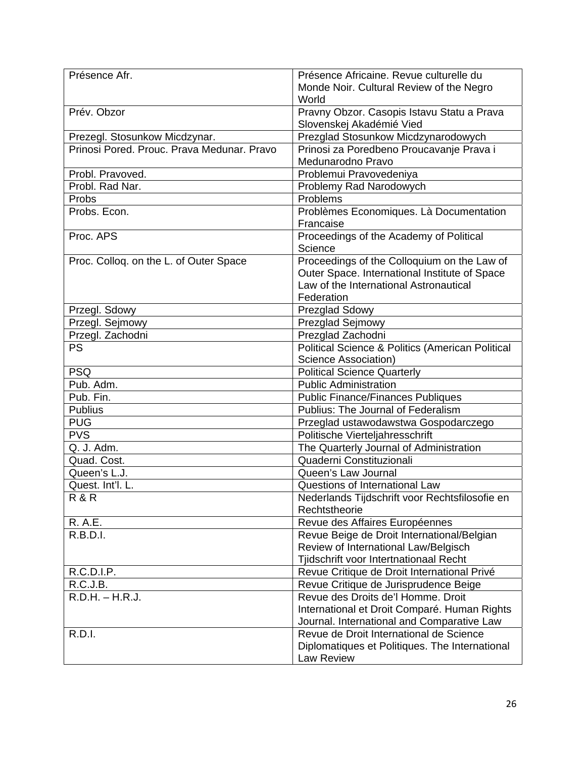| Présence Afr.                              | Présence Africaine. Revue culturelle du          |
|--------------------------------------------|--------------------------------------------------|
|                                            | Monde Noir. Cultural Review of the Negro         |
|                                            | World                                            |
| Prév. Obzor                                | Pravny Obzor. Casopis Istavu Statu a Prava       |
|                                            | Slovenskej Akadémié Vied                         |
| Prezegl. Stosunkow Micdzynar.              | Prezglad Stosunkow Micdzynarodowych              |
| Prinosi Pored, Prouc, Prava Medunar, Pravo | Prinosi za Poredbeno Proucavanje Prava i         |
|                                            | Medunarodno Pravo                                |
| Probl. Pravoved.                           | Problemui Pravovedeniya                          |
| Probl. Rad Nar.                            | Problemy Rad Narodowych                          |
| Probs                                      | Problems                                         |
| Probs. Econ.                               | Problèmes Economiques. Là Documentation          |
|                                            | Francaise                                        |
| Proc. APS                                  | Proceedings of the Academy of Political          |
|                                            | Science                                          |
| Proc. Colloq. on the L. of Outer Space     | Proceedings of the Colloquium on the Law of      |
|                                            | Outer Space. International Institute of Space    |
|                                            | Law of the International Astronautical           |
|                                            | Federation                                       |
| Przegl. Sdowy                              | Prezglad Sdowy                                   |
| Przegl. Sejmowy                            | Prezglad Sejmowy                                 |
| Przegl. Zachodni                           | Prezglad Zachodni                                |
| <b>PS</b>                                  | Political Science & Politics (American Political |
|                                            | Science Association)                             |
| <b>PSQ</b>                                 | <b>Political Science Quarterly</b>               |
| Pub. Adm.                                  | <b>Public Administration</b>                     |
| Pub. Fin.                                  | <b>Public Finance/Finances Publiques</b>         |
| <b>Publius</b>                             | Publius: The Journal of Federalism               |
| <b>PUG</b>                                 | Przeglad ustawodawstwa Gospodarczego             |
| <b>PVS</b>                                 | Politische Vierteljahresschrift                  |
| Q. J. Adm.                                 | The Quarterly Journal of Administration          |
| Quad. Cost.                                | Quaderni Constituzionali                         |
| Queen's L.J.                               | Queen's Law Journal                              |
| Quest. Int'l. L.                           | Questions of International Law                   |
| R & R                                      | Nederlands Tijdschrift voor Rechtsfilosofie en   |
|                                            | Rechtstheorie                                    |
| R. A.E.                                    | Revue des Affaires Européennes                   |
| R.B.D.I.                                   | Revue Beige de Droit International/Belgian       |
|                                            | Review of International Law/Belgisch             |
|                                            | Tjidschrift voor Intertnationaal Recht           |
| R.C.D.I.P.                                 | Revue Critique de Droit International Privé      |
| R.C.J.B.                                   | Revue Critique de Jurisprudence Beige            |
| $R.D.H. - H.R.J.$                          | Revue des Droits de'l Homme. Droit               |
|                                            | International et Droit Comparé. Human Rights     |
|                                            | Journal. International and Comparative Law       |
| R.D.I.                                     | Revue de Droit International de Science          |
|                                            | Diplomatiques et Politiques. The International   |
|                                            | Law Review                                       |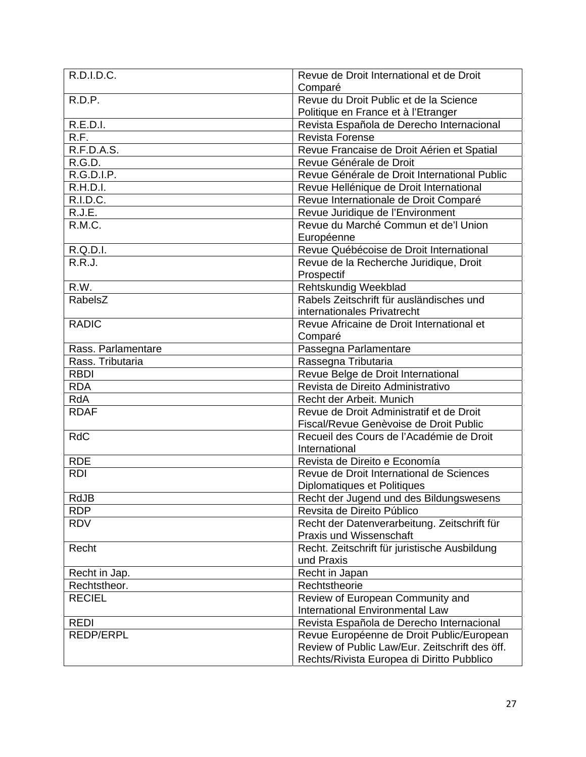| R.D.I.D.C.         | Revue de Droit International et de Droit       |
|--------------------|------------------------------------------------|
|                    | Comparé                                        |
| R.D.P.             | Revue du Droit Public et de la Science         |
|                    | Politique en France et à l'Etranger            |
| R.E.D.I.           | Revista Española de Derecho Internacional      |
| R.F.               | <b>Revista Forense</b>                         |
| R.F.D.A.S.         | Revue Francaise de Droit Aérien et Spatial     |
| R.G.D.             | Revue Générale de Droit                        |
| R.G.D.I.P.         | Revue Générale de Droit International Public   |
| R.H.D.I.           | Revue Hellénique de Droit International        |
| R.I.D.C.           | Revue Internationale de Droit Comparé          |
| R.J.E.             | Revue Juridique de l'Environment               |
| R.M.C.             | Revue du Marché Commun et de'l Union           |
|                    | Européenne                                     |
| R.Q.D.I.           | Revue Québécoise de Droit International        |
| R.R.J.             | Revue de la Recherche Juridique, Droit         |
|                    | Prospectif                                     |
| R.W.               | Rehtskundig Weekblad                           |
| RabelsZ            | Rabels Zeitschrift für ausländisches und       |
|                    | internationales Privatrecht                    |
| <b>RADIC</b>       | Revue Africaine de Droit International et      |
|                    | Comparé                                        |
| Rass. Parlamentare | Passegna Parlamentare                          |
| Rass. Tributaria   | Rassegna Tributaria                            |
| <b>RBDI</b>        | Revue Belge de Droit International             |
| <b>RDA</b>         | Revista de Direito Administrativo              |
| RdA                | Recht der Arbeit. Munich                       |
| <b>RDAF</b>        | Revue de Droit Administratif et de Droit       |
|                    | Fiscal/Revue Genèvoise de Droit Public         |
| <b>RdC</b>         | Recueil des Cours de l'Académie de Droit       |
|                    | International                                  |
| <b>RDE</b>         | Revista de Direito e Economía                  |
| <b>RDI</b>         | Revue de Droit International de Sciences       |
|                    | Diplomatiques et Politiques                    |
| RdJB               | Recht der Jugend und des Bildungswesens        |
| RDP                | Revsita de Direito Público                     |
| <b>RDV</b>         | Recht der Datenverarbeitung. Zeitschrift für   |
|                    | Praxis und Wissenschaft                        |
| Recht              | Recht. Zeitschrift für juristische Ausbildung  |
|                    | und Praxis                                     |
| Recht in Jap.      | Recht in Japan                                 |
| Rechtstheor.       | Rechtstheorie                                  |
| <b>RECIEL</b>      | Review of European Community and               |
|                    | <b>International Environmental Law</b>         |
| <b>REDI</b>        | Revista Española de Derecho Internacional      |
| <b>REDP/ERPL</b>   | Revue Européenne de Droit Public/European      |
|                    | Review of Public Law/Eur. Zeitschrift des öff. |
|                    | Rechts/Rivista Europea di Diritto Pubblico     |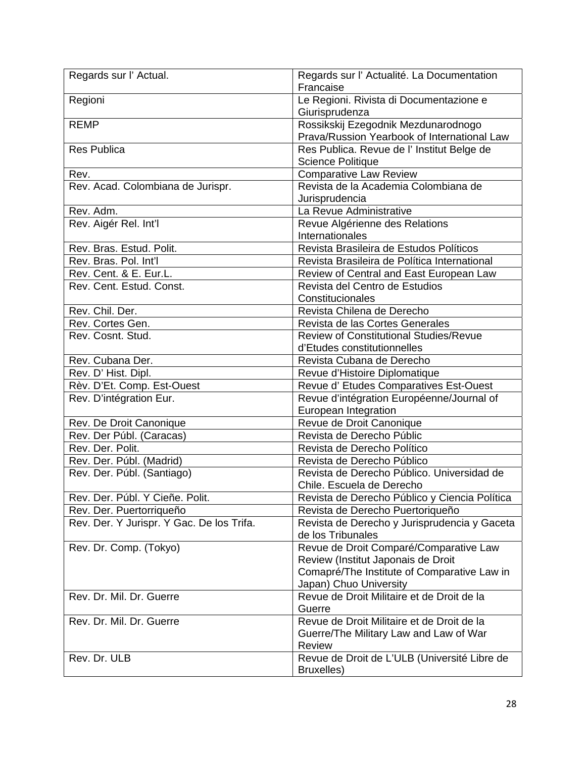| Regards sur l' Actual.                    | Regards sur l'Actualité. La Documentation<br>Francaise                                                                                                |
|-------------------------------------------|-------------------------------------------------------------------------------------------------------------------------------------------------------|
| Regioni                                   | Le Regioni. Rivista di Documentazione e<br>Giurisprudenza                                                                                             |
| <b>REMP</b>                               | Rossikskij Ezegodnik Mezdunarodnogo<br>Prava/Russion Yearbook of International Law                                                                    |
| <b>Res Publica</b>                        | Res Publica. Revue de l' Institut Belge de<br><b>Science Politique</b>                                                                                |
| Rev.                                      | <b>Comparative Law Review</b>                                                                                                                         |
| Rev. Acad. Colombiana de Jurispr.         | Revista de la Academia Colombiana de<br>Jurisprudencia                                                                                                |
| Rev. Adm.                                 | La Revue Administrative                                                                                                                               |
| Rev. Aigér Rel. Int'l                     | Revue Algérienne des Relations<br>Internationales                                                                                                     |
| Rev. Bras. Estud. Polit.                  | Revista Brasileira de Estudos Políticos                                                                                                               |
| Rev. Bras. Pol. Int'l                     | Revista Brasileira de Política International                                                                                                          |
| Rev. Cent. & E. Eur.L.                    | Review of Central and East European Law                                                                                                               |
| Rev. Cent. Estud. Const.                  | Revista del Centro de Estudios<br>Constitucionales                                                                                                    |
| Rev. Chil. Der.                           | Revista Chilena de Derecho                                                                                                                            |
| Rev. Cortes Gen.                          | Revista de las Cortes Generales                                                                                                                       |
| Rev. Cosnt. Stud.                         | <b>Review of Constitutional Studies/Revue</b><br>d'Etudes constitutionnelles                                                                          |
| Rev. Cubana Der.                          | Revista Cubana de Derecho                                                                                                                             |
| Rev. D' Hist. Dipl.                       | Revue d'Histoire Diplomatique                                                                                                                         |
| Rèv. D'Et. Comp. Est-Ouest                | Revue d' Etudes Comparatives Est-Ouest                                                                                                                |
| Rev. D'intégration Eur.                   | Revue d'intégration Européenne/Journal of<br>European Integration                                                                                     |
| Rev. De Droit Canonique                   | Revue de Droit Canonique                                                                                                                              |
| Rev. Der Públ. (Caracas)                  | Revista de Derecho Públic                                                                                                                             |
| Rev. Der. Polit.                          | Revista de Derecho Político                                                                                                                           |
| Rev. Der. Públ. (Madrid)                  | Revista de Derecho Público                                                                                                                            |
| Rev. Der. Públ. (Santiago)                | Revista de Derecho Público. Universidad de<br>Chile. Escuela de Derecho                                                                               |
| Rev. Der. Públ. Y Cieñe. Polit.           | Revista de Derecho Público y Ciencia Política                                                                                                         |
| Rev. Der. Puertorriqueño                  | Revista de Derecho Puertoriqueño                                                                                                                      |
| Rev. Der. Y Jurispr. Y Gac. De los Trifa. | Revista de Derecho y Jurisprudencia y Gaceta<br>de los Tribunales                                                                                     |
| Rev. Dr. Comp. (Tokyo)                    | Revue de Droit Comparé/Comparative Law<br>Review (Institut Japonais de Droit<br>Comapré/The Institute of Comparative Law in<br>Japan) Chuo University |
| Rev. Dr. Mil. Dr. Guerre                  | Revue de Droit Militaire et de Droit de la<br>Guerre                                                                                                  |
| Rev. Dr. Mil. Dr. Guerre                  | Revue de Droit Militaire et de Droit de la<br>Guerre/The Military Law and Law of War<br>Review                                                        |
| Rev. Dr. ULB                              | Revue de Droit de L'ULB (Université Libre de<br>Bruxelles)                                                                                            |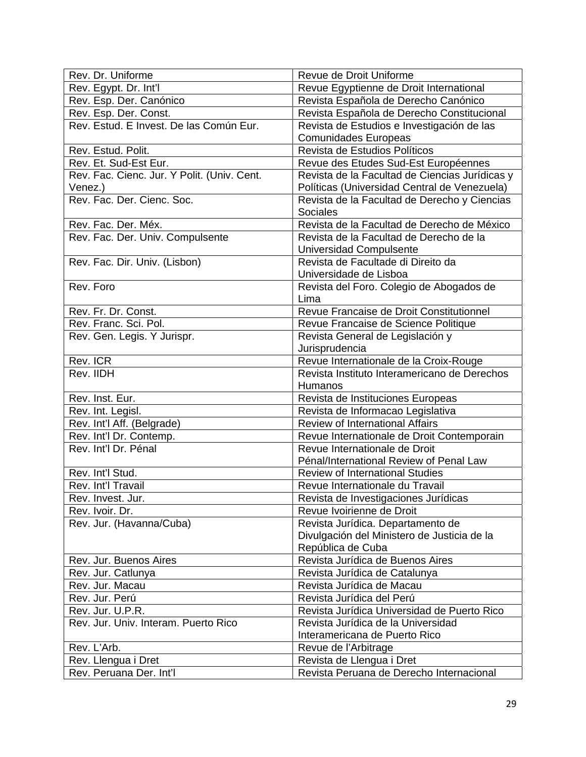| Rev. Dr. Uniforme                                      | Revue de Droit Uniforme                                                                        |
|--------------------------------------------------------|------------------------------------------------------------------------------------------------|
| Rev. Egypt. Dr. Int'l                                  | Revue Egyptienne de Droit International                                                        |
| Rev. Esp. Der. Canónico                                | Revista Española de Derecho Canónico                                                           |
| Rev. Esp. Der. Const.                                  | Revista Española de Derecho Constitucional                                                     |
| Rev. Estud. E Invest. De las Común Eur.                | Revista de Estudios e Investigación de las                                                     |
|                                                        | <b>Comunidades Europeas</b>                                                                    |
| Rev. Estud. Polit.                                     | Revista de Estudios Políticos                                                                  |
| Rev. Et. Sud-Est Eur.                                  | Revue des Etudes Sud-Est Européennes                                                           |
| Rev. Fac. Cienc. Jur. Y Polit. (Univ. Cent.<br>Venez.) | Revista de la Facultad de Ciencias Jurídicas y<br>Políticas (Universidad Central de Venezuela) |
| Rev. Fac. Der. Cienc. Soc.                             | Revista de la Facultad de Derecho y Ciencias                                                   |
|                                                        | <b>Sociales</b>                                                                                |
| Rev. Fac. Der. Méx.                                    | Revista de la Facultad de Derecho de México                                                    |
| Rev. Fac. Der. Univ. Compulsente                       | Revista de la Facultad de Derecho de la<br>Universidad Compulsente                             |
| Rev. Fac. Dir. Univ. (Lisbon)                          | Revista de Facultade di Direito da                                                             |
|                                                        | Universidade de Lisboa                                                                         |
| Rev. Foro                                              | Revista del Foro. Colegio de Abogados de                                                       |
|                                                        | Lima                                                                                           |
| Rev. Fr. Dr. Const.                                    | Revue Francaise de Droit Constitutionnel                                                       |
| Rev. Franc. Sci. Pol.                                  | Revue Francaise de Science Politique                                                           |
| Rev. Gen. Legis. Y Jurispr.                            | Revista General de Legislación y                                                               |
|                                                        | Jurisprudencia                                                                                 |
| Rev. ICR                                               | Revue Internationale de la Croix-Rouge                                                         |
| Rev. IIDH                                              | Revista Instituto Interamericano de Derechos                                                   |
|                                                        | Humanos                                                                                        |
| Rev. Inst. Eur.                                        | Revista de Instituciones Europeas                                                              |
| Rev. Int. Legisl.                                      | Revista de Informacao Legislativa                                                              |
| Rev. Int'l Aff. (Belgrade)                             | <b>Review of International Affairs</b>                                                         |
| Rev. Int'l Dr. Contemp.                                | Revue Internationale de Droit Contemporain                                                     |
| Rev. Int'l Dr. Pénal                                   | Revue Internationale de Droit                                                                  |
|                                                        | Pénal/International Review of Penal Law                                                        |
| Rev. Int'l Stud.                                       | <b>Review of International Studies</b>                                                         |
| Rev. Int'l Travail                                     | Revue Internationale du Travail                                                                |
| Rev. Invest. Jur.                                      | Revista de Investigaciones Jurídicas                                                           |
| Rev. Ivoir. Dr.                                        | Revue Ivoirienne de Droit                                                                      |
| Rev. Jur. (Havanna/Cuba)                               | Revista Jurídica. Departamento de                                                              |
|                                                        | Divulgación del Ministero de Justicia de la                                                    |
|                                                        | República de Cuba                                                                              |
| Rev. Jur. Buenos Aires                                 | Revista Jurídica de Buenos Aires                                                               |
| Rev. Jur. Catlunya                                     | Revista Jurídica de Catalunya                                                                  |
| Rev. Jur. Macau                                        | Revista Jurídica de Macau                                                                      |
| Rev. Jur. Perú                                         | Revista Jurídica del Perú                                                                      |
| Rev. Jur. U.P.R.                                       | Revista Jurídica Universidad de Puerto Rico                                                    |
| Rev. Jur. Univ. Interam. Puerto Rico                   | Revista Jurídica de la Universidad                                                             |
|                                                        | Interamericana de Puerto Rico                                                                  |
| Rev. L'Arb.                                            | Revue de l'Arbitrage                                                                           |
| Rev. Llengua i Dret                                    | Revista de Llengua i Dret                                                                      |
| Rev. Peruana Der. Int'l                                | Revista Peruana de Derecho Internacional                                                       |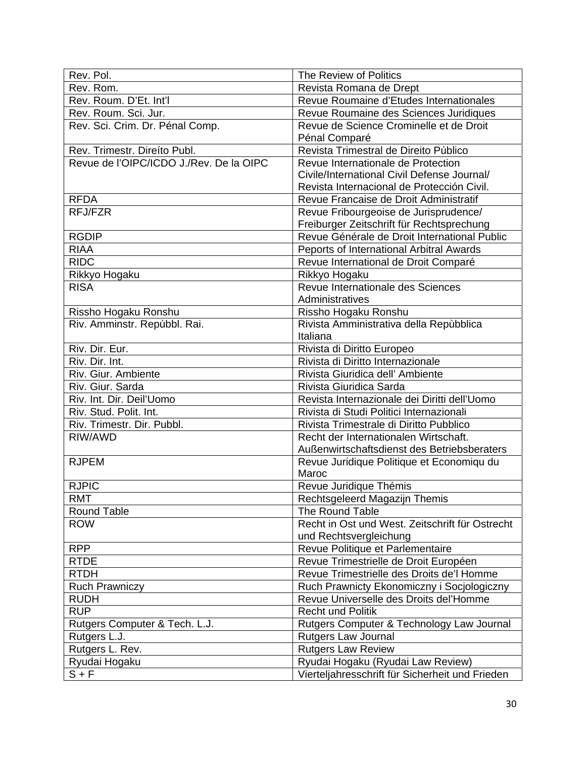| Rev. Pol.                                            | The Review of Politics                                                              |
|------------------------------------------------------|-------------------------------------------------------------------------------------|
| Rev. Rom.                                            | Revista Romana de Drept                                                             |
| Rev. Roum. D'Et. Int'l                               | Revue Roumaine d'Etudes Internationales                                             |
| Rev. Roum. Sci. Jur.                                 | Revue Roumaine des Sciences Juridiques                                              |
| Rev. Sci. Crim. Dr. Pénal Comp.                      | Revue de Science Crominelle et de Droit                                             |
|                                                      | Pénal Comparé                                                                       |
| Rev. Trimestr. Direíto Publ.                         | Revista Trimestral de Direito Público                                               |
| Revue de l'OIPC/ICDO J./Rev. De la OIPC              | Revue Internationale de Protection                                                  |
|                                                      | Civile/International Civil Defense Journal/                                         |
|                                                      | Revista Internacional de Protección Civil.                                          |
| <b>RFDA</b>                                          | Revue Francaise de Droit Administratif                                              |
| RFJ/FZR                                              | Revue Fribourgeoise de Jurisprudence/                                               |
|                                                      | Freiburger Zeitschrift für Rechtsprechung                                           |
| <b>RGDIP</b>                                         | Revue Générale de Droit International Public                                        |
| <b>RIAA</b>                                          | Peports of International Arbitral Awards                                            |
| <b>RIDC</b>                                          | Revue International de Droit Comparé                                                |
| Rikkyo Hogaku                                        | Rikkyo Hogaku                                                                       |
| <b>RISA</b>                                          | Revue Internationale des Sciences                                                   |
|                                                      | Administratives                                                                     |
| Rissho Hogaku Ronshu                                 | Rissho Hogaku Ronshu                                                                |
| Riv. Amminstr. Repùbbl. Rai.                         | Rivista Amministrativa della Repùbblica                                             |
|                                                      | Italiana                                                                            |
| Riv. Dir. Eur.                                       | Rivista di Diritto Europeo                                                          |
| Riv. Dir. Int.                                       | Rivista di Diritto Internazionale                                                   |
| Riv. Giur. Ambiente                                  | Rivista Giuridica dell' Ambiente                                                    |
| Riv. Giur. Sarda                                     | Rivista Giuridica Sarda                                                             |
| Riv. Int. Dir. Deil'Uomo                             | Revista Internazionale dei Diritti dell'Uomo                                        |
| Riv. Stud. Polit. Int.<br>Riv. Trimestr. Dir. Pubbl. | Rivista di Studi Politici Internazionali<br>Rivista Trimestrale di Diritto Pubblico |
| RIW/AWD                                              | Recht der Internationalen Wirtschaft.                                               |
|                                                      | Außenwirtschaftsdienst des Betriebsberaters                                         |
| <b>RJPEM</b>                                         | Revue Juridique Politique et Economiqu du                                           |
|                                                      | Maroc                                                                               |
| <b>RJPIC</b>                                         | Revue Juridique Thémis                                                              |
| <b>RMT</b>                                           | Rechtsgeleerd Magazijn Themis                                                       |
| <b>Round Table</b>                                   | The Round Table                                                                     |
| <b>ROW</b>                                           | Recht in Ost und West. Zeitschrift für Ostrecht                                     |
|                                                      | und Rechtsvergleichung                                                              |
| <b>RPP</b>                                           | Revue Politique et Parlementaire                                                    |
| <b>RTDE</b>                                          | Revue Trimestrielle de Droit Européen                                               |
| <b>RTDH</b>                                          | Revue Trimestrielle des Droits de'l Homme                                           |
| <b>Ruch Prawniczy</b>                                | Ruch Prawnicty Ekonomiczny i Socjologiczny                                          |
| <b>RUDH</b>                                          | Revue Universelle des Droits del'Homme                                              |
| <b>RUP</b>                                           | <b>Recht und Politik</b>                                                            |
| Rutgers Computer & Tech. L.J.                        | Rutgers Computer & Technology Law Journal                                           |
| Rutgers L.J.                                         | Rutgers Law Journal                                                                 |
| Rutgers L. Rev.                                      | Rutgers Law Review                                                                  |
| Ryudai Hogaku                                        | Ryudai Hogaku (Ryudai Law Review)                                                   |
| $S + F$                                              | Vierteljahresschrift für Sicherheit und Frieden                                     |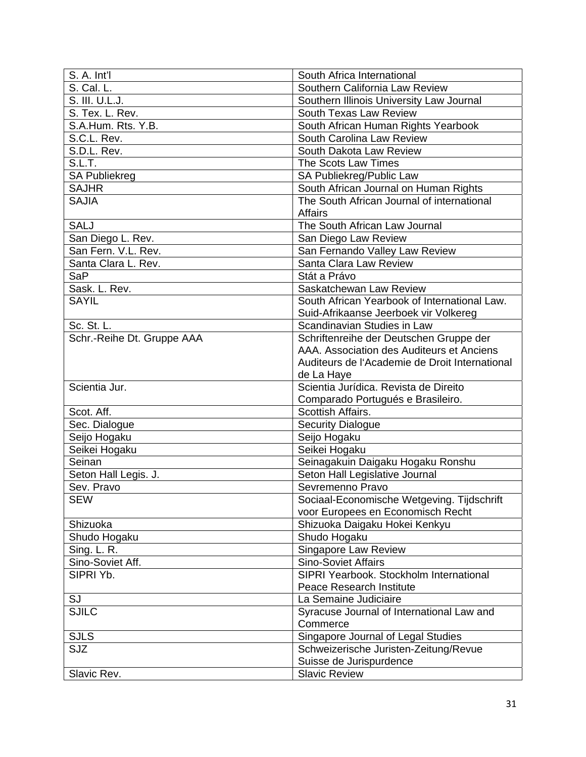| S. A. Int'l                | South Africa International                      |
|----------------------------|-------------------------------------------------|
| S. Cal. L.                 | Southern California Law Review                  |
| S. III. U.L.J.             | Southern Illinois University Law Journal        |
| S. Tex. L. Rev.            | South Texas Law Review                          |
| S.A.Hum. Rts. Y.B.         | South African Human Rights Yearbook             |
| S.C.L. Rev.                | South Carolina Law Review                       |
| S.D.L. Rev.                | South Dakota Law Review                         |
| S.L.T.                     | The Scots Law Times                             |
| <b>SA Publiekreg</b>       | SA Publiekreg/Public Law                        |
| <b>SAJHR</b>               | South African Journal on Human Rights           |
| <b>SAJIA</b>               | The South African Journal of international      |
|                            | <b>Affairs</b>                                  |
| <b>SALJ</b>                | The South African Law Journal                   |
| San Diego L. Rev.          | San Diego Law Review                            |
| San Fern. V.L. Rev.        | San Fernando Valley Law Review                  |
| Santa Clara L. Rev.        | Santa Clara Law Review                          |
| SaP                        | Stát a Právo                                    |
| Sask. L. Rev.              | Saskatchewan Law Review                         |
| <b>SAYIL</b>               | South African Yearbook of International Law.    |
|                            | Suid-Afrikaanse Jeerboek vir Volkereg           |
| Sc. St. L.                 | Scandinavian Studies in Law                     |
| Schr.-Reihe Dt. Gruppe AAA | Schriftenreihe der Deutschen Gruppe der         |
|                            | AAA. Association des Auditeurs et Anciens       |
|                            | Auditeurs de l'Academie de Droit International  |
|                            | de La Haye                                      |
| Scientia Jur.              | Scientia Jurídica. Revista de Direito           |
|                            | Comparado Portugués e Brasileiro.               |
| Scot. Aff.                 | Scottish Affairs.                               |
| Sec. Dialogue              | <b>Security Dialogue</b>                        |
| Seijo Hogaku               | Seijo Hogaku                                    |
| Seikei Hogaku              | Seikei Hogaku                                   |
| Seinan                     | Seinagakuin Daigaku Hogaku Ronshu               |
| Seton Hall Legis. J.       | Seton Hall Legislative Journal                  |
| Sev. Pravo                 | Sevremenno Pravo                                |
| <b>SEW</b>                 | Sociaal-Economische Wetgeving. Tijdschrift      |
|                            | voor Europees en Economisch Recht               |
| Shizuoka                   | Shizuoka Daigaku Hokei Kenkyu                   |
|                            |                                                 |
| Shudo Hogaku               | Shudo Hogaku                                    |
| Sing. L. R.                | Singapore Law Review                            |
| Sino-Soviet Aff.           | <b>Sino-Soviet Affairs</b>                      |
| SIPRI Yb.                  | SIPRI Yearbook. Stockholm International         |
|                            | Peace Research Institute                        |
| SJ                         | La Semaine Judiciaire                           |
| <b>SJILC</b>               | Syracuse Journal of International Law and       |
|                            | Commerce                                        |
| <b>SJLS</b>                | Singapore Journal of Legal Studies              |
| <b>SJZ</b>                 | Schweizerische Juristen-Zeitung/Revue           |
| Slavic Rev.                | Suisse de Jurispurdence<br><b>Slavic Review</b> |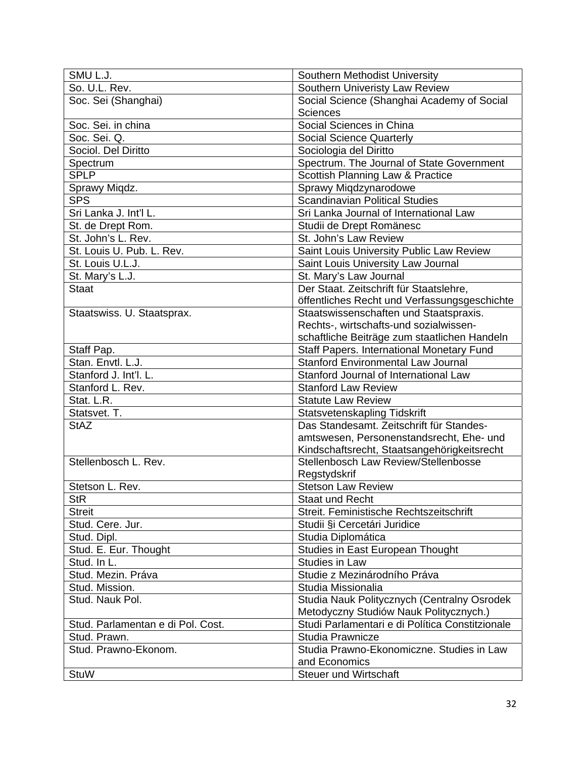| SMU L.J.                          | Southern Methodist University                   |
|-----------------------------------|-------------------------------------------------|
| So. U.L. Rev.                     | Southern Univeristy Law Review                  |
| Soc. Sei (Shanghai)               | Social Science (Shanghai Academy of Social      |
|                                   | <b>Sciences</b>                                 |
| Soc. Sei. in china                | Social Sciences in China                        |
| Soc. Sei. Q.                      | <b>Social Science Quarterly</b>                 |
| Sociol. Del Diritto               | Sociologia del Diritto                          |
| Spectrum                          | Spectrum. The Journal of State Government       |
| <b>SPLP</b>                       | Scottish Planning Law & Practice                |
| Sprawy Miqdz.                     | Sprawy Miqdzynarodowe                           |
| <b>SPS</b>                        | <b>Scandinavian Political Studies</b>           |
| Sri Lanka J. Int'l L.             | Sri Lanka Journal of International Law          |
| St. de Drept Rom.                 | Studii de Drept Romänesc                        |
| St. John's L. Rev.                | St. John's Law Review                           |
| St. Louis U. Pub. L. Rev.         | Saint Louis University Public Law Review        |
| St. Louis U.L.J.                  | Saint Louis University Law Journal              |
| St. Mary's L.J.                   | St. Mary's Law Journal                          |
| <b>Staat</b>                      | Der Staat. Zeitschrift für Staatslehre,         |
|                                   | öffentliches Recht und Verfassungsgeschichte    |
| Staatswiss. U. Staatsprax.        | Staatswissenschaften und Staatspraxis.          |
|                                   | Rechts-, wirtschafts-und sozialwissen-          |
|                                   | schaftliche Beiträge zum staatlichen Handeln    |
| Staff Pap.                        | Staff Papers. International Monetary Fund       |
| Stan. Envtl. L.J.                 | <b>Stanford Environmental Law Journal</b>       |
| Stanford J. Int'l. L.             | Stanford Journal of International Law           |
| Stanford L. Rev.                  | <b>Stanford Law Review</b>                      |
| Stat. L.R.                        | <b>Statute Law Review</b>                       |
| Statsvet. T.                      | Statsvetenskapling Tidskrift                    |
| <b>StAZ</b>                       | Das Standesamt. Zeitschrift für Standes-        |
|                                   | amtswesen, Personenstandsrecht, Ehe- und        |
|                                   | Kindschaftsrecht, Staatsangehörigkeitsrecht     |
| Stellenbosch L. Rev.              | Stellenbosch Law Review/Stellenbosse            |
|                                   | Regstydskrif                                    |
| Stetson L. Rev.                   | <b>Stetson Law Review</b>                       |
| <b>StR</b>                        | <b>Staat und Recht</b>                          |
| <b>Streit</b>                     | Streit, Feministische Rechtszeitschrift         |
| Stud. Cere. Jur.                  | Studii §i Cercetári Juridice                    |
| Stud. Dipl.                       | Studia Diplomática                              |
| Stud. E. Eur. Thought             | Studies in East European Thought                |
| Stud. In L.                       | <b>Studies in Law</b>                           |
| Stud. Mezin. Práva                | Studie z Mezinárodního Práva                    |
| Stud. Mission.                    | Studia Missionalia                              |
| Stud. Nauk Pol.                   | Studia Nauk Politycznych (Centralny Osrodek     |
|                                   | Metodyczny Studiów Nauk Politycznych.)          |
| Stud. Parlamentan e di Pol. Cost. | Studi Parlamentari e di Política Constitzionale |
| Stud. Prawn.                      | Studia Prawnicze                                |
| Stud. Prawno-Ekonom.              | Studia Prawno-Ekonomiczne. Studies in Law       |
|                                   | and Economics                                   |
| <b>StuW</b>                       | Steuer und Wirtschaft                           |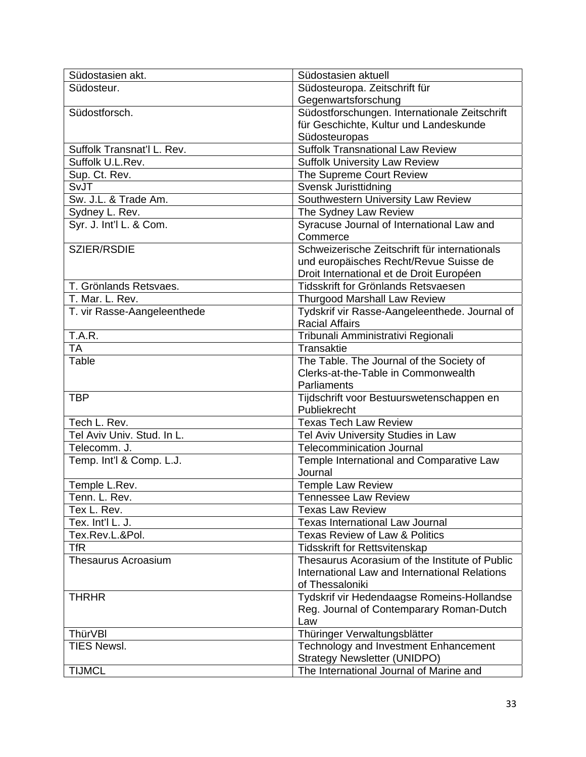| Südostasien akt.            | Südostasien aktuell                            |
|-----------------------------|------------------------------------------------|
| Südosteur.                  | Südosteuropa. Zeitschrift für                  |
|                             | Gegenwartsforschung                            |
| Südostforsch.               | Südostforschungen. Internationale Zeitschrift  |
|                             | für Geschichte, Kultur und Landeskunde         |
|                             | Südosteuropas                                  |
| Suffolk Transnat'l L. Rev.  | <b>Suffolk Transnational Law Review</b>        |
| Suffolk U.L.Rev.            | <b>Suffolk University Law Review</b>           |
| Sup. Ct. Rev.               | The Supreme Court Review                       |
| SvJT                        | Svensk Juristtidning                           |
| Sw. J.L. & Trade Am.        | Southwestern University Law Review             |
| Sydney L. Rev.              | The Sydney Law Review                          |
| Syr. J. Int'l L. & Com.     | Syracuse Journal of International Law and      |
|                             | Commerce                                       |
| SZIER/RSDIE                 | Schweizerische Zeitschrift für internationals  |
|                             | und europäisches Recht/Revue Suisse de         |
|                             | Droit International et de Droit Européen       |
| T. Grönlands Retsvaes.      | Tidsskrift for Grönlands Retsvaesen            |
| T. Mar. L. Rev.             | <b>Thurgood Marshall Law Review</b>            |
| T. vir Rasse-Aangeleenthede | Tydskrif vir Rasse-Aangeleenthede. Journal of  |
|                             | <b>Racial Affairs</b>                          |
| <b>T.A.R.</b>               | Tribunali Amministrativi Regionali             |
| <b>TA</b>                   | Transaktie                                     |
| Table                       | The Table. The Journal of the Society of       |
|                             | Clerks-at-the-Table in Commonwealth            |
|                             | Parliaments                                    |
| <b>TBP</b>                  | Tijdschrift voor Bestuurswetenschappen en      |
|                             | Publiekrecht                                   |
| Tech L. Rev.                | <b>Texas Tech Law Review</b>                   |
| Tel Aviv Univ. Stud. In L.  | Tel Aviv University Studies in Law             |
| Telecomm. J.                | <b>Telecomminication Journal</b>               |
| Temp. Int'l & Comp. L.J.    | Temple International and Comparative Law       |
|                             | Journal                                        |
| Temple L.Rev.               | <b>Temple Law Review</b>                       |
| Tenn. L. Rev.               | <b>Tennessee Law Review</b>                    |
| Tex L. Rev.                 | <b>Texas Law Review</b>                        |
| Tex. Int'l L. J.            | <b>Texas International Law Journal</b>         |
| Tex.Rev.L.&Pol.             | Texas Review of Law & Politics                 |
| <b>TfR</b>                  | <b>Tidsskrift for Rettsvitenskap</b>           |
| <b>Thesaurus Acroasium</b>  | Thesaurus Acorasium of the Institute of Public |
|                             | International Law and International Relations  |
|                             | of Thessaloniki                                |
| <b>THRHR</b>                | Tydskrif vir Hedendaagse Romeins-Hollandse     |
|                             | Reg. Journal of Contemparary Roman-Dutch       |
|                             | Law                                            |
| ThürVBI                     | Thüringer Verwaltungsblätter                   |
| <b>TIES Newsl.</b>          | Technology and Investment Enhancement          |
|                             | <b>Strategy Newsletter (UNIDPO)</b>            |
| <b>TIJMCL</b>               | The International Journal of Marine and        |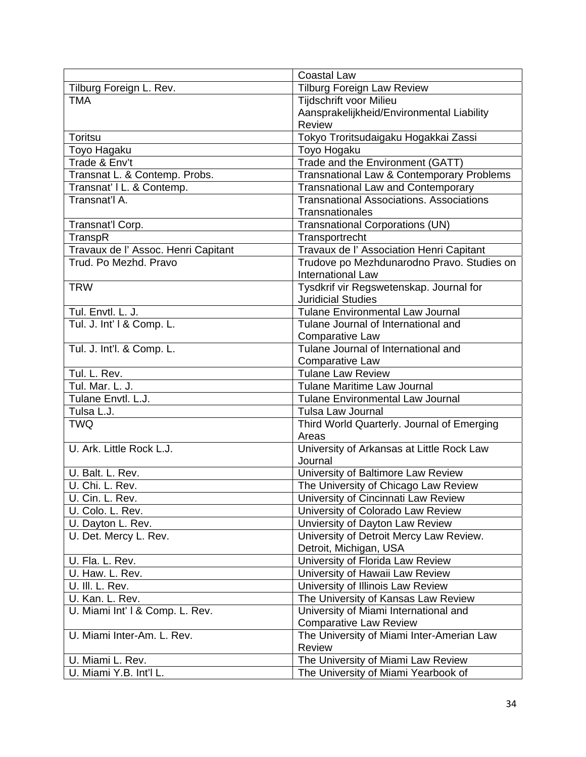|                                     | <b>Coastal Law</b>                              |
|-------------------------------------|-------------------------------------------------|
| Tilburg Foreign L. Rev.             | <b>Tilburg Foreign Law Review</b>               |
| <b>TMA</b>                          | <b>Tijdschrift voor Milieu</b>                  |
|                                     | Aansprakelijkheid/Environmental Liability       |
|                                     | <b>Review</b>                                   |
| Toritsu                             | Tokyo Troritsudaigaku Hogakkai Zassi            |
| Toyo Hagaku                         | Toyo Hogaku                                     |
| Trade & Env't                       | Trade and the Environment (GATT)                |
| Transnat L. & Contemp. Probs.       | Transnational Law & Contemporary Problems       |
| Transnat' I L. & Contemp.           | <b>Transnational Law and Contemporary</b>       |
| Transnat'l A.                       | <b>Transnational Associations. Associations</b> |
|                                     | <b>Transnationales</b>                          |
| Transnat'l Corp.                    | <b>Transnational Corporations (UN)</b>          |
| TranspR                             | Transportrecht                                  |
| Travaux de l' Assoc. Henri Capitant | Travaux de l' Association Henri Capitant        |
| Trud. Po Mezhd. Pravo               | Trudove po Mezhdunarodno Pravo. Studies on      |
|                                     | <b>International Law</b>                        |
| <b>TRW</b>                          | Tysdkrif vir Regswetenskap. Journal for         |
|                                     | <b>Juridicial Studies</b>                       |
| Tul. Envtl. L. J.                   | <b>Tulane Environmental Law Journal</b>         |
| Tul. J. Int' I & Comp. L.           | Tulane Journal of International and             |
|                                     | Comparative Law                                 |
| Tul. J. Int'l. & Comp. L.           | Tulane Journal of International and             |
|                                     | <b>Comparative Law</b>                          |
| Tul. L. Rev.                        | <b>Tulane Law Review</b>                        |
| Tul. Mar. L. J.                     | <b>Tulane Maritime Law Journal</b>              |
| Tulane Envtl. L.J.                  | <b>Tulane Environmental Law Journal</b>         |
| Tulsa L.J.                          | Tulsa Law Journal                               |
| <b>TWQ</b>                          | Third World Quarterly. Journal of Emerging      |
|                                     | Areas                                           |
| U. Ark. Little Rock L.J.            | University of Arkansas at Little Rock Law       |
|                                     | Journal                                         |
| U. Balt. L. Rev.                    | University of Baltimore Law Review              |
| U. Chi. L. Rev.                     | The University of Chicago Law Review            |
| U. Cin. L. Rev.                     | University of Cincinnati Law Review             |
| U. Colo. L. Rev.                    | University of Colorado Law Review               |
| U. Dayton L. Rev.                   | Unviersity of Dayton Law Review                 |
| U. Det. Mercy L. Rev.               | University of Detroit Mercy Law Review.         |
|                                     | Detroit, Michigan, USA                          |
| U. Fla. L. Rev.                     | University of Florida Law Review                |
| U. Haw. L. Rev.                     | University of Hawaii Law Review                 |
| U. III. L. Rev.                     | University of Illinois Law Review               |
| U. Kan. L. Rev.                     | The University of Kansas Law Review             |
| U. Miami Int' I & Comp. L. Rev.     | University of Miami International and           |
|                                     | <b>Comparative Law Review</b>                   |
| U. Miami Inter-Am. L. Rev.          | The University of Miami Inter-Amerian Law       |
|                                     | Review                                          |
| U. Miami L. Rev.                    | The University of Miami Law Review              |
| U. Miami Y.B. Int'l L.              | The University of Miami Yearbook of             |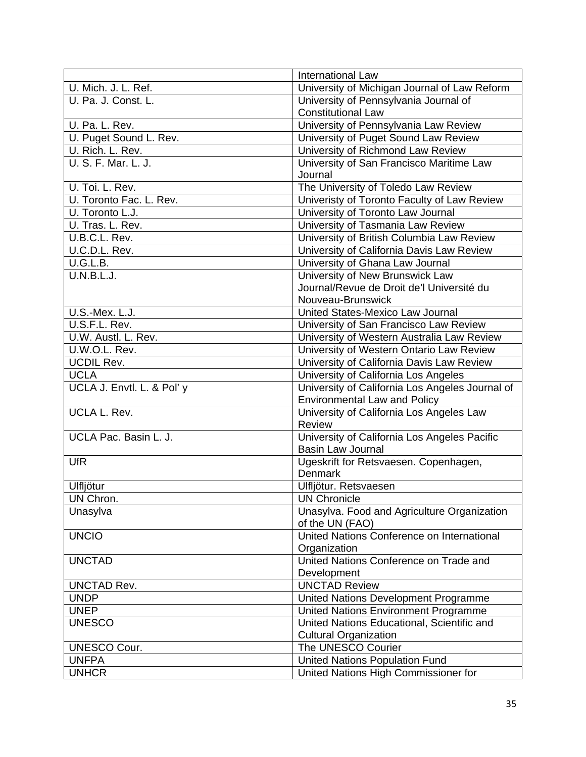|                           | <b>International Law</b>                           |
|---------------------------|----------------------------------------------------|
| U. Mich. J. L. Ref.       | University of Michigan Journal of Law Reform       |
| U. Pa. J. Const. L.       | University of Pennsylvania Journal of              |
|                           | <b>Constitutional Law</b>                          |
| U. Pa. L. Rev.            | University of Pennsylvania Law Review              |
| U. Puget Sound L. Rev.    | University of Puget Sound Law Review               |
| U. Rich. L. Rev.          | University of Richmond Law Review                  |
| U. S. F. Mar. L. J.       | University of San Francisco Maritime Law           |
|                           | Journal                                            |
| U. Toi. L. Rev.           | The University of Toledo Law Review                |
| U. Toronto Fac. L. Rev.   | Univeristy of Toronto Faculty of Law Review        |
| U. Toronto L.J.           | University of Toronto Law Journal                  |
| U. Tras. L. Rev.          | University of Tasmania Law Review                  |
| U.B.C.L. Rev.             | University of British Columbia Law Review          |
| U.C.D.L. Rev.             | University of California Davis Law Review          |
| U.G.L.B.                  | University of Ghana Law Journal                    |
| U.N.B.L.J.                | University of New Brunswick Law                    |
|                           | Journal/Revue de Droit de'l Université du          |
|                           | Nouveau-Brunswick                                  |
| U.S.-Mex. L.J.            | United States-Mexico Law Journal                   |
| U.S.F.L. Rev.             | University of San Francisco Law Review             |
| U.W. Austl. L. Rev.       | University of Western Australia Law Review         |
| U.W.O.L. Rev.             | University of Western Ontario Law Review           |
| <b>UCDIL Rev.</b>         | University of California Davis Law Review          |
| <b>UCLA</b>               | University of California Los Angeles               |
| UCLA J. Envtl. L. & Pol'y | University of California Los Angeles Journal of    |
|                           | <b>Environmental Law and Policy</b>                |
| UCLA L. Rev.              | University of California Los Angeles Law<br>Review |
| UCLA Pac. Basin L. J.     | University of California Los Angeles Pacific       |
|                           | <b>Basin Law Journal</b>                           |
| <b>UfR</b>                | Ugeskrift for Retsvaesen. Copenhagen,              |
|                           | Denmark                                            |
| Ulfljötur                 | Ulfljötur. Retsvaesen                              |
| UN Chron.                 | <b>UN Chronicle</b>                                |
| Unasylva                  | Unasylva. Food and Agriculture Organization        |
|                           | of the UN (FAO)                                    |
| <b>UNCIO</b>              | United Nations Conference on International         |
|                           | Organization                                       |
| <b>UNCTAD</b>             | United Nations Conference on Trade and             |
|                           | Development                                        |
| <b>UNCTAD Rev.</b>        | <b>UNCTAD Review</b>                               |
| <b>UNDP</b>               | United Nations Development Programme               |
| <b>UNEP</b>               | United Nations Environment Programme               |
| <b>UNESCO</b>             | United Nations Educational, Scientific and         |
|                           | <b>Cultural Organization</b>                       |
| <b>UNESCO Cour.</b>       | The UNESCO Courier                                 |
| <b>UNFPA</b>              | <b>United Nations Population Fund</b>              |
| <b>UNHCR</b>              | United Nations High Commissioner for               |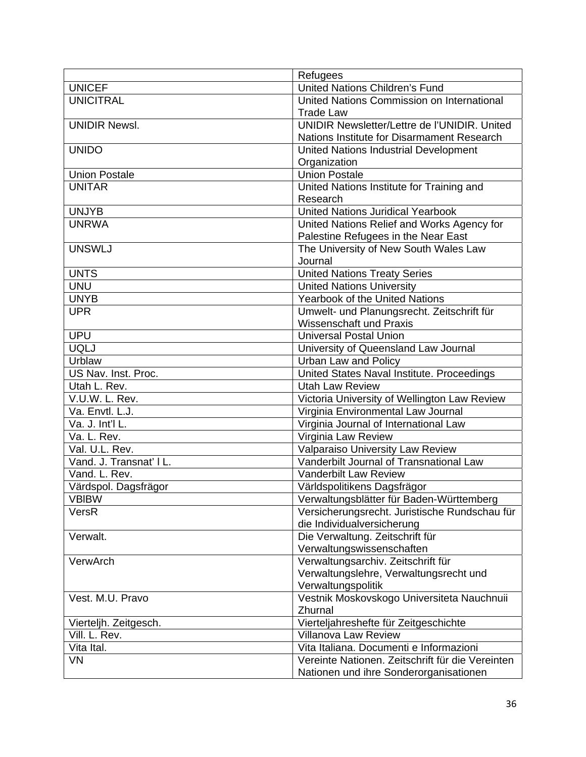|                         | Refugees                                         |
|-------------------------|--------------------------------------------------|
| <b>UNICEF</b>           | <b>United Nations Children's Fund</b>            |
| <b>UNICITRAL</b>        | United Nations Commission on International       |
|                         | <b>Trade Law</b>                                 |
| <b>UNIDIR Newsl.</b>    | UNIDIR Newsletter/Lettre de l'UNIDIR, United     |
|                         | Nations Institute for Disarmament Research       |
| <b>UNIDO</b>            | United Nations Industrial Development            |
|                         | Organization                                     |
| <b>Union Postale</b>    | <b>Union Postale</b>                             |
| <b>UNITAR</b>           | United Nations Institute for Training and        |
|                         | Research                                         |
| <b>UNJYB</b>            | <b>United Nations Juridical Yearbook</b>         |
| <b>UNRWA</b>            | United Nations Relief and Works Agency for       |
|                         | Palestine Refugees in the Near East              |
| <b>UNSWLJ</b>           | The University of New South Wales Law            |
|                         | Journal                                          |
| <b>UNTS</b>             | <b>United Nations Treaty Series</b>              |
| <b>UNU</b>              | <b>United Nations University</b>                 |
| <b>UNYB</b>             | Yearbook of the United Nations                   |
| <b>UPR</b>              | Umwelt- und Planungsrecht. Zeitschrift für       |
|                         | <b>Wissenschaft und Praxis</b>                   |
| <b>UPU</b>              | <b>Universal Postal Union</b>                    |
| <b>UQLJ</b>             | University of Queensland Law Journal             |
| Urblaw                  | Urban Law and Policy                             |
| US Nav. Inst. Proc.     | United States Naval Institute. Proceedings       |
| Utah L. Rev.            | <b>Utah Law Review</b>                           |
| V.U.W. L. Rev.          | Victoria University of Wellington Law Review     |
| Va. Envtl. L.J.         | Virginia Environmental Law Journal               |
| Va. J. Int'l $L$ .      | Virginia Journal of International Law            |
| Va. L. Rev.             | Virginia Law Review                              |
| Val. U.L. Rev.          | Valparaiso University Law Review                 |
| Vand. J. Transnat' I L. | Vanderbilt Journal of Transnational Law          |
| Vand. L. Rev.           | Vanderbilt Law Review                            |
| Värdspol. Dagsfrägor    | Världspolitikens Dagsfrägor                      |
| <b>VBIBW</b>            | Verwaltungsblätter für Baden-Württemberg         |
| VersR                   | Versicherungsrecht. Juristische Rundschau für    |
|                         | die Individualversicherung                       |
| Verwalt.                | Die Verwaltung. Zeitschrift für                  |
|                         | Verwaltungswissenschaften                        |
| VerwArch                | Verwaltungsarchiv. Zeitschrift für               |
|                         | Verwaltungslehre, Verwaltungsrecht und           |
|                         | Verwaltungspolitik                               |
| Vest. M.U. Pravo        | Vestnik Moskovskogo Universiteta Nauchnuii       |
|                         | Zhurnal                                          |
| Vierteljh. Zeitgesch.   | Vierteljahreshefte für Zeitgeschichte            |
| Vill. L. Rev.           | <b>Villanova Law Review</b>                      |
| Vita Ital.              | Vita Italiana. Documenti e Informazioni          |
| <b>VN</b>               | Vereinte Nationen. Zeitschrift für die Vereinten |
|                         | Nationen und ihre Sonderorganisationen           |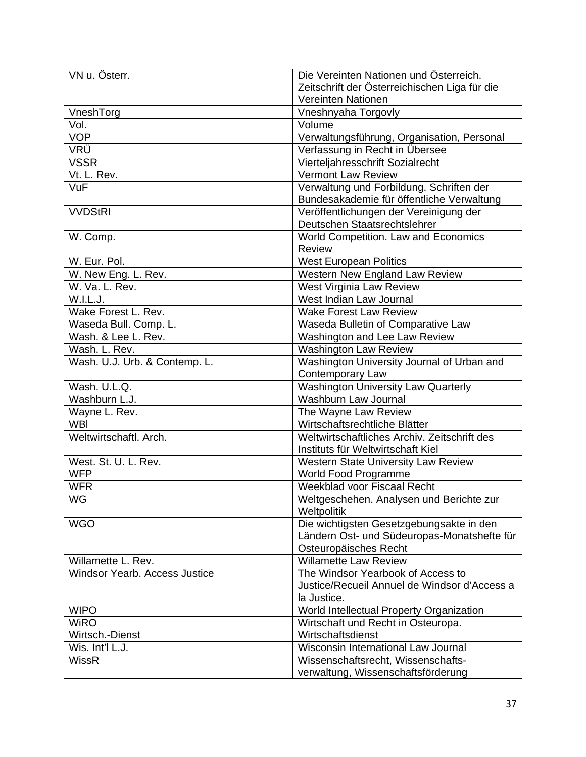| VN u. Österr.                                | Die Vereinten Nationen und Österreich.        |
|----------------------------------------------|-----------------------------------------------|
|                                              | Zeitschrift der Österreichischen Liga für die |
|                                              | Vereinten Nationen                            |
| VneshTorg                                    | Vneshnyaha Torgovly                           |
| Vol.                                         | Volume                                        |
| <b>VOP</b>                                   | Verwaltungsführung, Organisation, Personal    |
| VRÜ                                          | Verfassung in Recht in Übersee                |
| <b>VSSR</b>                                  | Vierteljahresschrift Sozialrecht              |
| Vt. L. Rev.                                  | Vermont Law Review                            |
| VuF                                          | Verwaltung und Forbildung. Schriften der      |
|                                              | Bundesakademie für öffentliche Verwaltung     |
| <b>VVDStRI</b>                               | Veröffentlichungen der Vereinigung der        |
|                                              | Deutschen Staatsrechtslehrer                  |
| W. Comp.                                     | World Competition. Law and Economics          |
|                                              | <b>Review</b>                                 |
| W. Eur. Pol.                                 | <b>West European Politics</b>                 |
| W. New Eng. L. Rev.                          | Western New England Law Review                |
| W. Va. L. Rev.                               | West Virginia Law Review                      |
| W.I.L.J.                                     | West Indian Law Journal                       |
| Wake Forest L. Rev.                          | <b>Wake Forest Law Review</b>                 |
|                                              |                                               |
| Waseda Bull. Comp. L.<br>Wash. & Lee L. Rev. | Waseda Bulletin of Comparative Law            |
|                                              | Washington and Lee Law Review                 |
| Wash. L. Rev.                                | <b>Washington Law Review</b>                  |
| Wash. U.J. Urb. & Contemp. L.                | Washington University Journal of Urban and    |
|                                              | Contemporary Law                              |
| Wash. U.L.Q.                                 | <b>Washington University Law Quarterly</b>    |
| Washburn L.J.                                | Washburn Law Journal                          |
| Wayne L. Rev.                                | The Wayne Law Review                          |
| <b>WBI</b>                                   | Wirtschaftsrechtliche Blätter                 |
| Weltwirtschaftl, Arch.                       | Weltwirtschaftliches Archiv. Zeitschrift des  |
|                                              | Instituts für Weltwirtschaft Kiel             |
| West. St. U. L. Rev.                         | Western State University Law Review           |
| <b>WFP</b>                                   | World Food Programme                          |
| <b>WFR</b>                                   | Weekblad voor Fiscaal Recht                   |
| WG                                           | Weltgeschehen. Analysen und Berichte zur      |
|                                              | Weltpolitik                                   |
| <b>WGO</b>                                   | Die wichtigsten Gesetzgebungsakte in den      |
|                                              | Ländern Ost- und Südeuropas-Monatshefte für   |
|                                              | Osteuropäisches Recht                         |
| Willamette L. Rev.                           | <b>Willamette Law Review</b>                  |
| <b>Windsor Yearb, Access Justice</b>         | The Windsor Yearbook of Access to             |
|                                              | Justice/Recueil Annuel de Windsor d'Access a  |
|                                              | la Justice.                                   |
| <b>WIPO</b>                                  | World Intellectual Property Organization      |
| <b>WiRO</b>                                  | Wirtschaft und Recht in Osteuropa.            |
| Wirtsch.-Dienst                              | Wirtschaftsdienst                             |
| Wis. Int'l L.J.                              | Wisconsin International Law Journal           |
| <b>WissR</b>                                 | Wissenschaftsrecht, Wissenschafts-            |
|                                              | verwaltung, Wissenschaftsförderung            |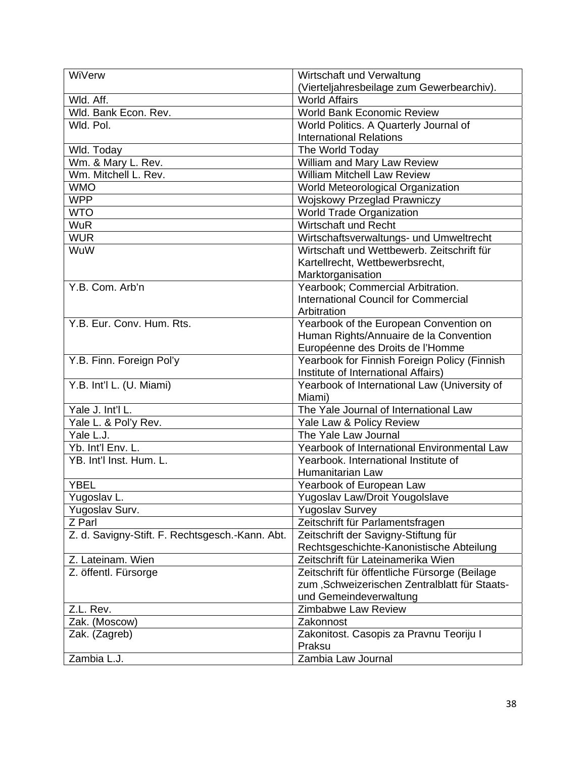| WiVerw                                          | Wirtschaft und Verwaltung                                               |
|-------------------------------------------------|-------------------------------------------------------------------------|
|                                                 | (Vierteljahresbeilage zum Gewerbearchiv).                               |
| Wld. Aff.                                       | <b>World Affairs</b>                                                    |
| Wld. Bank Econ. Rev.                            | <b>World Bank Economic Review</b>                                       |
| Wld. Pol.                                       | World Politics. A Quarterly Journal of                                  |
|                                                 | <b>International Relations</b>                                          |
| Wld. Today                                      | The World Today                                                         |
| Wm. & Mary L. Rev.                              | William and Mary Law Review                                             |
| Wm. Mitchell L. Rev.                            | William Mitchell Law Review                                             |
| <b>WMO</b>                                      | World Meteorological Organization                                       |
| <b>WPP</b>                                      | <b>Wojskowy Przeglad Prawniczy</b>                                      |
| <b>WTO</b>                                      | <b>World Trade Organization</b>                                         |
| <b>WuR</b>                                      | Wirtschaft und Recht                                                    |
| <b>WUR</b>                                      | Wirtschaftsverwaltungs- und Umweltrecht                                 |
| WuW                                             | Wirtschaft und Wettbewerb. Zeitschrift für                              |
|                                                 | Kartellrecht, Wettbewerbsrecht,                                         |
|                                                 | Marktorganisation                                                       |
| Y.B. Com. Arb'n                                 | Yearbook; Commercial Arbitration.                                       |
|                                                 | <b>International Council for Commercial</b>                             |
|                                                 | Arbitration                                                             |
| Y.B. Eur. Conv. Hum. Rts.                       | Yearbook of the European Convention on                                  |
|                                                 | Human Rights/Annuaire de la Convention                                  |
|                                                 | Européenne des Droits de l'Homme                                        |
| Y.B. Finn. Foreign Pol'y                        | Yearbook for Finnish Foreign Policy (Finnish                            |
|                                                 | Institute of International Affairs)                                     |
| Y.B. Int'l L. (U. Miami)                        | Yearbook of International Law (University of                            |
|                                                 | Miami)                                                                  |
| Yale J. Int'l L.                                | The Yale Journal of International Law                                   |
| Yale L. & Pol'y Rev.                            | Yale Law & Policy Review                                                |
| Yale L.J.                                       | The Yale Law Journal                                                    |
| Yb. Int'l Env. L.                               | Yearbook of International Environmental Law                             |
| YB. Int'l Inst. Hum. L.                         | Yearbook. International Institute of                                    |
|                                                 | Humanitarian Law                                                        |
| <b>YBEL</b>                                     | Yearbook of European Law                                                |
| Yugoslav L.                                     | Yugoslav Law/Droit Yougolslave                                          |
| Yugoslav Surv.                                  | <b>Yugoslav Survey</b>                                                  |
| Z Parl                                          | Zeitschrift für Parlamentsfragen                                        |
| Z. d. Savigny-Stift. F. Rechtsgesch.-Kann. Abt. | Zeitschrift der Savigny-Stiftung für                                    |
|                                                 | Rechtsgeschichte-Kanonistische Abteilung                                |
| Z. Lateinam. Wien                               | Zeitschrift für Lateinamerika Wien                                      |
| Z. öffentl. Fürsorge                            | Zeitschrift für öffentliche Fürsorge (Beilage                           |
|                                                 | zum 'Schweizerischen Zentralblatt für Staats-<br>und Gemeindeverwaltung |
| Z.L. Rev.                                       | Zimbabwe Law Review                                                     |
|                                                 |                                                                         |
| Zak. (Moscow)                                   | Zakonnost                                                               |
| Zak. (Zagreb)                                   | Zakonitost. Casopis za Pravnu Teoriju I<br>Praksu                       |
| Zambia L.J.                                     |                                                                         |
|                                                 | Zambia Law Journal                                                      |